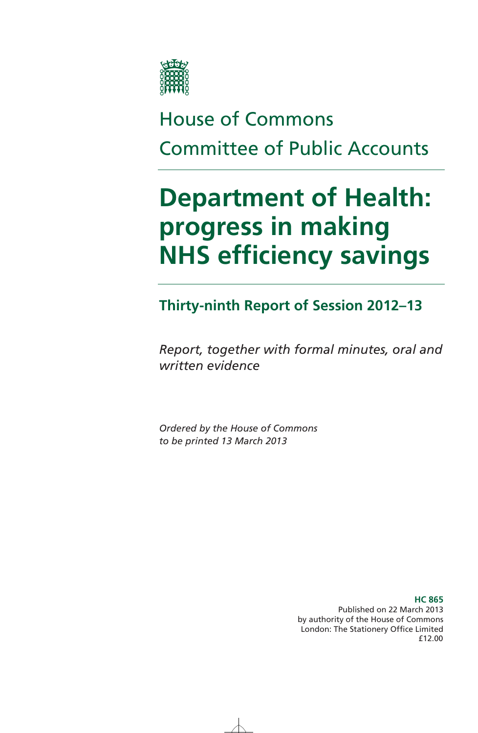

# House of Commons Committee of Public Accounts

# **Department of Health: progress in making NHS efficiency savings**

### **Thirty-ninth Report of Session 2012–13**

*Report, together with formal minutes, oral and written evidence* 

*Ordered by the House of Commons to be printed 13 March 2013* 

> Published on 22 March 2013 by authority of the House of Commons London: The Stationery Office Limited £12.00

#### **HC 865**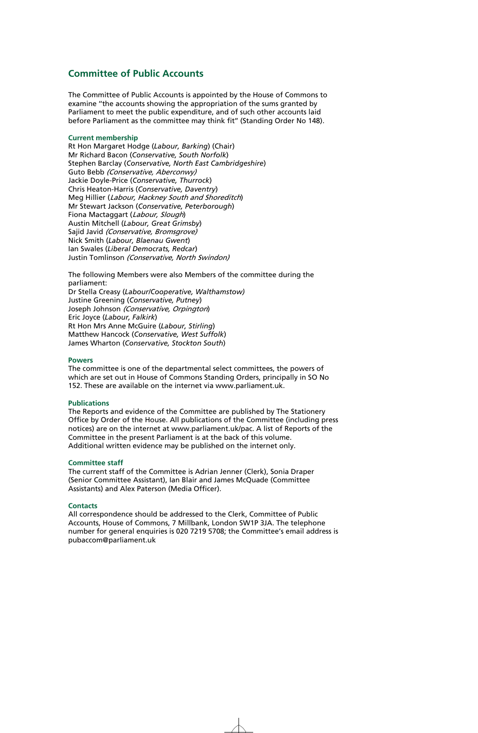#### **Committee of Public Accounts**

The Committee of Public Accounts is appointed by the House of Commons to examine ''the accounts showing the appropriation of the sums granted by Parliament to meet the public expenditure, and of such other accounts laid before Parliament as the committee may think fit'' (Standing Order No 148).

#### **Current membership**

Rt Hon Margaret Hodge (*Labour, Barking*) (Chair) Mr Richard Bacon (*Conservative, South Norfolk*) Stephen Barclay (*Conservative, North East Cambridgeshire*) Guto Bebb (Conservative, Aberconwy) Jackie Doyle-Price (*Conservative, Thurrock*) Chris Heaton-Harris (*Conservative, Daventry*) Meg Hillier (Labour, Hackney South and Shoreditch) Mr Stewart Jackson (*Conservative, Peterborough*) Fiona Mactaggart (Labour, Slough) Austin Mitchell (*Labour, Great Grimsby*) Sajid Javid (Conservative, Bromsgrove) Nick Smith (*Labour, Blaenau Gwent*) Ian Swales (*Liberal Democrats, Redcar*) Justin Tomlinson (Conservative, North Swindon)

The following Members were also Members of the committee during the parliament:

Dr Stella Creasy (*Labour/Cooperative, Walthamstow)*  Justine Greening (*Conservative, Putney*) Joseph Johnson (Conservative, Orpington) Eric Joyce (*Labour, Falkirk*) Rt Hon Mrs Anne McGuire (*Labour, Stirling*) Matthew Hancock (*Conservative, West Suffolk*) James Wharton (*Conservative, Stockton South*)

#### **Powers**

The committee is one of the departmental select committees, the powers of which are set out in House of Commons Standing Orders, principally in SO No 152. These are available on the internet via www.parliament.uk.

#### **Publications**

The Reports and evidence of the Committee are published by The Stationery Office by Order of the House. All publications of the Committee (including press notices) are on the internet at www.parliament.uk/pac. A list of Reports of the Committee in the present Parliament is at the back of this volume. Additional written evidence may be published on the internet only.

#### **Committee staff**

The current staff of the Committee is Adrian Jenner (Clerk), Sonia Draper (Senior Committee Assistant), Ian Blair and James McQuade (Committee Assistants) and Alex Paterson (Media Officer).

#### **Contacts**

All correspondence should be addressed to the Clerk, Committee of Public Accounts, House of Commons, 7 Millbank, London SW1P 3JA. The telephone number for general enquiries is 020 7219 5708; the Committee's email address is pubaccom@parliament.uk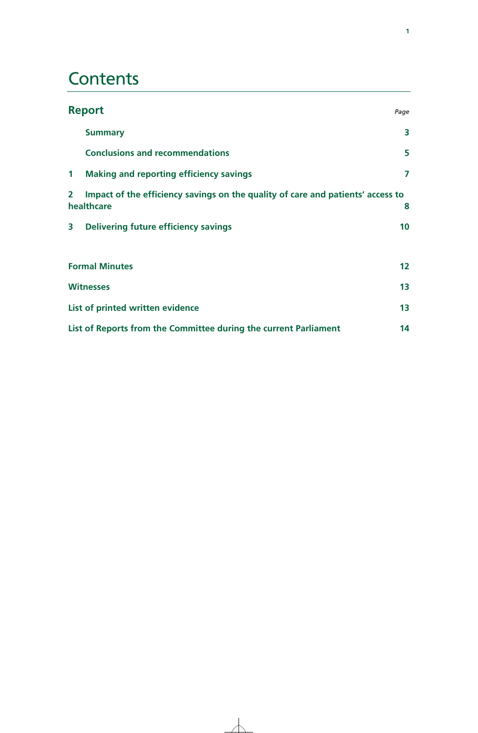## **Contents**

|                         | <b>Report</b>                                                                                 | Page            |
|-------------------------|-----------------------------------------------------------------------------------------------|-----------------|
|                         | <b>Summary</b>                                                                                | 3               |
|                         | <b>Conclusions and recommendations</b>                                                        | 5               |
| $\mathbf 1$             | <b>Making and reporting efficiency savings</b>                                                | 7               |
| $\overline{\mathbf{2}}$ | Impact of the efficiency savings on the quality of care and patients' access to<br>healthcare | 8               |
| 3                       | Delivering future efficiency savings                                                          | 10              |
|                         | <b>Formal Minutes</b>                                                                         | 12 <sup>2</sup> |
|                         | <b>Witnesses</b>                                                                              | 13              |
|                         | List of printed written evidence                                                              | 13 <sup>°</sup> |
|                         | List of Reports from the Committee during the current Parliament                              | 14              |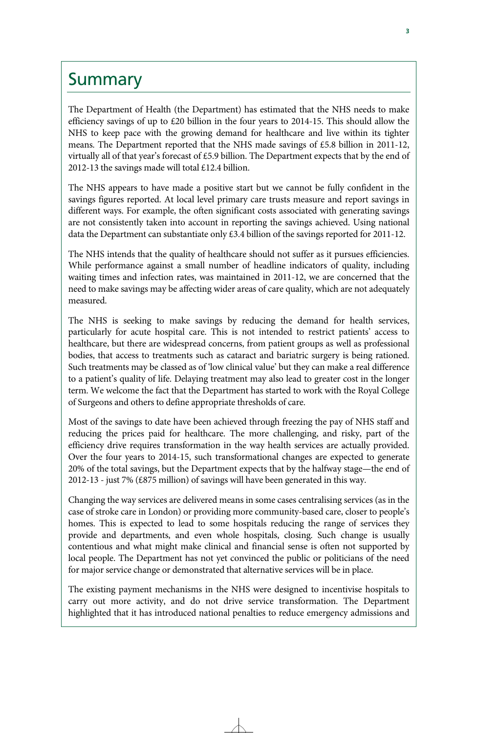### **Summary**

The Department of Health (the Department) has estimated that the NHS needs to make efficiency savings of up to £20 billion in the four years to 2014-15. This should allow the NHS to keep pace with the growing demand for healthcare and live within its tighter means. The Department reported that the NHS made savings of £5.8 billion in 2011-12, virtually all of that year's forecast of £5.9 billion. The Department expects that by the end of 2012-13 the savings made will total £12.4 billion.

The NHS appears to have made a positive start but we cannot be fully confident in the savings figures reported. At local level primary care trusts measure and report savings in different ways. For example, the often significant costs associated with generating savings are not consistently taken into account in reporting the savings achieved. Using national data the Department can substantiate only £3.4 billion of the savings reported for 2011-12.

The NHS intends that the quality of healthcare should not suffer as it pursues efficiencies. While performance against a small number of headline indicators of quality, including waiting times and infection rates, was maintained in 2011-12, we are concerned that the need to make savings may be affecting wider areas of care quality, which are not adequately measured.

The NHS is seeking to make savings by reducing the demand for health services, particularly for acute hospital care. This is not intended to restrict patients' access to healthcare, but there are widespread concerns, from patient groups as well as professional bodies, that access to treatments such as cataract and bariatric surgery is being rationed. Such treatments may be classed as of 'low clinical value' but they can make a real difference to a patient's quality of life. Delaying treatment may also lead to greater cost in the longer term. We welcome the fact that the Department has started to work with the Royal College of Surgeons and others to define appropriate thresholds of care.

Most of the savings to date have been achieved through freezing the pay of NHS staff and reducing the prices paid for healthcare. The more challenging, and risky, part of the efficiency drive requires transformation in the way health services are actually provided. Over the four years to 2014-15, such transformational changes are expected to generate 20% of the total savings, but the Department expects that by the halfway stage—the end of 2012-13 - just 7% (£875 million) of savings will have been generated in this way.

Changing the way services are delivered means in some cases centralising services (as in the case of stroke care in London) or providing more community-based care, closer to people's homes. This is expected to lead to some hospitals reducing the range of services they provide and departments, and even whole hospitals, closing. Such change is usually contentious and what might make clinical and financial sense is often not supported by local people. The Department has not yet convinced the public or politicians of the need for major service change or demonstrated that alternative services will be in place.

The existing payment mechanisms in the NHS were designed to incentivise hospitals to carry out more activity, and do not drive service transformation. The Department highlighted that it has introduced national penalties to reduce emergency admissions and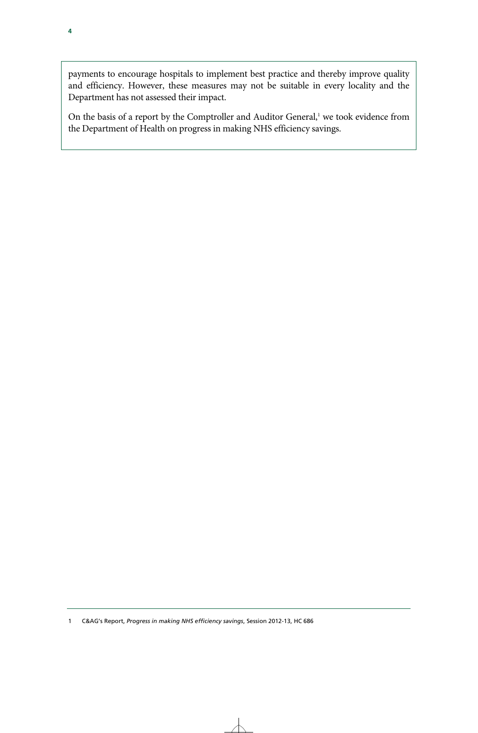payments to encourage hospitals to implement best practice and thereby improve quality and efficiency. However, these measures may not be suitable in every locality and the Department has not assessed their impact.

On the basis of a report by the Comptroller and Auditor General,<sup>1</sup> we took evidence from the Department of Health on progress in making NHS efficiency savings.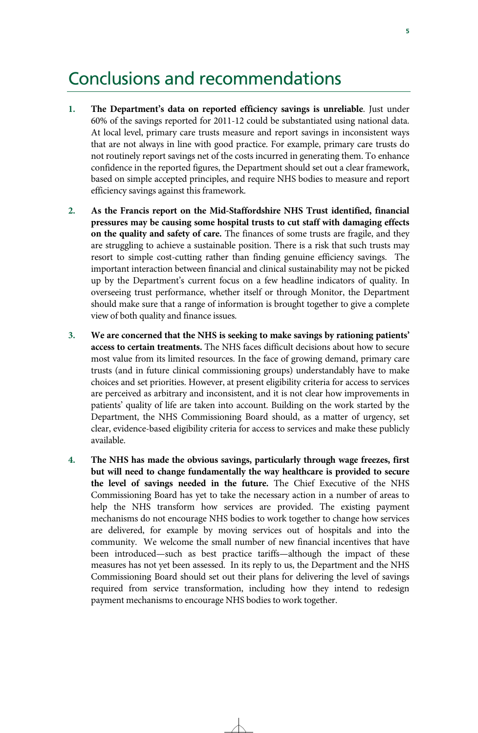### Conclusions and recommendations

- **1. The Department's data on reported efficiency savings is unreliable**. Just under 60% of the savings reported for 2011-12 could be substantiated using national data. At local level, primary care trusts measure and report savings in inconsistent ways that are not always in line with good practice. For example, primary care trusts do not routinely report savings net of the costs incurred in generating them. To enhance confidence in the reported figures, the Department should set out a clear framework, based on simple accepted principles, and require NHS bodies to measure and report efficiency savings against this framework.
- **2. As the Francis report on the Mid-Staffordshire NHS Trust identified, financial pressures may be causing some hospital trusts to cut staff with damaging effects on the quality and safety of care.** The finances of some trusts are fragile, and they are struggling to achieve a sustainable position. There is a risk that such trusts may resort to simple cost-cutting rather than finding genuine efficiency savings. The important interaction between financial and clinical sustainability may not be picked up by the Department's current focus on a few headline indicators of quality. In overseeing trust performance, whether itself or through Monitor, the Department should make sure that a range of information is brought together to give a complete view of both quality and finance issues.
- **3. We are concerned that the NHS is seeking to make savings by rationing patients' access to certain treatments.** The NHS faces difficult decisions about how to secure most value from its limited resources. In the face of growing demand, primary care trusts (and in future clinical commissioning groups) understandably have to make choices and set priorities. However, at present eligibility criteria for access to services are perceived as arbitrary and inconsistent, and it is not clear how improvements in patients' quality of life are taken into account. Building on the work started by the Department, the NHS Commissioning Board should, as a matter of urgency, set clear, evidence-based eligibility criteria for access to services and make these publicly available.
- **4. The NHS has made the obvious savings, particularly through wage freezes, first but will need to change fundamentally the way healthcare is provided to secure the level of savings needed in the future.** The Chief Executive of the NHS Commissioning Board has yet to take the necessary action in a number of areas to help the NHS transform how services are provided. The existing payment mechanisms do not encourage NHS bodies to work together to change how services are delivered, for example by moving services out of hospitals and into the community. We welcome the small number of new financial incentives that have been introduced—such as best practice tariffs—although the impact of these measures has not yet been assessed. In its reply to us, the Department and the NHS Commissioning Board should set out their plans for delivering the level of savings required from service transformation, including how they intend to redesign payment mechanisms to encourage NHS bodies to work together.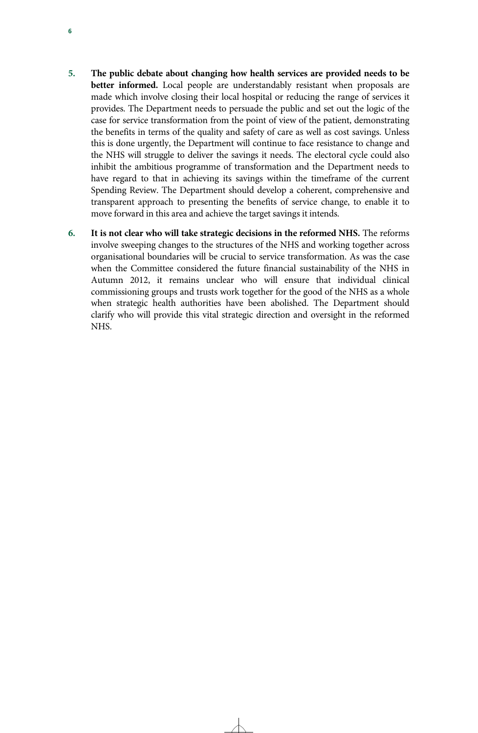- **5. The public debate about changing how health services are provided needs to be better informed.** Local people are understandably resistant when proposals are made which involve closing their local hospital or reducing the range of services it provides. The Department needs to persuade the public and set out the logic of the case for service transformation from the point of view of the patient, demonstrating the benefits in terms of the quality and safety of care as well as cost savings. Unless this is done urgently, the Department will continue to face resistance to change and the NHS will struggle to deliver the savings it needs. The electoral cycle could also inhibit the ambitious programme of transformation and the Department needs to have regard to that in achieving its savings within the timeframe of the current Spending Review. The Department should develop a coherent, comprehensive and transparent approach to presenting the benefits of service change, to enable it to move forward in this area and achieve the target savings it intends.
- **6. It is not clear who will take strategic decisions in the reformed NHS.** The reforms involve sweeping changes to the structures of the NHS and working together across organisational boundaries will be crucial to service transformation. As was the case when the Committee considered the future financial sustainability of the NHS in Autumn 2012, it remains unclear who will ensure that individual clinical commissioning groups and trusts work together for the good of the NHS as a whole when strategic health authorities have been abolished. The Department should clarify who will provide this vital strategic direction and oversight in the reformed NHS.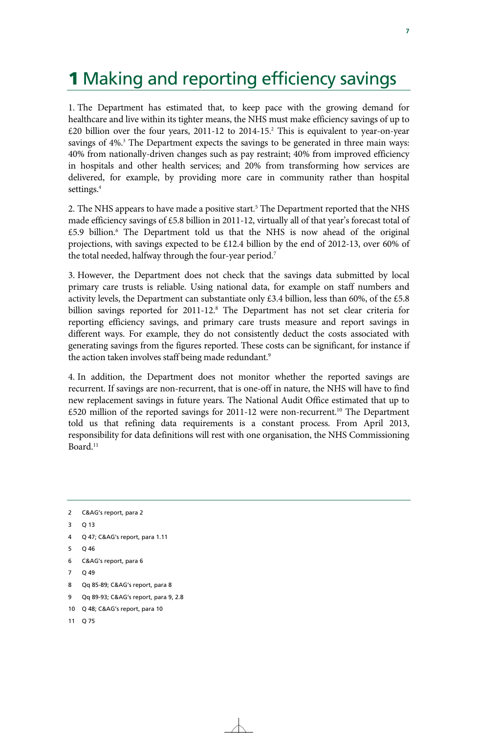# **1** Making and reporting efficiency savings

1. The Department has estimated that, to keep pace with the growing demand for healthcare and live within its tighter means, the NHS must make efficiency savings of up to £20 billion over the four years, 2011-12 to 2014-15.2 This is equivalent to year-on-year savings of 4%.<sup>3</sup> The Department expects the savings to be generated in three main ways: 40% from nationally-driven changes such as pay restraint; 40% from improved efficiency in hospitals and other health services; and 20% from transforming how services are delivered, for example, by providing more care in community rather than hospital settings.<sup>4</sup>

2. The NHS appears to have made a positive start.<sup>5</sup> The Department reported that the NHS made efficiency savings of £5.8 billion in 2011-12, virtually all of that year's forecast total of £5.9 billion.<sup>6</sup> The Department told us that the NHS is now ahead of the original projections, with savings expected to be £12.4 billion by the end of 2012-13, over 60% of the total needed, halfway through the four-year period.7

3. However, the Department does not check that the savings data submitted by local primary care trusts is reliable. Using national data, for example on staff numbers and activity levels, the Department can substantiate only £3.4 billion, less than 60%, of the £5.8 billion savings reported for 2011-12.<sup>8</sup> The Department has not set clear criteria for reporting efficiency savings, and primary care trusts measure and report savings in different ways. For example, they do not consistently deduct the costs associated with generating savings from the figures reported. These costs can be significant, for instance if the action taken involves staff being made redundant.<sup>9</sup>

4. In addition, the Department does not monitor whether the reported savings are recurrent. If savings are non-recurrent, that is one-off in nature, the NHS will have to find new replacement savings in future years. The National Audit Office estimated that up to  $£520$  million of the reported savings for 2011-12 were non-recurrent.<sup>10</sup> The Department told us that refining data requirements is a constant process. From April 2013, responsibility for data definitions will rest with one organisation, the NHS Commissioning Board.11

- 3 Q 13
- 4 Q 47; C&AG's report, para 1.11
- 5 Q 46
- 6 C&AG's report, para 6
- 7 Q 49
- 8 Qq 85-89; C&AG's report, para 8
- 9 Qq 89-93; C&AG's report, para 9, 2.8
- 10 Q 48; C&AG's report, para 10
- 11 Q 75

<sup>2</sup> C&AG's report, para 2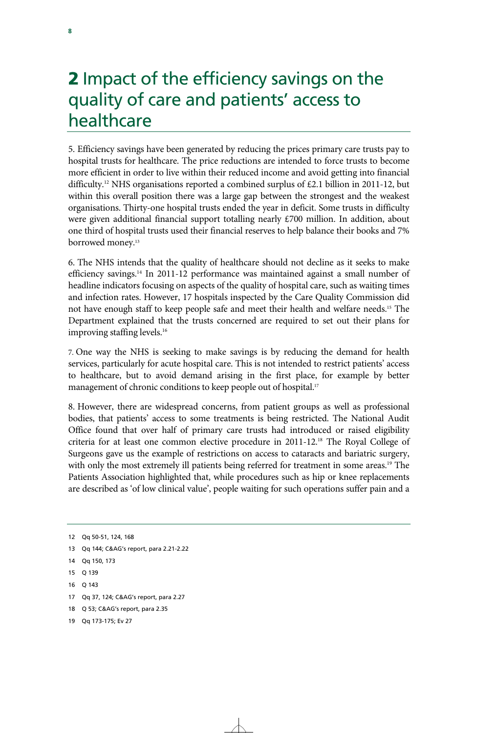### 2 Impact of the efficiency savings on the quality of care and patients' access to healthcare

5. Efficiency savings have been generated by reducing the prices primary care trusts pay to hospital trusts for healthcare. The price reductions are intended to force trusts to become more efficient in order to live within their reduced income and avoid getting into financial difficulty.<sup>12</sup> NHS organisations reported a combined surplus of £2.1 billion in 2011-12, but within this overall position there was a large gap between the strongest and the weakest organisations. Thirty-one hospital trusts ended the year in deficit. Some trusts in difficulty were given additional financial support totalling nearly £700 million. In addition, about one third of hospital trusts used their financial reserves to help balance their books and 7% borrowed money.<sup>13</sup>

6. The NHS intends that the quality of healthcare should not decline as it seeks to make efficiency savings.<sup>14</sup> In 2011-12 performance was maintained against a small number of headline indicators focusing on aspects of the quality of hospital care, such as waiting times and infection rates. However, 17 hospitals inspected by the Care Quality Commission did not have enough staff to keep people safe and meet their health and welfare needs.<sup>15</sup> The Department explained that the trusts concerned are required to set out their plans for improving staffing levels.<sup>16</sup>

7. One way the NHS is seeking to make savings is by reducing the demand for health services, particularly for acute hospital care. This is not intended to restrict patients' access to healthcare, but to avoid demand arising in the first place, for example by better management of chronic conditions to keep people out of hospital.<sup>17</sup>

8. However, there are widespread concerns, from patient groups as well as professional bodies, that patients' access to some treatments is being restricted. The National Audit Office found that over half of primary care trusts had introduced or raised eligibility criteria for at least one common elective procedure in 2011-12.18 The Royal College of Surgeons gave us the example of restrictions on access to cataracts and bariatric surgery, with only the most extremely ill patients being referred for treatment in some areas.<sup>19</sup> The Patients Association highlighted that, while procedures such as hip or knee replacements are described as 'of low clinical value', people waiting for such operations suffer pain and a

- 13 Qq 144; C&AG's report, para 2.21-2.22
- 14 Qq 150, 173
- 15 Q 139
- 16 Q 143
- 17 Qq 37, 124; C&AG's report, para 2.27
- 18 Q 53; C&AG's report, para 2.35
- 19 Qq 173-175; Ev 27

<sup>12</sup> Qq 50-51, 124, 168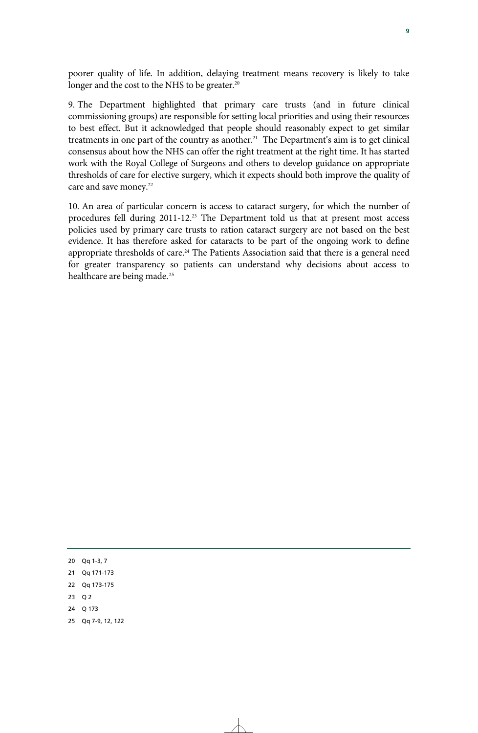poorer quality of life. In addition, delaying treatment means recovery is likely to take longer and the cost to the NHS to be greater.<sup>20</sup>

9. The Department highlighted that primary care trusts (and in future clinical commissioning groups) are responsible for setting local priorities and using their resources to best effect. But it acknowledged that people should reasonably expect to get similar treatments in one part of the country as another.<sup>21</sup> The Department's aim is to get clinical consensus about how the NHS can offer the right treatment at the right time. It has started work with the Royal College of Surgeons and others to develop guidance on appropriate thresholds of care for elective surgery, which it expects should both improve the quality of care and save money.<sup>22</sup>

10. An area of particular concern is access to cataract surgery, for which the number of procedures fell during 2011-12.<sup>23</sup> The Department told us that at present most access policies used by primary care trusts to ration cataract surgery are not based on the best evidence. It has therefore asked for cataracts to be part of the ongoing work to define appropriate thresholds of care.<sup>24</sup> The Patients Association said that there is a general need for greater transparency so patients can understand why decisions about access to healthcare are being made.<sup>25</sup>

- 23 Q 2
- 24 Q 173
- 25 Qq 7-9, 12, 122

<sup>20</sup> Qq 1-3, 7

<sup>21</sup> Qq 171-173

<sup>22</sup> Qq 173-175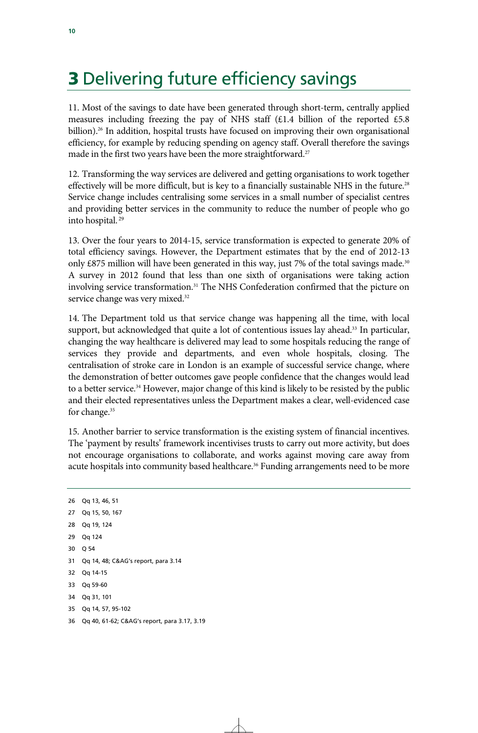## 3 Delivering future efficiency savings

11. Most of the savings to date have been generated through short-term, centrally applied measures including freezing the pay of NHS staff  $(E1.4)$  billion of the reported £5.8 billion).<sup>26</sup> In addition, hospital trusts have focused on improving their own organisational efficiency, for example by reducing spending on agency staff. Overall therefore the savings made in the first two years have been the more straightforward.<sup>27</sup>

12. Transforming the way services are delivered and getting organisations to work together effectively will be more difficult, but is key to a financially sustainable NHS in the future.<sup>28</sup> Service change includes centralising some services in a small number of specialist centres and providing better services in the community to reduce the number of people who go into hospital. 29

13. Over the four years to 2014-15, service transformation is expected to generate 20% of total efficiency savings. However, the Department estimates that by the end of 2012-13 only  $\text{\pounds}875$  million will have been generated in this way, just 7% of the total savings made.<sup>30</sup> A survey in 2012 found that less than one sixth of organisations were taking action involving service transformation.<sup>31</sup> The NHS Confederation confirmed that the picture on service change was very mixed.<sup>32</sup>

14. The Department told us that service change was happening all the time, with local support, but acknowledged that quite a lot of contentious issues lay ahead.<sup>33</sup> In particular, changing the way healthcare is delivered may lead to some hospitals reducing the range of services they provide and departments, and even whole hospitals, closing. The centralisation of stroke care in London is an example of successful service change, where the demonstration of better outcomes gave people confidence that the changes would lead to a better service.<sup>34</sup> However, major change of this kind is likely to be resisted by the public and their elected representatives unless the Department makes a clear, well-evidenced case for change.<sup>35</sup>

15. Another barrier to service transformation is the existing system of financial incentives. The 'payment by results' framework incentivises trusts to carry out more activity, but does not encourage organisations to collaborate, and works against moving care away from acute hospitals into community based healthcare.<sup>36</sup> Funding arrangements need to be more

26 Qq 13, 46, 51 27 Qq 15, 50, 167 28 Og 19, 124 29 Qq 124 30 Q 54 31 Qq 14, 48; C&AG's report, para 3.14 32 Qq 14-15 33 Qq 59-60 34 Qq 31, 101 35 Qq 14, 57, 95-102 36 Qq 40, 61-62; C&AG's report, para 3.17, 3.19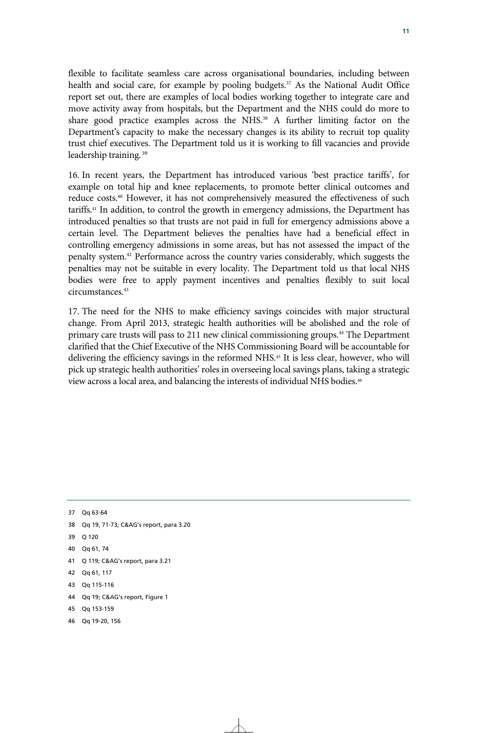flexible to facilitate seamless care across organisational boundaries, including between health and social care, for example by pooling budgets.<sup>37</sup> As the National Audit Office report set out, there are examples of local bodies working together to integrate care and move activity away from hospitals, but the Department and the NHS could do more to share good practice examples across the NHS.<sup>38</sup> A further limiting factor on the Department's capacity to make the necessary changes is its ability to recruit top quality trust chief executives. The Department told us it is working to fill vacancies and provide leadership training. 39

16. In recent years, the Department has introduced various 'best practice tariffs', for example on total hip and knee replacements, to promote better clinical outcomes and reduce costs.40 However, it has not comprehensively measured the effectiveness of such tariffs.41 In addition, to control the growth in emergency admissions, the Department has introduced penalties so that trusts are not paid in full for emergency admissions above a certain level. The Department believes the penalties have had a beneficial effect in controlling emergency admissions in some areas, but has not assessed the impact of the penalty system.42 Performance across the country varies considerably, which suggests the penalties may not be suitable in every locality. The Department told us that local NHS bodies were free to apply payment incentives and penalties flexibly to suit local circumstances.43

17. The need for the NHS to make efficiency savings coincides with major structural change. From April 2013, strategic health authorities will be abolished and the role of primary care trusts will pass to 211 new clinical commissioning groups.44 The Department clarified that the Chief Executive of the NHS Commissioning Board will be accountable for delivering the efficiency savings in the reformed NHS.<sup>45</sup> It is less clear, however, who will pick up strategic health authorities' roles in overseeing local savings plans, taking a strategic view across a local area, and balancing the interests of individual NHS bodies.46

37 Qq 63-64 38 Qq 19, 71-73; C&AG's report, para 3.20 39 Q 120 40 Qq 61, 74 41 Q 119; C&AG's report, para 3.21 42 Qq 61, 117 43 Qq 115-116 44 Qq 19; C&AG's report, Figure 1 45 Qq 153-159 46 Qq 19-20, 156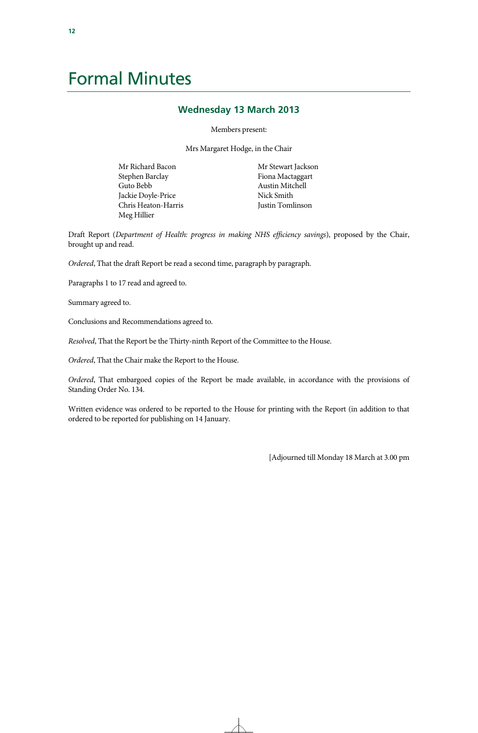### Formal Minutes

#### **Wednesday 13 March 2013**

Members present:

Mrs Margaret Hodge, in the Chair

Mr Richard Bacon Stephen Barclay Guto Bebb Jackie Doyle-Price Chris Heaton-Harris Meg Hillier

Mr Stewart Jackson Fiona Mactaggart Austin Mitchell Nick Smith Justin Tomlinson

Draft Report (*Department of Health: progress in making NHS efficiency savings*), proposed by the Chair, brought up and read.

*Ordered*, That the draft Report be read a second time, paragraph by paragraph.

Paragraphs 1 to 17 read and agreed to.

Summary agreed to.

Conclusions and Recommendations agreed to.

*Resolved*, That the Report be the Thirty-ninth Report of the Committee to the House.

*Ordered*, That the Chair make the Report to the House.

*Ordered*, That embargoed copies of the Report be made available, in accordance with the provisions of Standing Order No. 134.

Written evidence was ordered to be reported to the House for printing with the Report (in addition to that ordered to be reported for publishing on 14 January.

[Adjourned till Monday 18 March at 3.00 pm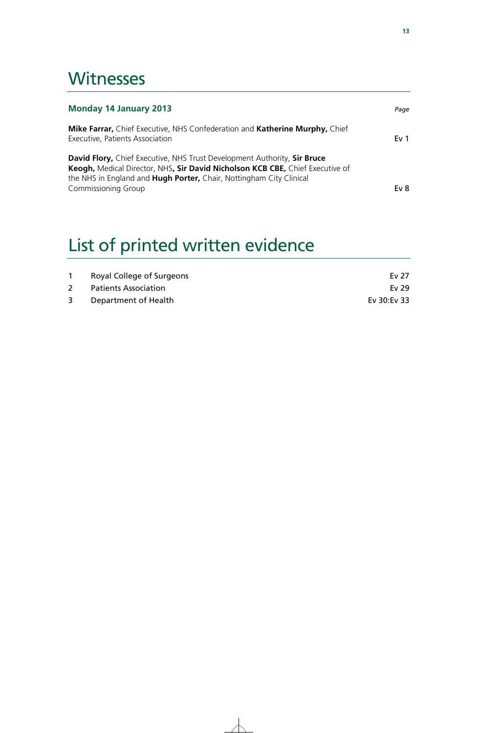### **Witnesses**

| <b>Monday 14 January 2013</b>                                                                                                                                                                                                    | Page            |
|----------------------------------------------------------------------------------------------------------------------------------------------------------------------------------------------------------------------------------|-----------------|
| Mike Farrar, Chief Executive, NHS Confederation and Katherine Murphy, Chief<br>Executive, Patients Association                                                                                                                   | Ev <sub>1</sub> |
| David Flory, Chief Executive, NHS Trust Development Authority, Sir Bruce<br>Keogh, Medical Director, NHS, Sir David Nicholson KCB CBE, Chief Executive of<br>the NHS in England and Hugh Porter, Chair, Nottingham City Clinical |                 |
| <b>Commissioning Group</b>                                                                                                                                                                                                       | Ev <sub>8</sub> |

# List of printed written evidence

|   | Royal College of Surgeons | Ev 27       |
|---|---------------------------|-------------|
|   | Patients Association      | Ev 29       |
| 3 | Department of Health      | Ev 30:Ev 33 |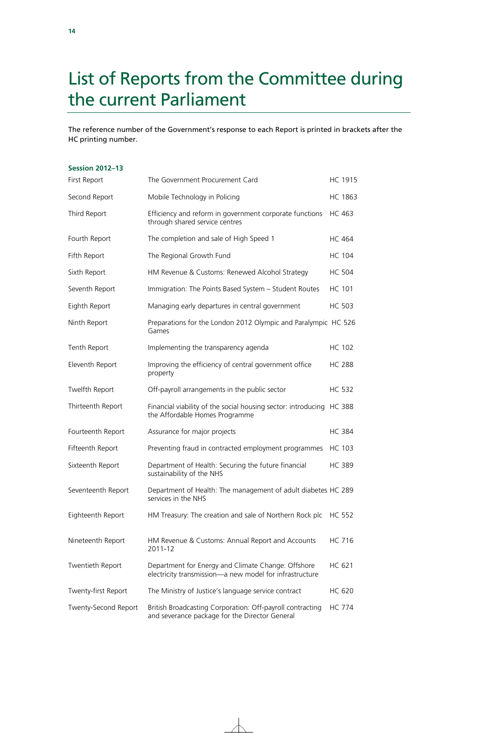## List of Reports from the Committee during the current Parliament

The reference number of the Government's response to each Report is printed in brackets after the HC printing number.

| <b>Session 2012-13</b> |                                                                                                               |                |
|------------------------|---------------------------------------------------------------------------------------------------------------|----------------|
| First Report           | The Government Procurement Card                                                                               | HC 1915        |
| Second Report          | Mobile Technology in Policing                                                                                 | <b>HC 1863</b> |
| Third Report           | Efficiency and reform in government corporate functions<br>through shared service centres                     | HC 463         |
| Fourth Report          | The completion and sale of High Speed 1                                                                       | <b>HC 464</b>  |
| Fifth Report           | The Regional Growth Fund                                                                                      | <b>HC 104</b>  |
| Sixth Report           | HM Revenue & Customs: Renewed Alcohol Strategy                                                                | <b>HC 504</b>  |
| Seventh Report         | Immigration: The Points Based System - Student Routes                                                         | <b>HC 101</b>  |
| Eighth Report          | Managing early departures in central government                                                               | <b>HC 503</b>  |
| Ninth Report           | Preparations for the London 2012 Olympic and Paralympic HC 526<br>Games                                       |                |
| Tenth Report           | Implementing the transparency agenda                                                                          | <b>HC 102</b>  |
| Eleventh Report        | Improving the efficiency of central government office<br>property                                             | <b>HC 288</b>  |
| Twelfth Report         | Off-payroll arrangements in the public sector                                                                 | <b>HC 532</b>  |
| Thirteenth Report      | Financial viability of the social housing sector: introducing HC 388<br>the Affordable Homes Programme        |                |
| Fourteenth Report      | Assurance for major projects                                                                                  | <b>HC 384</b>  |
| Fifteenth Report       | Preventing fraud in contracted employment programmes                                                          | HC 103         |
| Sixteenth Report       | Department of Health: Securing the future financial<br>sustainability of the NHS                              | <b>HC 389</b>  |
| Seventeenth Report     | Department of Health: The management of adult diabetes HC 289<br>services in the NHS                          |                |
| Eighteenth Report      | HM Treasury: The creation and sale of Northern Rock plc                                                       | <b>HC 552</b>  |
| Nineteenth Report      | HM Revenue & Customs: Annual Report and Accounts<br>2011-12                                                   | HC 716         |
| Twentieth Report       | Department for Energy and Climate Change: Offshore<br>electricity transmission-a new model for infrastructure | HC 621         |
| Twenty-first Report    | The Ministry of Justice's language service contract                                                           | <b>HC 620</b>  |
| Twenty-Second Report   | British Broadcasting Corporation: Off-payroll contracting<br>and severance package for the Director General   | <b>HC 774</b>  |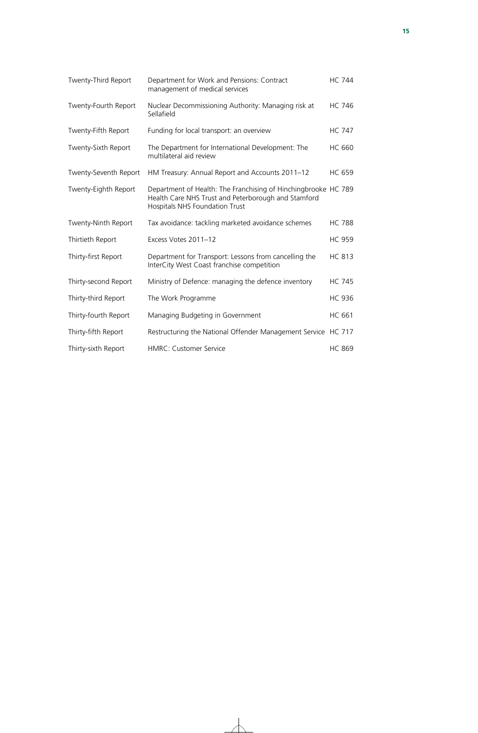| Twenty-Third Report   | Department for Work and Pensions: Contract<br>management of medical services                                                                            | <b>HC 744</b> |
|-----------------------|---------------------------------------------------------------------------------------------------------------------------------------------------------|---------------|
| Twenty-Fourth Report  | Nuclear Decommissioning Authority: Managing risk at<br>Sellafield                                                                                       | <b>HC 746</b> |
| Twenty-Fifth Report   | Funding for local transport: an overview                                                                                                                | <b>HC 747</b> |
| Twenty-Sixth Report   | The Department for International Development: The<br>multilateral aid review                                                                            | <b>HC 660</b> |
| Twenty-Seventh Report | HM Treasury: Annual Report and Accounts 2011-12                                                                                                         | <b>HC 659</b> |
| Twenty-Eighth Report  | Department of Health: The Franchising of Hinchingbrooke HC 789<br>Health Care NHS Trust and Peterborough and Stamford<br>Hospitals NHS Foundation Trust |               |
| Twenty-Ninth Report   | Tax avoidance: tackling marketed avoidance schemes                                                                                                      | <b>HC 788</b> |
| Thirtieth Report      | Excess Votes 2011-12                                                                                                                                    | <b>HC 959</b> |
| Thirty-first Report   | Department for Transport: Lessons from cancelling the<br>InterCity West Coast franchise competition                                                     | <b>HC 813</b> |
| Thirty-second Report  | Ministry of Defence: managing the defence inventory                                                                                                     | <b>HC 745</b> |
| Thirty-third Report   | The Work Programme                                                                                                                                      | <b>HC 936</b> |
| Thirty-fourth Report  | Managing Budgeting in Government                                                                                                                        | <b>HC 661</b> |
| Thirty-fifth Report   | Restructuring the National Offender Management Service HC 717                                                                                           |               |
| Thirty-sixth Report   | <b>HMRC: Customer Service</b>                                                                                                                           | <b>HC 869</b> |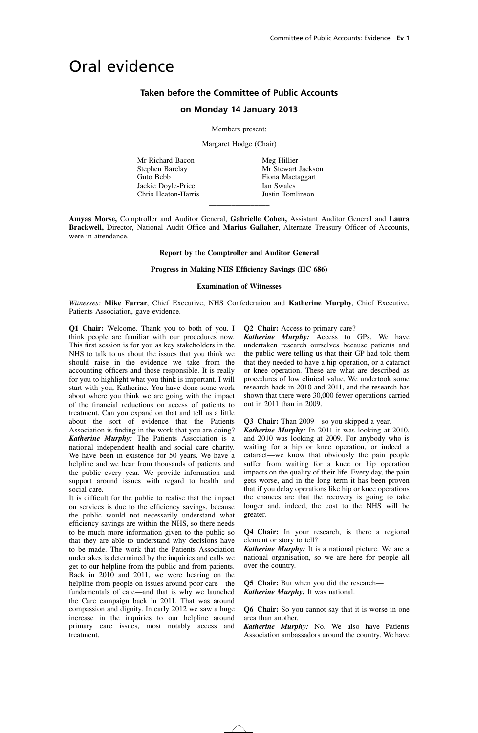### Oral evidence

#### **Taken before the Committee of Public Accounts**

#### **on Monday 14 January 2013**

Members present:

Margaret Hodge (Chair)

Mr Richard Bacon Stephen Barclay Guto Bebb Jackie Doyle-Price Chris Heaton-Harris Meg Hillier Mr Stewart Jackson Fiona Mactaggart Ian Swales Justin Tomlinson

**Amyas Morse,** Comptroller and Auditor General, **Gabrielle Cohen,** Assistant Auditor General and **Laura Brackwell,** Director, National Audit Office and **Marius Gallaher**, Alternate Treasury Officer of Accounts, were in attendance.

 $\overline{\phantom{a}}$  , where the contract of  $\overline{\phantom{a}}$ 

**Report by the Comptroller and Auditor General**

#### **Progress in Making NHS Efficiency Savings (HC 686)**

#### **Examination of Witnesses**

*Witnesses:* **Mike Farrar**, Chief Executive, NHS Confederation and **Katherine Murphy**, Chief Executive, Patients Association, gave evidence.

**Q1 Chair:** Welcome. Thank you to both of you. I think people are familiar with our procedures now. This first session is for you as key stakeholders in the NHS to talk to us about the issues that you think we should raise in the evidence we take from the accounting officers and those responsible. It is really for you to highlight what you think is important. I will start with you, Katherine. You have done some work about where you think we are going with the impact of the financial reductions on access of patients to treatment. Can you expand on that and tell us a little about the sort of evidence that the Patients Association is finding in the work that you are doing? *Katherine Murphy:* The Patients Association is a national independent health and social care charity. We have been in existence for 50 years. We have a helpline and we hear from thousands of patients and the public every year. We provide information and support around issues with regard to health and social care.

It is difficult for the public to realise that the impact on services is due to the efficiency savings, because the public would not necessarily understand what efficiency savings are within the NHS, so there needs to be much more information given to the public so that they are able to understand why decisions have to be made. The work that the Patients Association undertakes is determined by the inquiries and calls we get to our helpline from the public and from patients. Back in 2010 and 2011, we were hearing on the helpline from people on issues around poor care—the fundamentals of care—and that is why we launched the Care campaign back in 2011. That was around compassion and dignity. In early 2012 we saw a huge increase in the inquiries to our helpline around primary care issues, most notably access and treatment.

**Q2 Chair:** Access to primary care?

*Katherine Murphy:* Access to GPs. We have undertaken research ourselves because patients and the public were telling us that their GP had told them that they needed to have a hip operation, or a cataract or knee operation. These are what are described as procedures of low clinical value. We undertook some research back in 2010 and 2011, and the research has shown that there were 30,000 fewer operations carried out in 2011 than in 2009.

**Q3 Chair:** Than 2009—so you skipped a year.

*Katherine Murphy:* In 2011 it was looking at 2010, and 2010 was looking at 2009. For anybody who is waiting for a hip or knee operation, or indeed a cataract—we know that obviously the pain people suffer from waiting for a knee or hip operation impacts on the quality of their life. Every day, the pain gets worse, and in the long term it has been proven that if you delay operations like hip or knee operations the chances are that the recovery is going to take longer and, indeed, the cost to the NHS will be greater.

**Q4 Chair:** In your research, is there a regional element or story to tell?

*Katherine Murphy:* It is a national picture. We are a national organisation, so we are here for people all over the country.

**Q5 Chair:** But when you did the research— *Katherine Murphy:* It was national.

**Q6 Chair:** So you cannot say that it is worse in one area than another.

*Katherine Murphy:* No. We also have Patients Association ambassadors around the country. We have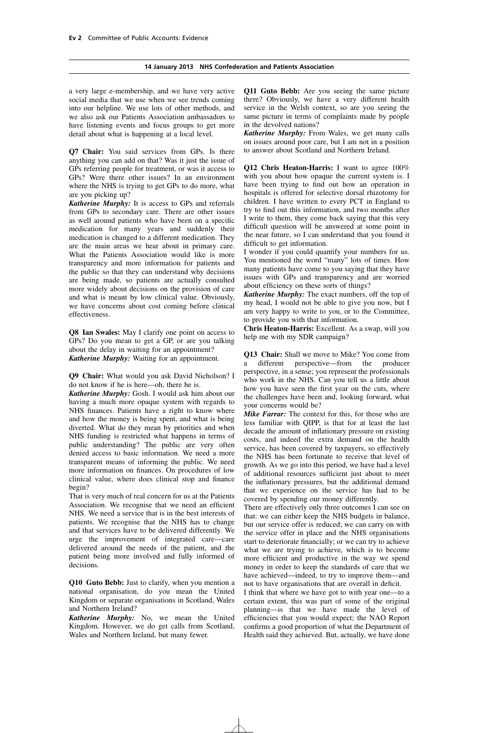#### **14 January 2013 NHS Confederation and Patients Association**

a very large e-membership, and we have very active social media that we use when we see trends coming into our helpline. We use lots of other methods, and we also ask our Patients Association ambassadors to have listening events and focus groups to get more detail about what is happening at a local level.

**Q7 Chair:** You said services from GPs. Is there anything you can add on that? Was it just the issue of GPs referring people for treatment, or was it access to GPs? Were there other issues? In an environment where the NHS is trying to get GPs to do more, what are you picking up?

*Katherine Murphy:* It is access to GPs and referrals from GPs to secondary care. There are other issues as well around patients who have been on a specific medication for many years and suddenly their medication is changed to a different medication. They are the main areas we hear about in primary care. What the Patients Association would like is more transparency and more information for patients and the public so that they can understand why decisions are being made, so patients are actually consulted more widely about decisions on the provision of care and what is meant by low clinical value. Obviously, we have concerns about cost coming before clinical effectiveness.

**Q8 Ian Swales:** May I clarify one point on access to GPs? Do you mean to get a GP, or are you talking about the delay in waiting for an appointment? *Katherine Murphy:* Waiting for an appointment.

**Q9 Chair:** What would you ask David Nicholson? I do not know if he is here—oh, there he is.

*Katherine Murphy:* Gosh. I would ask him about our having a much more opaque system with regards to NHS finances. Patients have a right to know where and how the money is being spent, and what is being diverted. What do they mean by priorities and when NHS funding is restricted what happens in terms of public understanding? The public are very often denied access to basic information. We need a more transparent means of informing the public. We need more information on finances. On procedures of low clinical value, where does clinical stop and finance begin?

That is very much of real concern for us at the Patients Association. We recognise that we need an efficient NHS. We need a service that is in the best interests of patients. We recognise that the NHS has to change and that services have to be delivered differently. We urge the improvement of integrated care—care delivered around the needs of the patient, and the patient being more involved and fully informed of decisions.

**Q10 Guto Bebb:** Just to clarify, when you mention a national organisation, do you mean the United Kingdom or separate organisations in Scotland, Wales and Northern Ireland?

*Katherine Murphy:* No, we mean the United Kingdom. However, we do get calls from Scotland, Wales and Northern Ireland, but many fewer.

**Q11 Guto Bebb:** Are you seeing the same picture there? Obviously, we have a very different health service in the Welsh context, so are you seeing the same picture in terms of complaints made by people in the devolved nations?

*Katherine Murphy:* From Wales, we get many calls on issues around poor care, but I am not in a position to answer about Scotland and Northern Ireland.

**Q12 Chris Heaton-Harris:** I want to agree 100% with you about how opaque the current system is. I have been trying to find out how an operation in hospitals is offered for selective dorsal rhizotomy for children. I have written to every PCT in England to try to find out this information, and two months after I write to them, they come back saying that this very difficult question will be answered at some point in the near future, so I can understand that you found it difficult to get information.

I wonder if you could quantify your numbers for us. You mentioned the word "many" lots of times. How many patients have come to you saying that they have issues with GPs and transparency and are worried about efficiency on these sorts of things?

*Katherine Murphy:* The exact numbers, off the top of my head, I would not be able to give you now, but I am very happy to write to you, or to the Committee, to provide you with that information.

**Chris Heaton-Harris:** Excellent. As a swap, will you help me with my SDR campaign?

**Q13 Chair:** Shall we move to Mike? You come from a different perspective—from the producer perspective, in a sense; you represent the professionals who work in the NHS. Can you tell us a little about how you have seen the first year on the cuts, where the challenges have been and, looking forward, what your concerns would be?

*Mike Farrar:* The context for this, for those who are less familiar with QIPP, is that for at least the last decade the amount of inflationary pressure on existing costs, and indeed the extra demand on the health service, has been covered by taxpayers, so effectively the NHS has been fortunate to receive that level of growth. As we go into this period, we have had a level of additional resources sufficient just about to meet the inflationary pressures, but the additional demand that we experience on the service has had to be covered by spending our money differently.

There are effectively only three outcomes I can see on that: we can either keep the NHS budgets in balance, but our service offer is reduced; we can carry on with the service offer in place and the NHS organisations start to deteriorate financially; or we can try to achieve what we are trying to achieve, which is to become more efficient and productive in the way we spend money in order to keep the standards of care that we have achieved—indeed, to try to improve them—and not to have organisations that are overall in deficit.

I think that where we have got to with year one—to a certain extent, this was part of some of the original planning—is that we have made the level of efficiencies that you would expect; the NAO Report confirms a good proportion of what the Department of Health said they achieved. But, actually, we have done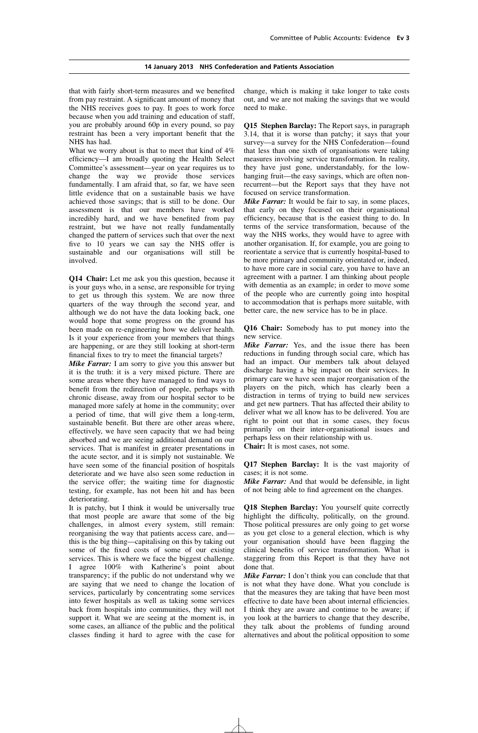that with fairly short-term measures and we benefited from pay restraint. A significant amount of money that the NHS receives goes to pay. It goes to work force because when you add training and education of staff, you are probably around 60p in every pound, so pay restraint has been a very important benefit that the NHS has had.

What we worry about is that to meet that kind of  $4\%$ efficiency—I am broadly quoting the Health Select Committee's assessment—year on year requires us to change the way we provide those services fundamentally. I am afraid that, so far, we have seen little evidence that on a sustainable basis we have achieved those savings; that is still to be done. Our assessment is that our members have worked incredibly hard, and we have benefited from pay restraint, but we have not really fundamentally changed the pattern of services such that over the next five to 10 years we can say the NHS offer is sustainable and our organisations will still be involved.

**Q14 Chair:** Let me ask you this question, because it is your guys who, in a sense, are responsible for trying to get us through this system. We are now three quarters of the way through the second year, and although we do not have the data looking back, one would hope that some progress on the ground has been made on re-engineering how we deliver health. Is it your experience from your members that things are happening, or are they still looking at short-term financial fixes to try to meet the financial targets?

*Mike Farrar:* I am sorry to give you this answer but it is the truth: it is a very mixed picture. There are some areas where they have managed to find ways to benefit from the redirection of people, perhaps with chronic disease, away from our hospital sector to be managed more safely at home in the community; over a period of time, that will give them a long-term, sustainable benefit. But there are other areas where, effectively, we have seen capacity that we had being absorbed and we are seeing additional demand on our services. That is manifest in greater presentations in the acute sector, and it is simply not sustainable. We have seen some of the financial position of hospitals deteriorate and we have also seen some reduction in the service offer; the waiting time for diagnostic testing, for example, has not been hit and has been deteriorating.

It is patchy, but I think it would be universally true that most people are aware that some of the big challenges, in almost every system, still remain: reorganising the way that patients access care, and this is the big thing—capitalising on this by taking out some of the fixed costs of some of our existing services. This is where we face the biggest challenge. I agree 100% with Katherine's point about transparency; if the public do not understand why we are saying that we need to change the location of services, particularly by concentrating some services into fewer hospitals as well as taking some services back from hospitals into communities, they will not support it. What we are seeing at the moment is, in some cases, an alliance of the public and the political classes finding it hard to agree with the case for change, which is making it take longer to take costs out, and we are not making the savings that we would need to make.

**Q15 Stephen Barclay:** The Report says, in paragraph 3.14, that it is worse than patchy; it says that your survey—a survey for the NHS Confederation—found that less than one sixth of organisations were taking measures involving service transformation. In reality, they have just gone, understandably, for the lowhanging fruit—the easy savings, which are often nonrecurrent—but the Report says that they have not focused on service transformation.

*Mike Farrar:* It would be fair to say, in some places, that early on they focused on their organisational efficiency, because that is the easiest thing to do. In terms of the service transformation, because of the way the NHS works, they would have to agree with another organisation. If, for example, you are going to reorientate a service that is currently hospital-based to be more primary and community orientated or, indeed, to have more care in social care, you have to have an agreement with a partner. I am thinking about people with dementia as an example; in order to move some of the people who are currently going into hospital to accommodation that is perhaps more suitable, with better care, the new service has to be in place.

**Q16 Chair:** Somebody has to put money into the new service.

*Mike Farrar:* Yes, and the issue there has been reductions in funding through social care, which has had an impact. Our members talk about delayed discharge having a big impact on their services. In primary care we have seen major reorganisation of the players on the pitch, which has clearly been a distraction in terms of trying to build new services and get new partners. That has affected their ability to deliver what we all know has to be delivered. You are right to point out that in some cases, they focus primarily on their inter-organisational issues and perhaps less on their relationship with us.

**Chair:** It is most cases, not some.

**Q17 Stephen Barclay:** It is the vast majority of cases; it is not some.

*Mike Farrar:* And that would be defensible, in light of not being able to find agreement on the changes.

**Q18 Stephen Barclay:** You yourself quite correctly highlight the difficulty, politically, on the ground. Those political pressures are only going to get worse as you get close to a general election, which is why your organisation should have been flagging the clinical benefits of service transformation. What is staggering from this Report is that they have not done that.

*Mike Farrar:* I don't think you can conclude that that is not what they have done. What you conclude is that the measures they are taking that have been most effective to date have been about internal efficiencies. I think they are aware and continue to be aware; if you look at the barriers to change that they describe, they talk about the problems of funding around alternatives and about the political opposition to some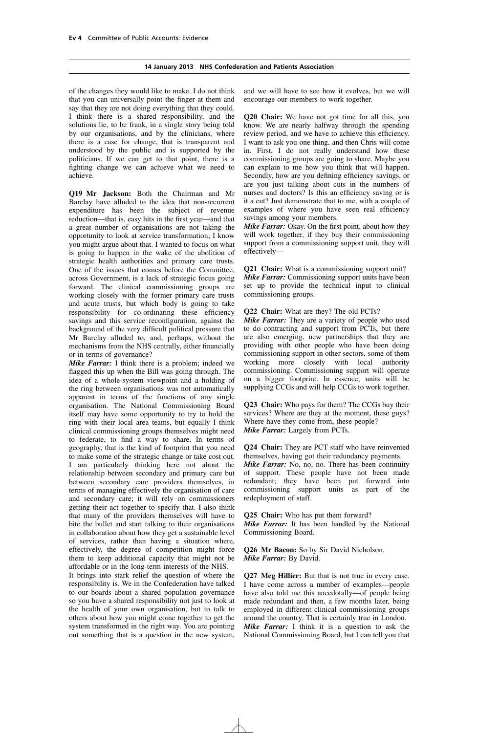#### **14 January 2013 NHS Confederation and Patients Association**

of the changes they would like to make. I do not think that you can universally point the finger at them and say that they are not doing everything that they could. I think there is a shared responsibility, and the solutions lie, to be frank, in a single story being told by our organisations, and by the clinicians, where there is a case for change, that is transparent and understood by the public and is supported by the politicians. If we can get to that point, there is a fighting change we can achieve what we need to achieve.

**Q19 Mr Jackson:** Both the Chairman and Mr Barclay have alluded to the idea that non-recurrent expenditure has been the subject of revenue reduction—that is, easy hits in the first year—and that a great number of organisations are not taking the opportunity to look at service transformation; I know you might argue about that. I wanted to focus on what is going to happen in the wake of the abolition of strategic health authorities and primary care trusts. One of the issues that comes before the Committee, across Government, is a lack of strategic focus going forward. The clinical commissioning groups are working closely with the former primary care trusts and acute trusts, but which body is going to take responsibility for co-ordinating these efficiency savings and this service reconfiguration, against the background of the very difficult political pressure that Mr Barclay alluded to, and, perhaps, without the mechanisms from the NHS centrally, either financially or in terms of governance?

*Mike Farrar:* I think there is a problem; indeed we flagged this up when the Bill was going through. The idea of a whole-system viewpoint and a holding of the ring between organisations was not automatically apparent in terms of the functions of any single organisation. The National Commissioning Board itself may have some opportunity to try to hold the ring with their local area teams, but equally I think clinical commissioning groups themselves might need to federate, to find a way to share. In terms of geography, that is the kind of footprint that you need to make some of the strategic change or take cost out. I am particularly thinking here not about the relationship between secondary and primary care but between secondary care providers themselves, in terms of managing effectively the organisation of care and secondary care; it will rely on commissioners getting their act together to specify that. I also think that many of the providers themselves will have to bite the bullet and start talking to their organisations in collaboration about how they get a sustainable level of services, rather than having a situation where, effectively, the degree of competition might force them to keep additional capacity that might not be affordable or in the long-term interests of the NHS.

It brings into stark relief the question of where the responsibility is. We in the Confederation have talked to our boards about a shared population governance so you have a shared responsibility not just to look at the health of your own organisation, but to talk to others about how you might come together to get the system transformed in the right way. You are pointing out something that is a question in the new system, and we will have to see how it evolves, but we will encourage our members to work together.

**Q20 Chair:** We have not got time for all this, you know. We are nearly halfway through the spending review period, and we have to achieve this efficiency. I want to ask you one thing, and then Chris will come in. First, I do not really understand how these commissioning groups are going to share. Maybe you can explain to me how you think that will happen. Secondly, how are you defining efficiency savings, or are you just talking about cuts in the numbers of nurses and doctors? Is this an efficiency saving or is it a cut? Just demonstrate that to me, with a couple of examples of where you have seen real efficiency savings among your members.

*Mike Farrar:* Okay. On the first point, about how they will work together, if they buy their commissioning support from a commissioning support unit, they will effectively—

**Q21 Chair:** What is a commissioning support unit? *Mike Farrar:* Commissioning support units have been set up to provide the technical input to clinical commissioning groups.

**Q22 Chair:** What are they? The old PCTs?

*Mike Farrar:* They are a variety of people who used to do contracting and support from PCTs, but there are also emerging, new partnerships that they are providing with other people who have been doing commissioning support in other sectors, some of them working more closely with local authority commissioning. Commissioning support will operate on a bigger footprint. In essence, units will be supplying CCGs and will help CCGs to work together.

**Q23 Chair:** Who pays for them? The CCGs buy their services? Where are they at the moment, these guys? Where have they come from, these people? *Mike Farrar:* Largely from PCTs.

**Q24 Chair:** They are PCT staff who have reinvented themselves, having got their redundancy payments. *Mike Farrar:* No, no, no. There has been continuity of support. These people have not been made redundant; they have been put forward into commissioning support units as part of the redeployment of staff.

**Q25 Chair:** Who has put them forward? *Mike Farrar:* It has been handled by the National Commissioning Board.

**Q26 Mr Bacon:** So by Sir David Nicholson. *Mike Farrar:* By David.

**Q27 Meg Hillier:** But that is not true in every case. I have come across a number of examples—people have also told me this anecdotally—of people being made redundant and then, a few months later, being employed in different clinical commissioning groups around the country. That is certainly true in London. *Mike Farrar:* I think it is a question to ask the National Commissioning Board, but I can tell you that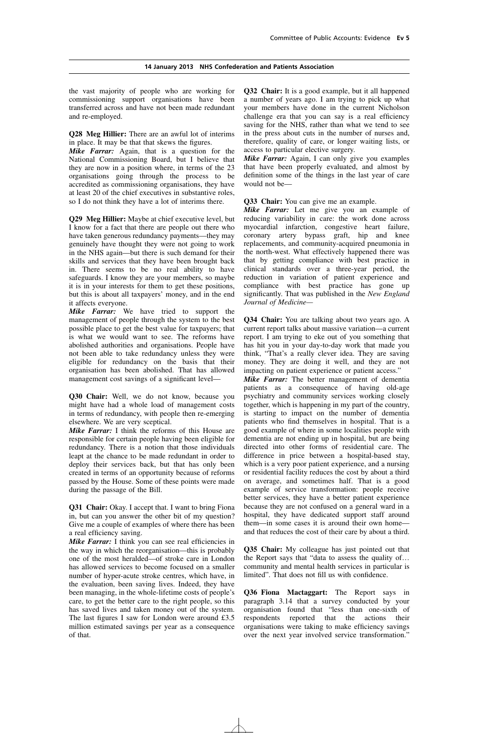the vast majority of people who are working for commissioning support organisations have been transferred across and have not been made redundant and re-employed.

**Q28 Meg Hillier:** There are an awful lot of interims in place. It may be that that skews the figures.

*Mike Farrar:* Again, that is a question for the National Commissioning Board, but I believe that they are now in a position where, in terms of the 23 organisations going through the process to be accredited as commissioning organisations, they have at least 20 of the chief executives in substantive roles, so I do not think they have a lot of interims there.

**Q29 Meg Hillier:** Maybe at chief executive level, but I know for a fact that there are people out there who have taken generous redundancy payments—they may genuinely have thought they were not going to work in the NHS again—but there is such demand for their skills and services that they have been brought back in. There seems to be no real ability to have safeguards. I know they are your members, so maybe it is in your interests for them to get these positions, but this is about all taxpayers' money, and in the end it affects everyone.

*Mike Farrar:* We have tried to support the management of people through the system to the best possible place to get the best value for taxpayers; that is what we would want to see. The reforms have abolished authorities and organisations. People have not been able to take redundancy unless they were eligible for redundancy on the basis that their organisation has been abolished. That has allowed management cost savings of a significant level—

**Q30 Chair:** Well, we do not know, because you might have had a whole load of management costs in terms of redundancy, with people then re-emerging elsewhere. We are very sceptical.

*Mike Farrar:* I think the reforms of this House are responsible for certain people having been eligible for redundancy. There is a notion that those individuals leapt at the chance to be made redundant in order to deploy their services back, but that has only been created in terms of an opportunity because of reforms passed by the House. Some of these points were made during the passage of the Bill.

**Q31 Chair:** Okay. I accept that. I want to bring Fiona in, but can you answer the other bit of my question? Give me a couple of examples of where there has been a real efficiency saving.

*Mike Farrar:* I think you can see real efficiencies in the way in which the reorganisation—this is probably one of the most heralded—of stroke care in London has allowed services to become focused on a smaller number of hyper-acute stroke centres, which have, in the evaluation, been saving lives. Indeed, they have been managing, in the whole-lifetime costs of people's care, to get the better care to the right people, so this has saved lives and taken money out of the system. The last figures I saw for London were around £3.5 million estimated savings per year as a consequence of that.

**Q32 Chair:** It is a good example, but it all happened a number of years ago. I am trying to pick up what your members have done in the current Nicholson challenge era that you can say is a real efficiency saving for the NHS, rather than what we tend to see in the press about cuts in the number of nurses and, therefore, quality of care, or longer waiting lists, or access to particular elective surgery.

*Mike Farrar:* Again, I can only give you examples that have been properly evaluated, and almost by definition some of the things in the last year of care would not be—

**Q33 Chair:** You can give me an example.

*Mike Farrar:* Let me give you an example of reducing variability in care: the work done across myocardial infarction, congestive heart failure, coronary artery bypass graft, hip and knee replacements, and community-acquired pneumonia in the north-west. What effectively happened there was that by getting compliance with best practice in clinical standards over a three-year period, the reduction in variation of patient experience and compliance with best practice has gone up significantly. That was published in the *New England Journal of Medicine—*

**Q34 Chair:** You are talking about two years ago. A current report talks about massive variation—a current report. I am trying to eke out of you something that has hit you in your day-to-day work that made you think, "That's a really clever idea. They are saving money. They are doing it well, and they are not impacting on patient experience or patient access."

*Mike Farrar:* The better management of dementia patients as a consequence of having old-age psychiatry and community services working closely together, which is happening in my part of the country, is starting to impact on the number of dementia patients who find themselves in hospital. That is a good example of where in some localities people with dementia are not ending up in hospital, but are being directed into other forms of residential care. The difference in price between a hospital-based stay, which is a very poor patient experience, and a nursing or residential facility reduces the cost by about a third on average, and sometimes half. That is a good example of service transformation: people receive better services, they have a better patient experience because they are not confused on a general ward in a hospital, they have dedicated support staff around them—in some cases it is around their own home and that reduces the cost of their care by about a third.

**Q35 Chair:** My colleague has just pointed out that the Report says that "data to assess the quality of… community and mental health services in particular is limited". That does not fill us with confidence.

**Q36 Fiona Mactaggart:** The Report says in paragraph 3.14 that a survey conducted by your organisation found that "less than one-sixth of respondents reported that the actions their organisations were taking to make efficiency savings over the next year involved service transformation."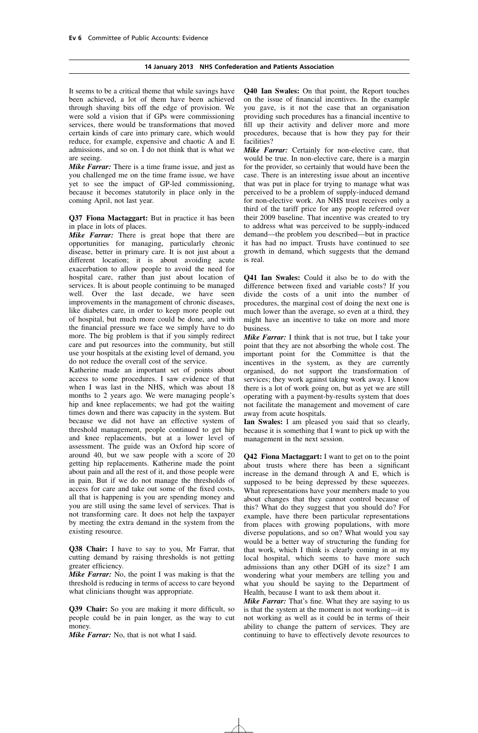#### **14 January 2013 NHS Confederation and Patients Association**

It seems to be a critical theme that while savings have been achieved, a lot of them have been achieved through shaving bits off the edge of provision. We were sold a vision that if GPs were commissioning services, there would be transformations that moved certain kinds of care into primary care, which would reduce, for example, expensive and chaotic A and E admissions, and so on.  $\overline{I}$  do not think that is what we are seeing.

*Mike Farrar:* There is a time frame issue, and just as you challenged me on the time frame issue, we have yet to see the impact of GP-led commissioning, because it becomes statutorily in place only in the coming April, not last year.

**Q37 Fiona Mactaggart:** But in practice it has been in place in lots of places.

*Mike Farrar:* There is great hope that there are opportunities for managing, particularly chronic disease, better in primary care. It is not just about a different location; it is about avoiding acute exacerbation to allow people to avoid the need for hospital care, rather than just about location of services. It is about people continuing to be managed well. Over the last decade, we have seen improvements in the management of chronic diseases, like diabetes care, in order to keep more people out of hospital, but much more could be done, and with the financial pressure we face we simply have to do more. The big problem is that if you simply redirect care and put resources into the community, but still use your hospitals at the existing level of demand, you do not reduce the overall cost of the service.

Katherine made an important set of points about access to some procedures. I saw evidence of that when I was last in the NHS, which was about 18 months to 2 years ago. We were managing people's hip and knee replacements; we had got the waiting times down and there was capacity in the system. But because we did not have an effective system of threshold management, people continued to get hip and knee replacements, but at a lower level of assessment. The guide was an Oxford hip score of around 40, but we saw people with a score of 20 getting hip replacements. Katherine made the point about pain and all the rest of it, and those people were in pain. But if we do not manage the thresholds of access for care and take out some of the fixed costs, all that is happening is you are spending money and you are still using the same level of services. That is not transforming care. It does not help the taxpayer by meeting the extra demand in the system from the existing resource.

**Q38 Chair:** I have to say to you, Mr Farrar, that cutting demand by raising thresholds is not getting greater efficiency.

*Mike Farrar:* No, the point I was making is that the threshold is reducing in terms of access to care beyond what clinicians thought was appropriate.

**Q39 Chair:** So you are making it more difficult, so people could be in pain longer, as the way to cut money.

*Mike Farrar:* No, that is not what I said.

**Q40 Ian Swales:** On that point, the Report touches on the issue of financial incentives. In the example you gave, is it not the case that an organisation providing such procedures has a financial incentive to fill up their activity and deliver more and more procedures, because that is how they pay for their facilities?

*Mike Farrar:* Certainly for non-elective care, that would be true. In non-elective care, there is a margin for the provider, so certainly that would have been the case. There is an interesting issue about an incentive that was put in place for trying to manage what was perceived to be a problem of supply-induced demand for non-elective work. An NHS trust receives only a third of the tariff price for any people referred over their 2009 baseline. That incentive was created to try to address what was perceived to be supply-induced demand—the problem you described—but in practice it has had no impact. Trusts have continued to see growth in demand, which suggests that the demand is real.

**Q41 Ian Swales:** Could it also be to do with the difference between fixed and variable costs? If you divide the costs of a unit into the number of procedures, the marginal cost of doing the next one is much lower than the average, so even at a third, they might have an incentive to take on more and more business.

*Mike Farrar:* I think that is not true, but I take your point that they are not absorbing the whole cost. The important point for the Committee is that the incentives in the system, as they are currently organised, do not support the transformation of services; they work against taking work away. I know there is a lot of work going on, but as yet we are still operating with a payment-by-results system that does not facilitate the management and movement of care away from acute hospitals.

**Ian Swales:** I am pleased you said that so clearly, because it is something that I want to pick up with the management in the next session.

**Q42 Fiona Mactaggart:** I want to get on to the point about trusts where there has been a significant increase in the demand through A and E, which is supposed to be being depressed by these squeezes. What representations have your members made to you about changes that they cannot control because of this? What do they suggest that you should do? For example, have there been particular representations from places with growing populations, with more diverse populations, and so on? What would you say would be a better way of structuring the funding for that work, which I think is clearly coming in at my local hospital, which seems to have more such admissions than any other DGH of its size? I am wondering what your members are telling you and what you should be saying to the Department of Health, because I want to ask them about it.

*Mike Farrar:* That's fine. What they are saying to us is that the system at the moment is not working—it is not working as well as it could be in terms of their ability to change the pattern of services. They are continuing to have to effectively devote resources to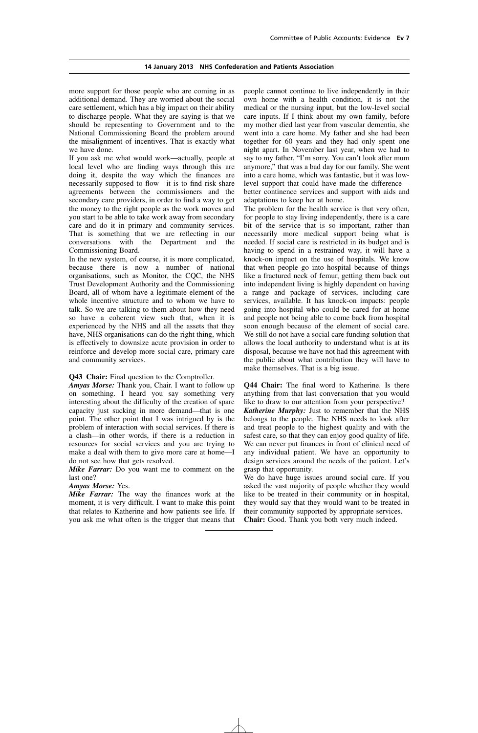#### **14 January 2013 NHS Confederation and Patients Association**

more support for those people who are coming in as additional demand. They are worried about the social care settlement, which has a big impact on their ability to discharge people. What they are saying is that we should be representing to Government and to the National Commissioning Board the problem around the misalignment of incentives. That is exactly what we have done.

If you ask me what would work—actually, people at local level who are finding ways through this are doing it, despite the way which the finances are necessarily supposed to flow—it is to find risk-share agreements between the commissioners and the secondary care providers, in order to find a way to get the money to the right people as the work moves and you start to be able to take work away from secondary care and do it in primary and community services. That is something that we are reflecting in our conversations with the Department and the Commissioning Board.

In the new system, of course, it is more complicated, because there is now a number of national organisations, such as Monitor, the CQC, the NHS Trust Development Authority and the Commissioning Board, all of whom have a legitimate element of the whole incentive structure and to whom we have to talk. So we are talking to them about how they need so have a coherent view such that, when it is experienced by the NHS and all the assets that they have, NHS organisations can do the right thing, which is effectively to downsize acute provision in order to reinforce and develop more social care, primary care and community services.

#### **Q43 Chair:** Final question to the Comptroller.

*Amyas Morse:* Thank you, Chair. I want to follow up on something. I heard you say something very interesting about the difficulty of the creation of spare capacity just sucking in more demand—that is one point. The other point that I was intrigued by is the problem of interaction with social services. If there is a clash—in other words, if there is a reduction in resources for social services and you are trying to make a deal with them to give more care at home—I do not see how that gets resolved.

*Mike Farrar:* Do you want me to comment on the last one?

#### *Amyas Morse:* Yes.

*Mike Farrar:* The way the finances work at the moment, it is very difficult. I want to make this point that relates to Katherine and how patients see life. If you ask me what often is the trigger that means that people cannot continue to live independently in their own home with a health condition, it is not the medical or the nursing input, but the low-level social care inputs. If I think about my own family, before my mother died last year from vascular dementia, she went into a care home. My father and she had been together for 60 years and they had only spent one night apart. In November last year, when we had to say to my father, "I'm sorry. You can't look after mum anymore," that was a bad day for our family. She went into a care home, which was fantastic, but it was lowlevel support that could have made the difference better continence services and support with aids and adaptations to keep her at home.

The problem for the health service is that very often, for people to stay living independently, there is a care bit of the service that is so important, rather than necessarily more medical support being what is needed. If social care is restricted in its budget and is having to spend in a restrained way, it will have a knock-on impact on the use of hospitals. We know that when people go into hospital because of things like a fractured neck of femur, getting them back out into independent living is highly dependent on having a range and package of services, including care services, available. It has knock-on impacts: people going into hospital who could be cared for at home and people not being able to come back from hospital soon enough because of the element of social care. We still do not have a social care funding solution that allows the local authority to understand what is at its disposal, because we have not had this agreement with the public about what contribution they will have to make themselves. That is a big issue.

**Q44 Chair:** The final word to Katherine. Is there anything from that last conversation that you would like to draw to our attention from your perspective? *Katherine Murphy:* Just to remember that the NHS belongs to the people. The NHS needs to look after and treat people to the highest quality and with the safest care, so that they can enjoy good quality of life. We can never put finances in front of clinical need of any individual patient. We have an opportunity to design services around the needs of the patient. Let's grasp that opportunity.

We do have huge issues around social care. If you asked the vast majority of people whether they would like to be treated in their community or in hospital, they would say that they would want to be treated in their community supported by appropriate services. **Chair:** Good. Thank you both very much indeed.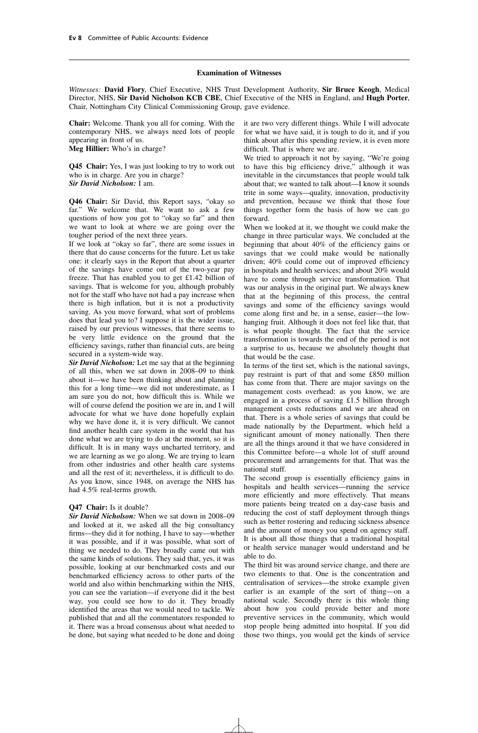#### **Examination of Witnesses**

*Witnesses:* **David Flory**, Chief Executive, NHS Trust Development Authority, **Sir Bruce Keogh**, Medical Director, NHS, **Sir David Nicholson KCB CBE**, Chief Executive of the NHS in England, and **Hugh Porter**, Chair, Nottingham City Clinical Commissioning Group, gave evidence.

**Chair:** Welcome. Thank you all for coming. With the contemporary NHS, we always need lots of people appearing in front of us. **Meg Hillier:** Who's in charge?

**Q45 Chair:** Yes, I was just looking to try to work out who is in charge. Are you in charge? *Sir David Nicholson:* I am.

**Q46 Chair:** Sir David, this Report says, "okay so far." We welcome that. We want to ask a few questions of how you got to "okay so far" and then we want to look at where we are going over the tougher period of the next three years.

If we look at "okay so far", there are some issues in there that do cause concerns for the future. Let us take one: it clearly says in the Report that about a quarter of the savings have come out of the two-year pay freeze. That has enabled you to get £1.42 billion of savings. That is welcome for you, although probably not for the staff who have not had a pay increase when there is high inflation, but it is not a productivity saving. As you move forward, what sort of problems does that lead you to? I suppose it is the wider issue, raised by our previous witnesses, that there seems to be very little evidence on the ground that the efficiency savings, rather than financial cuts, are being secured in a system-wide way.

*Sir David Nicholson:* Let me say that at the beginning of all this, when we sat down in 2008–09 to think about it—we have been thinking about and planning this for a long time—we did not underestimate, as I am sure you do not, how difficult this is. While we will of course defend the position we are in, and I will advocate for what we have done hopefully explain why we have done it, it is very difficult. We cannot find another health care system in the world that has done what we are trying to do at the moment, so it is difficult. It is in many ways uncharted territory, and we are learning as we go along. We are trying to learn from other industries and other health care systems and all the rest of it; nevertheless, it is difficult to do. As you know, since 1948, on average the NHS has had 4.5% real-terms growth.

#### **Q47 Chair:** Is it doable?

*Sir David Nicholson:* When we sat down in 2008–09 and looked at it, we asked all the big consultancy firms—they did it for nothing, I have to say—whether it was possible, and if it was possible, what sort of thing we needed to do. They broadly came out with the same kinds of solutions. They said that, yes, it was possible, looking at our benchmarked costs and our benchmarked efficiency across to other parts of the world and also within benchmarking within the NHS, you can see the variation—if everyone did it the best way, you could see how to do it. They broadly identified the areas that we would need to tackle. We published that and all the commentators responded to it. There was a broad consensus about what needed to be done, but saying what needed to be done and doing it are two very different things. While I will advocate for what we have said, it is tough to do it, and if you think about after this spending review, it is even more difficult. That is where we are.

We tried to approach it not by saying, "We're going to have this big efficiency drive," although it was inevitable in the circumstances that people would talk about that; we wanted to talk about—I know it sounds trite in some ways—quality, innovation, productivity and prevention, because we think that those four things together form the basis of how we can go forward.

When we looked at it, we thought we could make the change in three particular ways. We concluded at the beginning that about 40% of the efficiency gains or savings that we could make would be nationally driven; 40% could come out of improved efficiency in hospitals and health services; and about 20% would have to come through service transformation. That was our analysis in the original part. We always knew that at the beginning of this process, the central savings and some of the efficiency savings would come along first and be, in a sense, easier—the lowhanging fruit. Although it does not feel like that, that is what people thought. The fact that the service transformation is towards the end of the period is not a surprise to us, because we absolutely thought that that would be the case.

In terms of the first set, which is the national savings, pay restraint is part of that and some £850 million has come from that. There are major savings on the management costs overhead: as you know, we are engaged in a process of saving £1.5 billion through management costs reductions and we are ahead on that. There is a whole series of savings that could be made nationally by the Department, which held a significant amount of money nationally. Then there are all the things around it that we have considered in this Committee before—a whole lot of stuff around procurement and arrangements for that. That was the national stuff.

The second group is essentially efficiency gains in hospitals and health services—running the service more efficiently and more effectively. That means more patients being treated on a day-case basis and reducing the cost of staff deployment through things such as better rostering and reducing sickness absence and the amount of money you spend on agency staff. It is about all those things that a traditional hospital or health service manager would understand and be able to do.

The third bit was around service change, and there are two elements to that. One is the concentration and centralisation of services—the stroke example given earlier is an example of the sort of thing—on a national scale. Secondly there is this whole thing about how you could provide better and more preventive services in the community, which would stop people being admitted into hospital. If you did those two things, you would get the kinds of service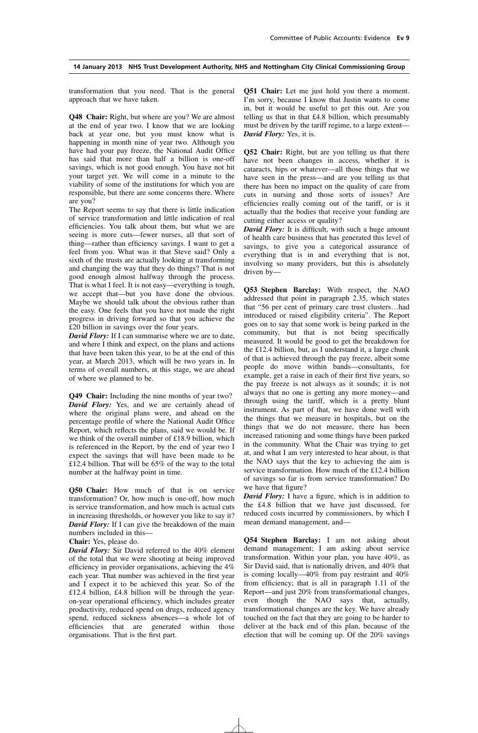transformation that you need. That is the general approach that we have taken.

**Q48 Chair:** Right, but where are you? We are almost at the end of year two. I know that we are looking back at year one, but you must know what is happening in month nine of year two. Although you have had your pay freeze, the National Audit Office has said that more than half a billion is one-off savings, which is not good enough. You have not hit your target yet. We will come in a minute to the viability of some of the institutions for which you are responsible, but there are some concerns there. Where are you?

The Report seems to say that there is little indication of service transformation and little indication of real efficiencies. You talk about them, but what we are seeing is more cuts—fewer nurses, all that sort of thing—rather than efficiency savings. I want to get a feel from you. What was it that Steve said? Only a sixth of the trusts are actually looking at transforming and changing the way that they do things? That is not good enough almost halfway through the process. That is what I feel. It is not easy—everything is tough, we accept that—but you have done the obvious. Maybe we should talk about the obvious rather than the easy. One feels that you have not made the right progress in driving forward so that you achieve the £20 billion in savings over the four years.

*David Flory:* If I can summarise where we are to date, and where I think and expect, on the plans and actions that have been taken this year, to be at the end of this year, at March 2013, which will be two years in. In terms of overall numbers, at this stage, we are ahead of where we planned to be.

**Q49 Chair:** Including the nine months of year two? *David Flory:* Yes, and we are certainly ahead of where the original plans were, and ahead on the percentage profile of where the National Audit Office Report, which reflects the plans, said we would be. If we think of the overall number of £18.9 billion, which is referenced in the Report, by the end of year two I expect the savings that will have been made to be £12.4 billion. That will be 65% of the way to the total number at the halfway point in time.

**Q50 Chair:** How much of that is on service transformation? Or, how much is one-off, how much is service transformation, and how much is actual cuts in increasing thresholds, or however you like to say it? *David Flory:* If I can give the breakdown of the main numbers included in this—

#### **Chair:** Yes, please do.

*David Flory:* Sir David referred to the 40% element of the total that we were shooting at being improved efficiency in provider organisations, achieving the  $4\%$ each year. That number was achieved in the first year and I expect it to be achieved this year. So of the £12.4 billion, £4.8 billion will be through the yearon-year operational efficiency, which includes greater productivity, reduced spend on drugs, reduced agency spend, reduced sickness absences—a whole lot of efficiencies that are generated within those organisations. That is the first part.

**Q51 Chair:** Let me just hold you there a moment. I'm sorry, because I know that Justin wants to come in, but it would be useful to get this out. Are you telling us that in that £4.8 billion, which presumably must be driven by the tariff regime, to a large extent— *David Flory:* Yes, it is.

**Q52 Chair:** Right, but are you telling us that there have not been changes in access, whether it is cataracts, hips or whatever—all those things that we have seen in the press—and are you telling us that there has been no impact on the quality of care from cuts in nursing and those sorts of issues? Are efficiencies really coming out of the tariff, or is it actually that the bodies that receive your funding are cutting either access or quality?

*David Flory:* It is difficult, with such a huge amount of health care business that has generated this level of savings, to give you a categorical assurance of everything that is in and everything that is not, involving so many providers, but this is absolutely driven by—

**Q53 Stephen Barclay:** With respect, the NAO addressed that point in paragraph 2.35, which states that "56 per cent of primary care trust clusters…had introduced or raised eligibility criteria". The Report goes on to say that some work is being parked in the community, but that is not being specifically measured. It would be good to get the breakdown for the £12.4 billion, but, as I understand it, a large chunk of that is achieved through the pay freeze, albeit some people do move within bands—consultants, for example, get a raise in each of their first five years, so the pay freeze is not always as it sounds; it is not always that no one is getting any more money—and through using the tariff, which is a pretty blunt instrument. As part of that, we have done well with the things that we measure in hospitals, but on the things that we do not measure, there has been increased rationing and some things have been parked in the community. What the Chair was trying to get at, and what I am very interested to hear about, is that the NAO says that the key to achieving the aim is service transformation. How much of the £12.4 billion of savings so far is from service transformation? Do we have that figure?

*David Flory:* I have a figure, which is in addition to the £4.8 billion that we have just discussed, for reduced costs incurred by commissioners, by which I mean demand management, and—

**Q54 Stephen Barclay:** I am not asking about demand management; I am asking about service transformation. Within your plan, you have 40%, as Sir David said, that is nationally driven, and 40% that is coming locally—40% from pay restraint and 40% from efficiency; that is all in paragraph 1.11 of the Report—and just 20% from transformational changes, even though the NAO says that, actually, transformational changes are the key. We have already touched on the fact that they are going to be harder to deliver at the back end of this plan, because of the election that will be coming up. Of the 20% savings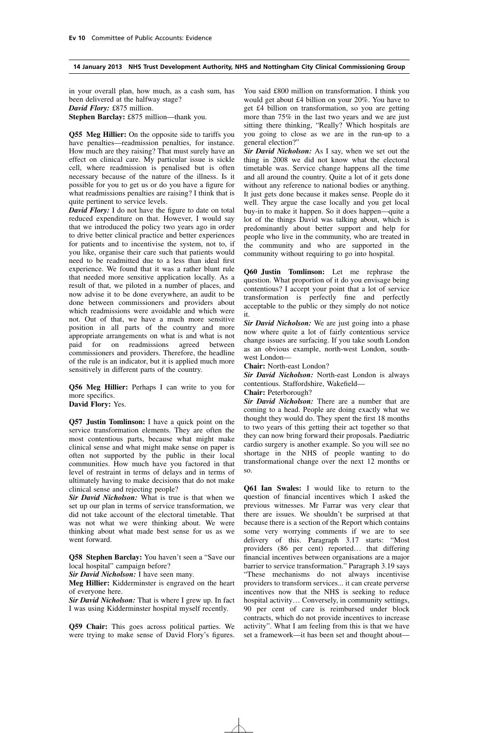in your overall plan, how much, as a cash sum, has been delivered at the halfway stage? *David Flory:* £875 million.

**Stephen Barclay:** £875 million—thank you.

**Q55 Meg Hillier:** On the opposite side to tariffs you have penalties—readmission penalties, for instance. How much are they raising? That must surely have an effect on clinical care. My particular issue is sickle cell, where readmission is penalised but is often necessary because of the nature of the illness. Is it possible for you to get us or do you have a figure for what readmissions penalties are raising? I think that is quite pertinent to service levels.

*David Flory:* I do not have the figure to date on total reduced expenditure on that. However, I would say that we introduced the policy two years ago in order to drive better clinical practice and better experiences for patients and to incentivise the system, not to, if you like, organise their care such that patients would need to be readmitted due to a less than ideal first experience. We found that it was a rather blunt rule that needed more sensitive application locally. As a result of that, we piloted in a number of places, and now advise it to be done everywhere, an audit to be done between commissioners and providers about which readmissions were avoidable and which were not. Out of that, we have a much more sensitive position in all parts of the country and more appropriate arrangements on what is and what is not paid for on readmissions agreed between commissioners and providers. Therefore, the headline of the rule is an indicator, but it is applied much more sensitively in different parts of the country.

**Q56 Meg Hillier:** Perhaps I can write to you for more specifics.

**David Flory:** Yes.

**Q57 Justin Tomlinson:** I have a quick point on the service transformation elements. They are often the most contentious parts, because what might make clinical sense and what might make sense on paper is often not supported by the public in their local communities. How much have you factored in that level of restraint in terms of delays and in terms of ultimately having to make decisions that do not make clinical sense and rejecting people?

*Sir David Nicholson:* What is true is that when we set up our plan in terms of service transformation, we did not take account of the electoral timetable. That was not what we were thinking about. We were thinking about what made best sense for us as we went forward.

**Q58 Stephen Barclay:** You haven't seen a "Save our local hospital" campaign before?

*Sir David Nicholson:* I have seen many.

**Meg Hillier:** Kidderminster is engraved on the heart of everyone here.

*Sir David Nicholson:* That is where I grew up. In fact I was using Kidderminster hospital myself recently.

**Q59 Chair:** This goes across political parties. We were trying to make sense of David Flory's figures. You said £800 million on transformation. I think you would get about £4 billion on your 20%. You have to get £4 billion on transformation, so you are getting more than 75% in the last two years and we are just sitting there thinking, "Really? Which hospitals are you going to close as we are in the run-up to a general election?"

*Sir David Nicholson:* As I say, when we set out the thing in 2008 we did not know what the electoral timetable was. Service change happens all the time and all around the country. Quite a lot of it gets done without any reference to national bodies or anything. It just gets done because it makes sense. People do it well. They argue the case locally and you get local buy-in to make it happen. So it does happen—quite a lot of the things David was talking about, which is predominantly about better support and help for people who live in the community, who are treated in the community and who are supported in the community without requiring to go into hospital.

**Q60 Justin Tomlinson:** Let me rephrase the question. What proportion of it do you envisage being contentious? I accept your point that a lot of service transformation is perfectly fine and perfectly acceptable to the public or they simply do not notice it.

*Sir David Nicholson:* We are just going into a phase now where quite a lot of fairly contentious service change issues are surfacing. If you take south London as an obvious example, north-west London, southwest London—

**Chair:** North-east London?

*Sir David Nicholson:* North-east London is always contentious. Staffordshire, Wakefield—

#### **Chair:** Peterborough?

*Sir David Nicholson:* There are a number that are coming to a head. People are doing exactly what we thought they would do. They spent the first 18 months to two years of this getting their act together so that they can now bring forward their proposals. Paediatric cardio surgery is another example. So you will see no shortage in the NHS of people wanting to do transformational change over the next 12 months or so.

**Q61 Ian Swales:** I would like to return to the question of financial incentives which I asked the previous witnesses. Mr Farrar was very clear that there are issues. We shouldn't be surprised at that because there is a section of the Report which contains some very worrying comments if we are to see delivery of this. Paragraph 3.17 starts: "Most providers (86 per cent) reported… that differing financial incentives between organisations are a major barrier to service transformation." Paragraph 3.19 says "These mechanisms do not always incentivise providers to transform services... it can create perverse incentives now that the NHS is seeking to reduce hospital activity… Conversely, in community settings, 90 per cent of care is reimbursed under block contracts, which do not provide incentives to increase activity". What I am feeling from this is that we have set a framework—it has been set and thought about—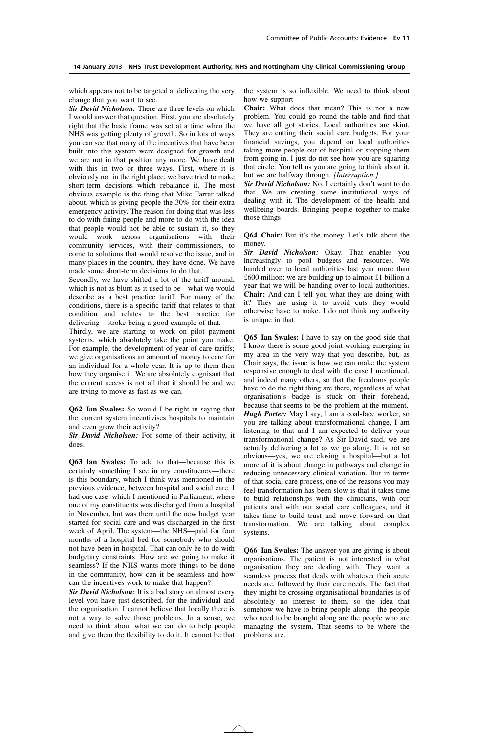which appears not to be targeted at delivering the very change that you want to see.

*Sir David Nicholson:* There are three levels on which I would answer that question. First, you are absolutely right that the basic frame was set at a time when the NHS was getting plenty of growth. So in lots of ways you can see that many of the incentives that have been built into this system were designed for growth and we are not in that position any more. We have dealt with this in two or three ways. First, where it is obviously not in the right place, we have tried to make short-term decisions which rebalance it. The most obvious example is the thing that Mike Farrar talked about, which is giving people the 30% for their extra emergency activity. The reason for doing that was less to do with fining people and more to do with the idea that people would not be able to sustain it, so they would work across organisations with their community services, with their commissioners, to come to solutions that would resolve the issue, and in many places in the country, they have done. We have made some short-term decisions to do that.

Secondly, we have shifted a lot of the tariff around, which is not as blunt as it used to be—what we would describe as a best practice tariff. For many of the conditions, there is a specific tariff that relates to that condition and relates to the best practice for delivering—stroke being a good example of that.

Thirdly, we are starting to work on pilot payment systems, which absolutely take the point you make. For example, the development of year-of-care tariffs; we give organisations an amount of money to care for an individual for a whole year. It is up to them then how they organise it. We are absolutely cognisant that the current access is not all that it should be and we are trying to move as fast as we can.

**Q62 Ian Swales:** So would I be right in saying that the current system incentivises hospitals to maintain and even grow their activity?

*Sir David Nicholson:* For some of their activity, it does.

**Q63 Ian Swales:** To add to that—because this is certainly something I see in my constituency—there is this boundary, which I think was mentioned in the previous evidence, between hospital and social care. I had one case, which I mentioned in Parliament, where one of my constituents was discharged from a hospital in November, but was there until the new budget year started for social care and was discharged in the first week of April. The system—the NHS—paid for four months of a hospital bed for somebody who should not have been in hospital. That can only be to do with budgetary constraints. How are we going to make it seamless? If the NHS wants more things to be done in the community, how can it be seamless and how can the incentives work to make that happen?

*Sir David Nicholson:* It is a bad story on almost every level you have just described, for the individual and the organisation. I cannot believe that locally there is not a way to solve those problems. In a sense, we need to think about what we can do to help people and give them the flexibility to do it. It cannot be that the system is so inflexible. We need to think about how we support—

**Chair:** What does that mean? This is not a new problem. You could go round the table and find that we have all got stories. Local authorities are skint. They are cutting their social care budgets. For your financial savings, you depend on local authorities taking more people out of hospital or stopping them from going in. I just do not see how you are squaring that circle. You tell us you are going to think about it, but we are halfway through. *[Interruption.]*

*Sir David Nicholson:* No, I certainly don't want to do that. We are creating some institutional ways of dealing with it. The development of the health and wellbeing boards. Bringing people together to make those things—

**Q64 Chair:** But it's the money. Let's talk about the money.

*Sir David Nicholson:* Okay. That enables you increasingly to pool budgets and resources. We handed over to local authorities last year more than £600 million; we are building up to almost £1 billion a year that we will be handing over to local authorities. **Chair:** And can I tell you what they are doing with it? They are using it to avoid cuts they would otherwise have to make. I do not think my authority is unique in that.

**Q65 Ian Swales:** I have to say on the good side that I know there is some good joint working emerging in my area in the very way that you describe, but, as Chair says, the issue is how we can make the system responsive enough to deal with the case I mentioned, and indeed many others, so that the freedoms people have to do the right thing are there, regardless of what organisation's badge is stuck on their forehead, because that seems to be the problem at the moment. *Hugh Porter:* May I say, I am a coal-face worker, so you are talking about transformational change, I am listening to that and I am expected to deliver your transformational change? As Sir David said, we are actually delivering a lot as we go along. It is not so obvious—yes, we are closing a hospital—but a lot more of it is about change in pathways and change in reducing unnecessary clinical variation. But in terms of that social care process, one of the reasons you may feel transformation has been slow is that it takes time to build relationships with the clinicians, with our patients and with our social care colleagues, and it takes time to build trust and move forward on that transformation. We are talking about complex systems.

**Q66 Ian Swales:** The answer you are giving is about organisations. The patient is not interested in what organisation they are dealing with. They want a seamless process that deals with whatever their acute needs are, followed by their care needs. The fact that they might be crossing organisational boundaries is of absolutely no interest to them, so the idea that somehow we have to bring people along—the people who need to be brought along are the people who are managing the system. That seems to be where the problems are.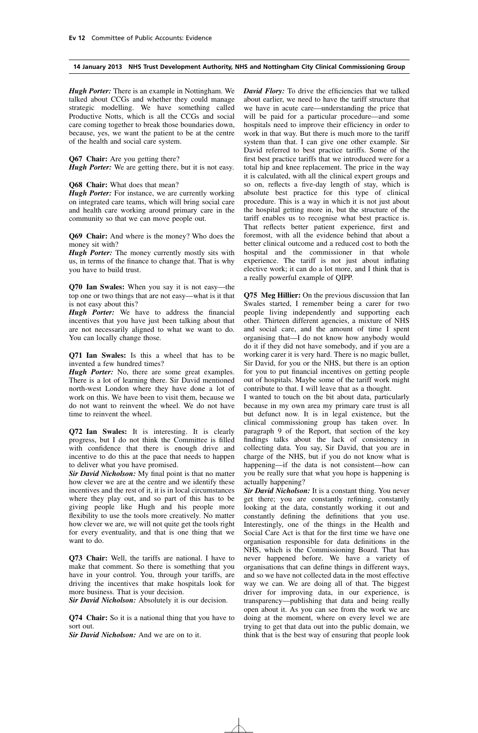*Hugh Porter:* There is an example in Nottingham. We talked about CCGs and whether they could manage strategic modelling. We have something called Productive Notts, which is all the CCGs and social care coming together to break those boundaries down, because, yes, we want the patient to be at the centre of the health and social care system.

**Q67 Chair:** Are you getting there?

*Hugh Porter:* We are getting there, but it is not easy.

#### **Q68 Chair:** What does that mean?

*Hugh Porter:* For instance, we are currently working on integrated care teams, which will bring social care and health care working around primary care in the community so that we can move people out.

**Q69 Chair:** And where is the money? Who does the money sit with?

*Hugh Porter:* The money currently mostly sits with us, in terms of the finance to change that. That is why you have to build trust.

**Q70 Ian Swales:** When you say it is not easy—the top one or two things that are not easy—what is it that is not easy about this?

*Hugh Porter:* We have to address the financial incentives that you have just been talking about that are not necessarily aligned to what we want to do. You can locally change those.

**Q71 Ian Swales:** Is this a wheel that has to be invented a few hundred times?

*Hugh Porter:* No, there are some great examples. There is a lot of learning there. Sir David mentioned north-west London where they have done a lot of work on this. We have been to visit them, because we do not want to reinvent the wheel. We do not have time to reinvent the wheel.

**Q72 Ian Swales:** It is interesting. It is clearly progress, but I do not think the Committee is filled with confidence that there is enough drive and incentive to do this at the pace that needs to happen to deliver what you have promised.

*Sir David Nicholson:* My final point is that no matter how clever we are at the centre and we identify these incentives and the rest of it, it is in local circumstances where they play out, and so part of this has to be giving people like Hugh and his people more flexibility to use the tools more creatively. No matter how clever we are, we will not quite get the tools right for every eventuality, and that is one thing that we want to do.

**Q73 Chair:** Well, the tariffs are national. I have to make that comment. So there is something that you have in your control. You, through your tariffs, are driving the incentives that make hospitals look for more business. That is your decision.

*Sir David Nicholson:* Absolutely it is our decision.

**Q74 Chair:** So it is a national thing that you have to sort out.

*Sir David Nicholson:* And we are on to it.

*David Flory:* To drive the efficiencies that we talked about earlier, we need to have the tariff structure that we have in acute care—understanding the price that will be paid for a particular procedure—and some hospitals need to improve their efficiency in order to work in that way. But there is much more to the tariff system than that. I can give one other example. Sir David referred to best practice tariffs. Some of the first best practice tariffs that we introduced were for a total hip and knee replacement. The price in the way it is calculated, with all the clinical expert groups and so on, reflects a five-day length of stay, which is absolute best practice for this type of clinical procedure. This is a way in which it is not just about the hospital getting more in, but the structure of the tariff enables us to recognise what best practice is. That reflects better patient experience, first and foremost, with all the evidence behind that about a better clinical outcome and a reduced cost to both the hospital and the commissioner in that whole experience. The tariff is not just about inflating elective work; it can do a lot more, and I think that is a really powerful example of QIPP.

**Q75 Meg Hillier:** On the previous discussion that Ian Swales started, I remember being a carer for two people living independently and supporting each other. Thirteen different agencies, a mixture of NHS and social care, and the amount of time I spent organising that—I do not know how anybody would do it if they did not have somebody, and if you are a working carer it is very hard. There is no magic bullet, Sir David, for you or the NHS, but there is an option for you to put financial incentives on getting people out of hospitals. Maybe some of the tariff work might contribute to that. I will leave that as a thought.

I wanted to touch on the bit about data, particularly because in my own area my primary care trust is all but defunct now. It is in legal existence, but the clinical commissioning group has taken over. In paragraph 9 of the Report, that section of the key findings talks about the lack of consistency in collecting data. You say, Sir David, that you are in charge of the NHS, but if you do not know what is happening—if the data is not consistent—how can you be really sure that what you hope is happening is actually happening?

*Sir David Nicholson:* It is a constant thing. You never get there; you are constantly refining, constantly looking at the data, constantly working it out and constantly defining the definitions that you use. Interestingly, one of the things in the Health and Social Care Act is that for the first time we have one organisation responsible for data definitions in the NHS, which is the Commissioning Board. That has never happened before. We have a variety of organisations that can define things in different ways, and so we have not collected data in the most effective way we can. We are doing all of that. The biggest driver for improving data, in our experience, is transparency—publishing that data and being really open about it. As you can see from the work we are doing at the moment, where on every level we are trying to get that data out into the public domain, we think that is the best way of ensuring that people look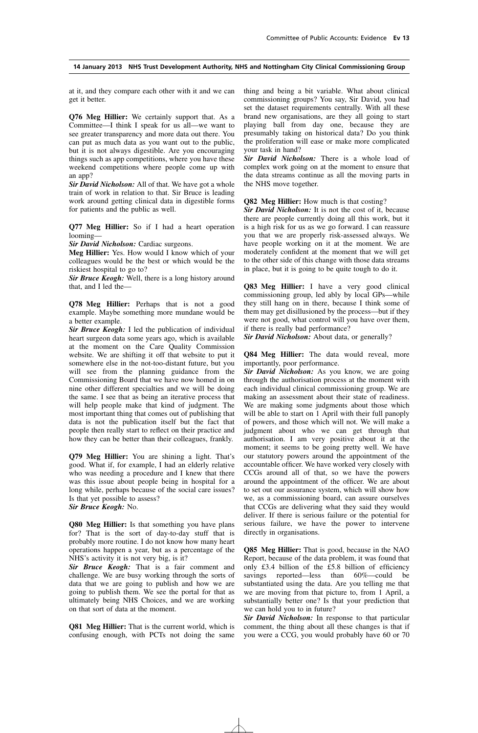at it, and they compare each other with it and we can get it better.

**Q76 Meg Hillier:** We certainly support that. As a Committee—I think I speak for us all—we want to see greater transparency and more data out there. You can put as much data as you want out to the public, but it is not always digestible. Are you encouraging things such as app competitions, where you have these weekend competitions where people come up with an app?

*Sir David Nicholson:* All of that. We have got a whole train of work in relation to that. Sir Bruce is leading work around getting clinical data in digestible forms for patients and the public as well.

**Q77 Meg Hillier:** So if I had a heart operation looming—

*Sir David Nicholson:* Cardiac surgeons.

**Meg Hillier:** Yes. How would I know which of your colleagues would be the best or which would be the riskiest hospital to go to?

*Sir Bruce Keogh:* Well, there is a long history around that, and I led the—

**Q78 Meg Hillier:** Perhaps that is not a good example. Maybe something more mundane would be a better example.

*Sir Bruce Keogh:* I led the publication of individual heart surgeon data some years ago, which is available at the moment on the Care Quality Commission website. We are shifting it off that website to put it somewhere else in the not-too-distant future, but you will see from the planning guidance from the Commissioning Board that we have now homed in on nine other different specialties and we will be doing the same. I see that as being an iterative process that will help people make that kind of judgment. The most important thing that comes out of publishing that data is not the publication itself but the fact that people then really start to reflect on their practice and how they can be better than their colleagues, frankly.

**Q79 Meg Hillier:** You are shining a light. That's good. What if, for example, I had an elderly relative who was needing a procedure and I knew that there was this issue about people being in hospital for a long while, perhaps because of the social care issues? Is that yet possible to assess? *Sir Bruce Keogh:* No.

**Q80 Meg Hillier:** Is that something you have plans for? That is the sort of day-to-day stuff that is probably more routine. I do not know how many heart operations happen a year, but as a percentage of the NHS's activity it is not very big, is it?

*Sir Bruce Keogh:* That is a fair comment and challenge. We are busy working through the sorts of data that we are going to publish and how we are going to publish them. We see the portal for that as ultimately being NHS Choices, and we are working on that sort of data at the moment.

**Q81 Meg Hillier:** That is the current world, which is confusing enough, with PCTs not doing the same thing and being a bit variable. What about clinical commissioning groups? You say, Sir David, you had set the dataset requirements centrally. With all these brand new organisations, are they all going to start playing ball from day one, because they are presumably taking on historical data? Do you think the proliferation will ease or make more complicated your task in hand?

*Sir David Nicholson:* There is a whole load of complex work going on at the moment to ensure that the data streams continue as all the moving parts in the NHS move together.

**Q82 Meg Hillier:** How much is that costing?

*Sir David Nicholson:* It is not the cost of it, because there are people currently doing all this work, but it is a high risk for us as we go forward. I can reassure you that we are properly risk-assessed always. We have people working on it at the moment. We are moderately confident at the moment that we will get to the other side of this change with those data streams in place, but it is going to be quite tough to do it.

**Q83 Meg Hillier:** I have a very good clinical commissioning group, led ably by local GPs—while they still hang on in there, because I think some of them may get disillusioned by the process—but if they were not good, what control will you have over them, if there is really bad performance?

*Sir David Nicholson:* About data, or generally?

**Q84 Meg Hillier:** The data would reveal, more importantly, poor performance.

*Sir David Nicholson:* As you know, we are going through the authorisation process at the moment with each individual clinical commissioning group. We are making an assessment about their state of readiness. We are making some judgments about those which will be able to start on 1 April with their full panoply of powers, and those which will not. We will make a judgment about who we can get through that authorisation. I am very positive about it at the moment; it seems to be going pretty well. We have our statutory powers around the appointment of the accountable officer. We have worked very closely with CCGs around all of that, so we have the powers around the appointment of the officer. We are about to set out our assurance system, which will show how we, as a commissioning board, can assure ourselves that CCGs are delivering what they said they would deliver. If there is serious failure or the potential for serious failure, we have the power to intervene directly in organisations.

**Q85 Meg Hillier:** That is good, because in the NAO Report, because of the data problem, it was found that only £3.4 billion of the  $£5.8$  billion of efficiency savings reported—less than 60%—could be substantiated using the data. Are you telling me that we are moving from that picture to, from 1 April, a substantially better one? Is that your prediction that we can hold you to in future?

*Sir David Nicholson:* In response to that particular comment, the thing about all these changes is that if you were a CCG, you would probably have 60 or 70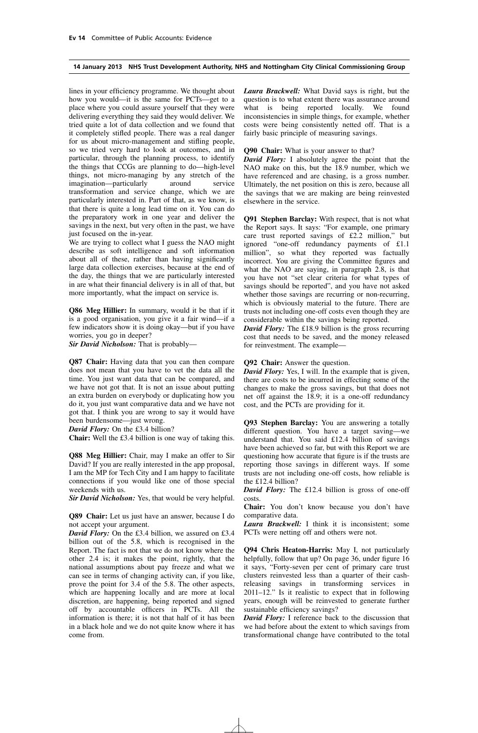lines in your efficiency programme. We thought about how you would—it is the same for PCTs—get to a place where you could assure yourself that they were delivering everything they said they would deliver. We tried quite a lot of data collection and we found that it completely stifled people. There was a real danger for us about micro-management and stifling people, so we tried very hard to look at outcomes, and in particular, through the planning process, to identify the things that CCGs are planning to do—high-level things, not micro-managing by any stretch of the imagination—particularly around service imagination—particularly around service transformation and service change, which we are particularly interested in. Part of that, as we know, is that there is quite a long lead time on it. You can do the preparatory work in one year and deliver the savings in the next, but very often in the past, we have just focused on the in-year.

We are trying to collect what I guess the NAO might describe as soft intelligence and soft information about all of these, rather than having significantly large data collection exercises, because at the end of the day, the things that we are particularly interested in are what their financial delivery is in all of that, but more importantly, what the impact on service is.

**Q86 Meg Hillier:** In summary, would it be that if it is a good organisation, you give it a fair wind—if a few indicators show it is doing okay—but if you have worries, you go in deeper?

*Sir David Nicholson:* That is probably—

**Q87 Chair:** Having data that you can then compare does not mean that you have to vet the data all the time. You just want data that can be compared, and we have not got that. It is not an issue about putting an extra burden on everybody or duplicating how you do it, you just want comparative data and we have not got that. I think you are wrong to say it would have been burdensome—just wrong.

*David Flory:* On the £3.4 billion?

**Chair:** Well the £3.4 billion is one way of taking this.

**Q88 Meg Hillier:** Chair, may I make an offer to Sir David? If you are really interested in the app proposal, I am the MP for Tech City and I am happy to facilitate connections if you would like one of those special weekends with us.

*Sir David Nicholson:* Yes, that would be very helpful.

**Q89 Chair:** Let us just have an answer, because I do not accept your argument.

*David Flory:* On the £3.4 billion, we assured on £3.4 billion out of the 5.8, which is recognised in the Report. The fact is not that we do not know where the other 2.4 is; it makes the point, rightly, that the national assumptions about pay freeze and what we can see in terms of changing activity can, if you like, prove the point for 3.4 of the 5.8. The other aspects, which are happening locally and are more at local discretion, are happening, being reported and signed off by accountable officers in PCTs. All the information is there; it is not that half of it has been in a black hole and we do not quite know where it has come from.

*Laura Brackwell:* What David says is right, but the question is to what extent there was assurance around what is being reported locally. We found inconsistencies in simple things, for example, whether costs were being consistently netted off. That is a fairly basic principle of measuring savings.

**Q90 Chair:** What is your answer to that?

*David Flory:* I absolutely agree the point that the NAO make on this, but the 18.9 number, which we have referenced and are chasing, is a gross number. Ultimately, the net position on this is zero, because all the savings that we are making are being reinvested elsewhere in the service.

**Q91 Stephen Barclay:** With respect, that is not what the Report says. It says: "For example, one primary care trust reported savings of £2.2 million," but ignored "one-off redundancy payments of £1.1 million", so what they reported was factually incorrect. You are giving the Committee figures and what the NAO are saying, in paragraph 2.8, is that you have not "set clear criteria for what types of savings should be reported", and you have not asked whether those savings are recurring or non-recurring, which is obviously material to the future. There are trusts not including one-off costs even though they are considerable within the savings being reported.

*David Flory:* The £18.9 billion is the gross recurring cost that needs to be saved, and the money released for reinvestment. The example—

#### **Q92 Chair:** Answer the question.

*David Flory:* Yes, I will. In the example that is given, there are costs to be incurred in effecting some of the changes to make the gross savings, but that does not net off against the 18.9; it is a one-off redundancy cost, and the PCTs are providing for it.

**Q93 Stephen Barclay:** You are answering a totally different question. You have a target saving—we understand that. You said £12.4 billion of savings have been achieved so far, but with this Report we are questioning how accurate that figure is if the trusts are reporting those savings in different ways. If some trusts are not including one-off costs, how reliable is the £12.4 billion?

*David Flory:* The £12.4 billion is gross of one-off costs.

**Chair:** You don't know because you don't have comparative data.

*Laura Brackwell:* I think it is inconsistent; some PCTs were netting off and others were not.

**Q94 Chris Heaton-Harris:** May I, not particularly helpfully, follow that up? On page 36, under figure 16 it says, "Forty-seven per cent of primary care trust clusters reinvested less than a quarter of their cashreleasing savings in transforming services in 2011–12." Is it realistic to expect that in following years, enough will be reinvested to generate further sustainable efficiency savings?

*David Flory:* I reference back to the discussion that we had before about the extent to which savings from transformational change have contributed to the total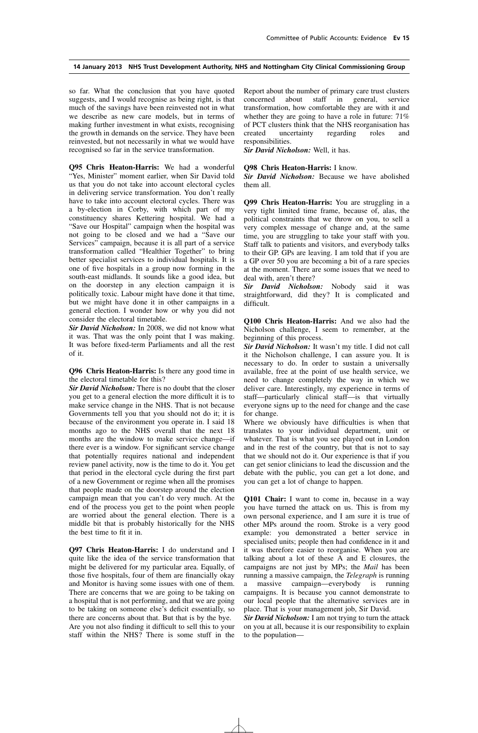so far. What the conclusion that you have quoted suggests, and I would recognise as being right, is that much of the savings have been reinvested not in what we describe as new care models, but in terms of making further investment in what exists, recognising the growth in demands on the service. They have been reinvested, but not necessarily in what we would have recognised so far in the service transformation.

**Q95 Chris Heaton-Harris:** We had a wonderful "Yes, Minister" moment earlier, when Sir David told us that you do not take into account electoral cycles in delivering service transformation. You don't really have to take into account electoral cycles. There was a by-election in Corby, with which part of my constituency shares Kettering hospital. We had a "Save our Hospital" campaign when the hospital was not going to be closed and we had a "Save our Services" campaign, because it is all part of a service transformation called "Healthier Together" to bring better specialist services to individual hospitals. It is one of five hospitals in a group now forming in the south-east midlands. It sounds like a good idea, but on the doorstep in any election campaign it is politically toxic. Labour might have done it that time, but we might have done it in other campaigns in a general election. I wonder how or why you did not consider the electoral timetable.

*Sir David Nicholson:* In 2008, we did not know what it was. That was the only point that I was making. It was before fixed-term Parliaments and all the rest of it.

**Q96 Chris Heaton-Harris:** Is there any good time in the electoral timetable for this?

*Sir David Nicholson:* There is no doubt that the closer you get to a general election the more difficult it is to make service change in the NHS. That is not because Governments tell you that you should not do it; it is because of the environment you operate in. I said 18 months ago to the NHS overall that the next 18 months are the window to make service change—if there ever is a window. For significant service change that potentially requires national and independent review panel activity, now is the time to do it. You get that period in the electoral cycle during the first part of a new Government or regime when all the promises that people made on the doorstep around the election campaign mean that you can't do very much. At the end of the process you get to the point when people are worried about the general election. There is a middle bit that is probably historically for the NHS the best time to fit it in.

**Q97 Chris Heaton-Harris:** I do understand and I quite like the idea of the service transformation that might be delivered for my particular area. Equally, of those five hospitals, four of them are financially okay and Monitor is having some issues with one of them. There are concerns that we are going to be taking on a hospital that is not performing, and that we are going to be taking on someone else's deficit essentially, so there are concerns about that. But that is by the bye. Are you not also finding it difficult to sell this to your staff within the NHS? There is some stuff in the Report about the number of primary care trust clusters concerned about staff in general, service transformation, how comfortable they are with it and whether they are going to have a role in future:  $71\%$ of PCT clusters think that the NHS reorganisation has created uncertainty regarding roles and responsibilities.

*Sir David Nicholson:* Well, it has.

#### **Q98 Chris Heaton-Harris:** I know.

*Sir David Nicholson:* Because we have abolished them all.

**Q99 Chris Heaton-Harris:** You are struggling in a very tight limited time frame, because of, alas, the political constraints that we throw on you, to sell a very complex message of change and, at the same time, you are struggling to take your staff with you. Staff talk to patients and visitors, and everybody talks to their GP. GPs are leaving. I am told that if you are a GP over 50 you are becoming a bit of a rare species at the moment. There are some issues that we need to deal with, aren't there?

*Sir David Nicholson:* Nobody said it was straightforward, did they? It is complicated and difficult.

**Q100 Chris Heaton-Harris:** And we also had the Nicholson challenge, I seem to remember, at the beginning of this process.

*Sir David Nicholson:* It wasn't my title. I did not call it the Nicholson challenge, I can assure you. It is necessary to do. In order to sustain a universally available, free at the point of use health service, we need to change completely the way in which we deliver care. Interestingly, my experience in terms of staff—particularly clinical staff—is that virtually everyone signs up to the need for change and the case for change.

Where we obviously have difficulties is when that translates to your individual department, unit or whatever. That is what you see played out in London and in the rest of the country, but that is not to say that we should not do it. Our experience is that if you can get senior clinicians to lead the discussion and the debate with the public, you can get a lot done, and you can get a lot of change to happen.

**Q101 Chair:** I want to come in, because in a way you have turned the attack on us. This is from my own personal experience, and I am sure it is true of other MPs around the room. Stroke is a very good example: you demonstrated a better service in specialised units; people then had confidence in it and it was therefore easier to reorganise. When you are talking about a lot of these A and E closures, the campaigns are not just by MPs; the *Mail* has been running a massive campaign, the *Telegraph* is running a massive campaign—everybody is running campaigns. It is because you cannot demonstrate to our local people that the alternative services are in place. That is your management job, Sir David.

*Sir David Nicholson:* I am not trying to turn the attack on you at all, because it is our responsibility to explain to the population—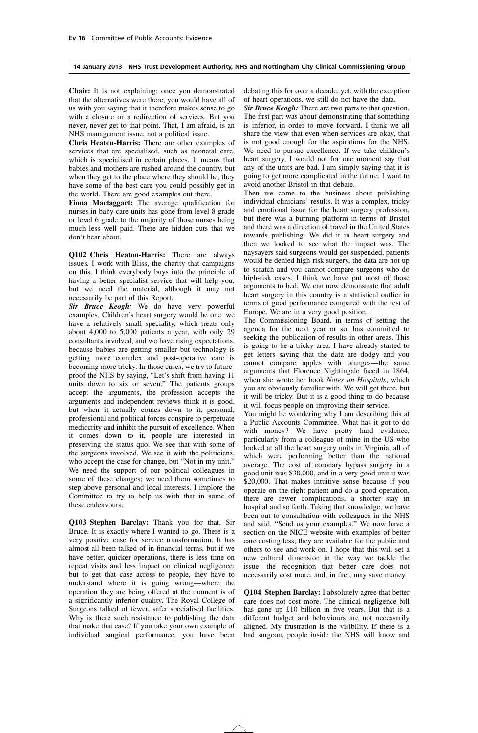**Chair:** It is not explaining; once you demonstrated that the alternatives were there, you would have all of us with you saying that it therefore makes sense to go with a closure or a redirection of services. But you never, never get to that point. That, I am afraid, is an NHS management issue, not a political issue.

**Chris Heaton-Harris:** There are other examples of services that are specialised, such as neonatal care, which is specialised in certain places. It means that babies and mothers are rushed around the country, but when they get to the place where they should be, they have some of the best care you could possibly get in the world. There are good examples out there.

**Fiona Mactaggart:** The average qualification for nurses in baby care units has gone from level 8 grade or level 6 grade to the majority of those nurses being much less well paid. There are hidden cuts that we don't hear about.

**Q102 Chris Heaton-Harris:** There are always issues. I work with Bliss, the charity that campaigns on this. I think everybody buys into the principle of having a better specialist service that will help you; but we need the material, although it may not necessarily be part of this Report.

*Sir Bruce Keogh:* We do have very powerful examples. Children's heart surgery would be one: we have a relatively small speciality, which treats only about 4,000 to 5,000 patients a year, with only 29 consultants involved, and we have rising expectations, because babies are getting smaller but technology is getting more complex and post-operative care is becoming more tricky. In those cases, we try to futureproof the NHS by saying, "Let's shift from having 11 units down to six or seven." The patients groups accept the arguments, the profession accepts the arguments and independent reviews think it is good, but when it actually comes down to it, personal, professional and political forces conspire to perpetuate mediocrity and inhibit the pursuit of excellence. When it comes down to it, people are interested in preserving the status quo. We see that with some of the surgeons involved. We see it with the politicians, who accept the case for change, but "Not in my unit." We need the support of our political colleagues in some of these changes; we need them sometimes to step above personal and local interests. I implore the Committee to try to help us with that in some of these endeavours.

**Q103 Stephen Barclay:** Thank you for that, Sir Bruce. It is exactly where I wanted to go. There is a very positive case for service transformation. It has almost all been talked of in financial terms, but if we have better, quicker operations, there is less time on repeat visits and less impact on clinical negligence; but to get that case across to people, they have to understand where it is going wrong—where the operation they are being offered at the moment is of a significantly inferior quality. The Royal College of Surgeons talked of fewer, safer specialised facilities. Why is there such resistance to publishing the data that make that case? If you take your own example of individual surgical performance, you have been debating this for over a decade, yet, with the exception of heart operations, we still do not have the data.

*Sir Bruce Keogh:* There are two parts to that question. The first part was about demonstrating that something is inferior, in order to move forward. I think we all share the view that even when services are okay, that is not good enough for the aspirations for the NHS. We need to pursue excellence. If we take children's heart surgery, I would not for one moment say that any of the units are bad. I am simply saying that it is going to get more complicated in the future. I want to avoid another Bristol in that debate.

Then we come to the business about publishing individual clinicians' results. It was a complex, tricky and emotional issue for the heart surgery profession, but there was a burning platform in terms of Bristol and there was a direction of travel in the United States towards publishing. We did it in heart surgery and then we looked to see what the impact was. The naysayers said surgeons would get suspended, patients would be denied high-risk surgery, the data are not up to scratch and you cannot compare surgeons who do high-risk cases. I think we have put most of those arguments to bed. We can now demonstrate that adult heart surgery in this country is a statistical outlier in terms of good performance compared with the rest of Europe. We are in a very good position.

The Commissioning Board, in terms of setting the agenda for the next year or so, has committed to seeking the publication of results in other areas. This is going to be a tricky area. I have already started to get letters saying that the data are dodgy and you cannot compare apples with oranges—the same arguments that Florence Nightingale faced in 1864, when she wrote her book *Notes on Hospitals*, which you are obviously familiar with. We will get there, but it will be tricky. But it is a good thing to do because it will focus people on improving their service.

You might be wondering why I am describing this at a Public Accounts Committee. What has it got to do with money? We have pretty hard evidence, particularly from a colleague of mine in the US who looked at all the heart surgery units in Virginia, all of which were performing better than the national average. The cost of coronary bypass surgery in a good unit was \$30,000, and in a very good unit it was \$20,000. That makes intuitive sense because if you operate on the right patient and do a good operation, there are fewer complications, a shorter stay in hospital and so forth. Taking that knowledge, we have been out to consultation with colleagues in the NHS and said, "Send us your examples." We now have a section on the NICE website with examples of better care costing less; they are available for the public and others to see and work on. I hope that this will set a new cultural dimension in the way we tackle the issue—the recognition that better care does not necessarily cost more, and, in fact, may save money.

**Q104 Stephen Barclay:** I absolutely agree that better care does not cost more. The clinical negligence bill has gone up £10 billion in five years. But that is a different budget and behaviours are not necessarily aligned. My frustration is the visibility. If there is a bad surgeon, people inside the NHS will know and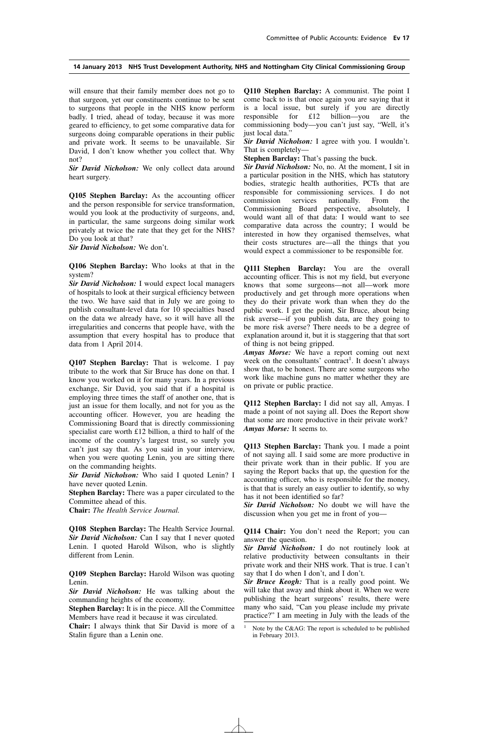will ensure that their family member does not go to that surgeon, yet our constituents continue to be sent to surgeons that people in the NHS know perform badly. I tried, ahead of today, because it was more geared to efficiency, to get some comparative data for surgeons doing comparable operations in their public and private work. It seems to be unavailable. Sir David, I don't know whether you collect that. Why not?

*Sir David Nicholson:* We only collect data around heart surgery.

**Q105 Stephen Barclay:** As the accounting officer and the person responsible for service transformation, would you look at the productivity of surgeons, and, in particular, the same surgeons doing similar work privately at twice the rate that they get for the NHS? Do you look at that?

*Sir David Nicholson:* We don't.

**Q106 Stephen Barclay:** Who looks at that in the system?

*Sir David Nicholson:* I would expect local managers of hospitals to look at their surgical efficiency between the two. We have said that in July we are going to publish consultant-level data for 10 specialties based on the data we already have, so it will have all the irregularities and concerns that people have, with the assumption that every hospital has to produce that data from 1 April 2014.

**Q107 Stephen Barclay:** That is welcome. I pay tribute to the work that Sir Bruce has done on that. I know you worked on it for many years. In a previous exchange, Sir David, you said that if a hospital is employing three times the staff of another one, that is just an issue for them locally, and not for you as the accounting officer. However, you are heading the Commissioning Board that is directly commissioning specialist care worth £12 billion, a third to half of the income of the country's largest trust, so surely you can't just say that. As you said in your interview, when you were quoting Lenin, you are sitting there on the commanding heights.

*Sir David Nicholson:* Who said I quoted Lenin? I have never quoted Lenin.

**Stephen Barclay:** There was a paper circulated to the Committee ahead of this.

**Chair:** *The Health Service Journal.*

**Q108 Stephen Barclay:** The Health Service Journal. *Sir David Nicholson:* Can I say that I never quoted Lenin. I quoted Harold Wilson, who is slightly different from Lenin.

**Q109 Stephen Barclay:** Harold Wilson was quoting Lenin.

*Sir David Nicholson:* He was talking about the commanding heights of the economy.

**Stephen Barclay:** It is in the piece. All the Committee Members have read it because it was circulated.

**Chair:** I always think that Sir David is more of a Stalin figure than a Lenin one.

**Q110 Stephen Barclay:** A communist. The point I come back to is that once again you are saying that it is a local issue, but surely if you are directly responsible for £12 billion—you are the commissioning body—you can't just say, "Well, it's just local data.

*Sir David Nicholson:* I agree with you. I wouldn't. That is completely—

**Stephen Barclay:** That's passing the buck.

*Sir David Nicholson:* No, no. At the moment, I sit in a particular position in the NHS, which has statutory bodies, strategic health authorities, PCTs that are responsible for commissioning services. I do not commission services nationally. From the Commissioning Board perspective, absolutely, I would want all of that data: I would want to see comparative data across the country; I would be interested in how they organised themselves, what their costs structures are—all the things that you would expect a commissioner to be responsible for.

**Q111 Stephen Barclay:** You are the overall accounting officer. This is not my field, but everyone knows that some surgeons—not all—work more productively and get through more operations when they do their private work than when they do the public work. I get the point, Sir Bruce, about being risk averse—if you publish data, are they going to be more risk averse? There needs to be a degree of explanation around it, but it is staggering that that sort of thing is not being gripped.

*Amyas Morse:* We have a report coming out next week on the consultants' contract<sup>1</sup>. It doesn't always show that, to be honest. There are some surgeons who work like machine guns no matter whether they are on private or public practice.

**Q112 Stephen Barclay:** I did not say all, Amyas. I made a point of not saying all. Does the Report show that some are more productive in their private work? *Amyas Morse:* It seems to.

**Q113 Stephen Barclay:** Thank you. I made a point of not saying all. I said some are more productive in their private work than in their public. If you are saying the Report backs that up, the question for the accounting officer, who is responsible for the money, is that that is surely an easy outlier to identify, so why has it not been identified so far?

*Sir David Nicholson:* No doubt we will have the discussion when you get me in front of you—

**Q114 Chair:** You don't need the Report; you can answer the question.

*Sir David Nicholson:* I do not routinely look at relative productivity between consultants in their private work and their NHS work. That is true. I can't say that I do when I don't, and I don't.

*Sir Bruce Keogh:* That is a really good point. We will take that away and think about it. When we were publishing the heart surgeons' results, there were many who said, "Can you please include my private practice?" I am meeting in July with the leads of the

Note by the C&AG: The report is scheduled to be published in February 2013.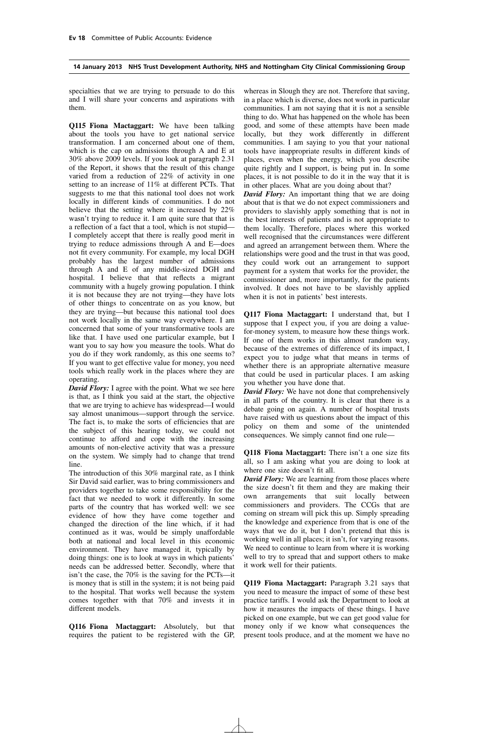specialties that we are trying to persuade to do this and I will share your concerns and aspirations with them.

**Q115 Fiona Mactaggart:** We have been talking about the tools you have to get national service transformation. I am concerned about one of them, which is the cap on admissions through A and E at 30% above 2009 levels. If you look at paragraph 2.31 of the Report, it shows that the result of this change varied from a reduction of 22% of activity in one setting to an increase of 11% at different PCTs. That suggests to me that this national tool does not work locally in different kinds of communities. I do not believe that the setting where it increased by 22% wasn't trying to reduce it. I am quite sure that that is a reflection of a fact that a tool, which is not stupid— I completely accept that there is really good merit in trying to reduce admissions through A and E—does not fit every community. For example, my local DGH probably has the largest number of admissions through A and E of any middle-sized DGH and hospital. I believe that that reflects a migrant community with a hugely growing population. I think it is not because they are not trying—they have lots of other things to concentrate on as you know, but they are trying—but because this national tool does not work locally in the same way everywhere. I am concerned that some of your transformative tools are like that. I have used one particular example, but I want you to say how you measure the tools. What do you do if they work randomly, as this one seems to? If you want to get effective value for money, you need tools which really work in the places where they are operating.

*David Flory:* I agree with the point. What we see here is that, as I think you said at the start, the objective that we are trying to achieve has widespread—I would say almost unanimous—support through the service. The fact is, to make the sorts of efficiencies that are the subject of this hearing today, we could not continue to afford and cope with the increasing amounts of non-elective activity that was a pressure on the system. We simply had to change that trend line.

The introduction of this 30% marginal rate, as I think Sir David said earlier, was to bring commissioners and providers together to take some responsibility for the fact that we needed to work it differently. In some parts of the country that has worked well: we see evidence of how they have come together and changed the direction of the line which, if it had continued as it was, would be simply unaffordable both at national and local level in this economic environment. They have managed it, typically by doing things: one is to look at ways in which patients' needs can be addressed better. Secondly, where that isn't the case, the 70% is the saving for the PCTs—it is money that is still in the system; it is not being paid to the hospital. That works well because the system comes together with that 70% and invests it in different models.

**Q116 Fiona Mactaggart:** Absolutely, but that requires the patient to be registered with the GP, whereas in Slough they are not. Therefore that saving, in a place which is diverse, does not work in particular communities. I am not saying that it is not a sensible thing to do. What has happened on the whole has been good, and some of these attempts have been made locally, but they work differently in different communities. I am saying to you that your national tools have inappropriate results in different kinds of places, even when the energy, which you describe quite rightly and I support, is being put in. In some places, it is not possible to do it in the way that it is in other places. What are you doing about that?

*David Flory:* An important thing that we are doing about that is that we do not expect commissioners and providers to slavishly apply something that is not in the best interests of patients and is not appropriate to them locally. Therefore, places where this worked well recognised that the circumstances were different and agreed an arrangement between them. Where the relationships were good and the trust in that was good, they could work out an arrangement to support payment for a system that works for the provider, the commissioner and, more importantly, for the patients involved. It does not have to be slavishly applied when it is not in patients' best interests.

**Q117 Fiona Mactaggart:** I understand that, but I suppose that I expect you, if you are doing a valuefor-money system, to measure how these things work. If one of them works in this almost random way, because of the extremes of difference of its impact, I expect you to judge what that means in terms of whether there is an appropriate alternative measure that could be used in particular places. I am asking you whether you have done that.

*David Flory:* We have not done that comprehensively in all parts of the country. It is clear that there is a debate going on again. A number of hospital trusts have raised with us questions about the impact of this policy on them and some of the unintended consequences. We simply cannot find one rule—

**Q118 Fiona Mactaggart:** There isn't a one size fits all, so I am asking what you are doing to look at where one size doesn't fit all.

*David Flory:* We are learning from those places where the size doesn't fit them and they are making their own arrangements that suit locally between commissioners and providers. The CCGs that are coming on stream will pick this up. Simply spreading the knowledge and experience from that is one of the ways that we do it, but I don't pretend that this is working well in all places; it isn't, for varying reasons. We need to continue to learn from where it is working well to try to spread that and support others to make it work well for their patients.

**Q119 Fiona Mactaggart:** Paragraph 3.21 says that you need to measure the impact of some of these best practice tariffs. I would ask the Department to look at how it measures the impacts of these things. I have picked on one example, but we can get good value for money only if we know what consequences the present tools produce, and at the moment we have no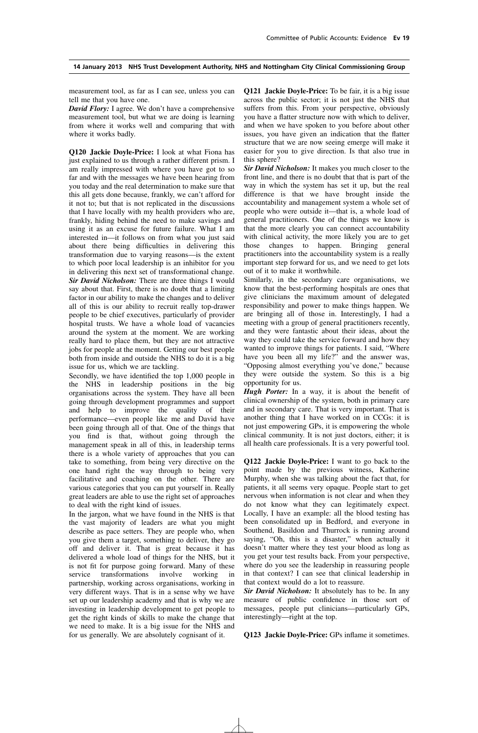measurement tool, as far as I can see, unless you can tell me that you have one.

*David Flory:* I agree. We don't have a comprehensive measurement tool, but what we are doing is learning from where it works well and comparing that with where it works badly.

**Q120 Jackie Doyle-Price:** I look at what Fiona has just explained to us through a rather different prism. I am really impressed with where you have got to so far and with the messages we have been hearing from you today and the real determination to make sure that this all gets done because, frankly, we can't afford for it not to; but that is not replicated in the discussions that I have locally with my health providers who are, frankly, hiding behind the need to make savings and using it as an excuse for future failure. What I am interested in—it follows on from what you just said about there being difficulties in delivering this transformation due to varying reasons—is the extent to which poor local leadership is an inhibitor for you in delivering this next set of transformational change. *Sir David Nicholson:* There are three things I would say about that. First, there is no doubt that a limiting factor in our ability to make the changes and to deliver all of this is our ability to recruit really top-drawer people to be chief executives, particularly of provider hospital trusts. We have a whole load of vacancies around the system at the moment. We are working really hard to place them, but they are not attractive jobs for people at the moment. Getting our best people both from inside and outside the NHS to do it is a big issue for us, which we are tackling.

Secondly, we have identified the top 1,000 people in the NHS in leadership positions in the big organisations across the system. They have all been going through development programmes and support and help to improve the quality of their performance—even people like me and David have been going through all of that. One of the things that you find is that, without going through the management speak in all of this, in leadership terms there is a whole variety of approaches that you can take to something, from being very directive on the one hand right the way through to being very facilitative and coaching on the other. There are various categories that you can put yourself in. Really great leaders are able to use the right set of approaches to deal with the right kind of issues.

In the jargon, what we have found in the NHS is that the vast majority of leaders are what you might describe as pace setters. They are people who, when you give them a target, something to deliver, they go off and deliver it. That is great because it has delivered a whole load of things for the NHS, but it is not fit for purpose going forward. Many of these service transformations involve working in partnership, working across organisations, working in very different ways. That is in a sense why we have set up our leadership academy and that is why we are investing in leadership development to get people to get the right kinds of skills to make the change that we need to make. It is a big issue for the NHS and for us generally. We are absolutely cognisant of it.

**Q121 Jackie Doyle-Price:** To be fair, it is a big issue across the public sector; it is not just the NHS that suffers from this. From your perspective, obviously you have a flatter structure now with which to deliver, and when we have spoken to you before about other issues, you have given an indication that the flatter structure that we are now seeing emerge will make it easier for you to give direction. Is that also true in this sphere?

*Sir David Nicholson:* It makes you much closer to the front line, and there is no doubt that that is part of the way in which the system has set it up, but the real difference is that we have brought inside the accountability and management system a whole set of people who were outside it—that is, a whole load of general practitioners. One of the things we know is that the more clearly you can connect accountability with clinical activity, the more likely you are to get those changes to happen. Bringing general practitioners into the accountability system is a really important step forward for us, and we need to get lots out of it to make it worthwhile.

Similarly, in the secondary care organisations, we know that the best-performing hospitals are ones that give clinicians the maximum amount of delegated responsibility and power to make things happen. We are bringing all of those in. Interestingly, I had a meeting with a group of general practitioners recently, and they were fantastic about their ideas, about the way they could take the service forward and how they wanted to improve things for patients. I said, "Where have you been all my life?" and the answer was, "Opposing almost everything you've done," because they were outside the system. So this is a big opportunity for us.

*Hugh Porter:* In a way, it is about the benefit of clinical ownership of the system, both in primary care and in secondary care. That is very important. That is another thing that I have worked on in CCGs: it is not just empowering GPs, it is empowering the whole clinical community. It is not just doctors, either; it is all health care professionals. It is a very powerful tool.

**Q122 Jackie Doyle-Price:** I want to go back to the point made by the previous witness, Katherine Murphy, when she was talking about the fact that, for patients, it all seems very opaque. People start to get nervous when information is not clear and when they do not know what they can legitimately expect. Locally, I have an example: all the blood testing has been consolidated up in Bedford, and everyone in Southend, Basildon and Thurrock is running around saying, "Oh, this is a disaster," when actually it doesn't matter where they test your blood as long as you get your test results back. From your perspective, where do you see the leadership in reassuring people in that context? I can see that clinical leadership in that context would do a lot to reassure.

*Sir David Nicholson:* It absolutely has to be. In any measure of public confidence in those sort of messages, people put clinicians—particularly GPs, interestingly—right at the top.

**Q123 Jackie Doyle-Price:** GPs inflame it sometimes.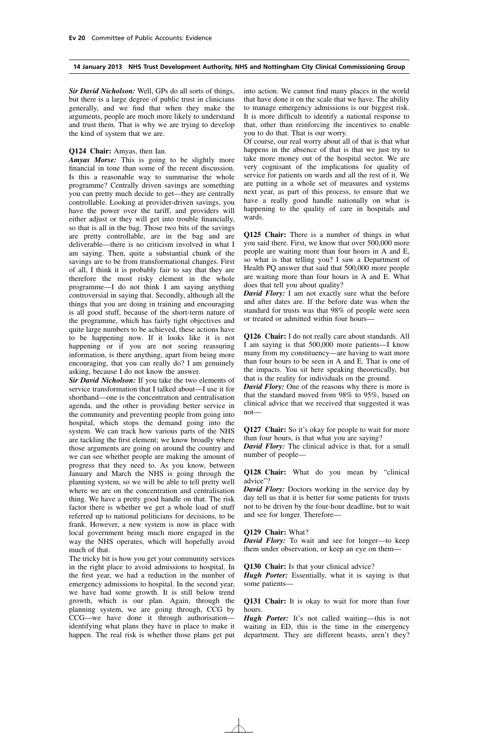*Sir David Nicholson:* Well, GPs do all sorts of things, but there is a large degree of public trust in clinicians generally, and we find that when they make the arguments, people are much more likely to understand and trust them. That is why we are trying to develop the kind of system that we are.

#### **Q124 Chair:** Amyas, then Ian.

*Amyas Morse:* This is going to be slightly more financial in tone than some of the recent discussion. Is this a reasonable way to summarise the whole programme? Centrally driven savings are something you can pretty much decide to get—they are centrally controllable. Looking at provider-driven savings, you have the power over the tariff, and providers will either adjust or they will get into trouble financially, so that is all in the bag. Those two bits of the savings are pretty controllable, are in the bag and are deliverable—there is no criticism involved in what I am saying. Then, quite a substantial chunk of the savings are to be from transformational changes. First of all, I think it is probably fair to say that they are therefore the most risky element in the whole programme—I do not think I am saying anything controversial in saying that. Secondly, although all the things that you are doing in training and encouraging is all good stuff, because of the short-term nature of the programme, which has fairly tight objectives and quite large numbers to be achieved, these actions have to be happening now. If it looks like it is not happening or if you are not seeing reassuring information, is there anything, apart from being more encouraging, that you can really do? I am genuinely asking, because I do not know the answer.

*Sir David Nicholson:* If you take the two elements of service transformation that I talked about—I use it for shorthand—one is the concentration and centralisation agenda, and the other is providing better service in the community and preventing people from going into hospital, which stops the demand going into the system. We can track how various parts of the NHS are tackling the first element; we know broadly where those arguments are going on around the country and we can see whether people are making the amount of progress that they need to. As you know, between January and March the NHS is going through the planning system, so we will be able to tell pretty well where we are on the concentration and centralisation thing. We have a pretty good handle on that. The risk factor there is whether we get a whole load of stuff referred up to national politicians for decisions, to be frank. However, a new system is now in place with local government being much more engaged in the way the NHS operates, which will hopefully avoid much of that.

The tricky bit is how you get your community services in the right place to avoid admissions to hospital. In the first year, we had a reduction in the number of emergency admissions to hospital. In the second year, we have had some growth. It is still below trend growth, which is our plan. Again, through the planning system, we are going through, CCG by CCG—we have done it through authorisation identifying what plans they have in place to make it happen. The real risk is whether those plans get put into action. We cannot find many places in the world that have done it on the scale that we have. The ability to manage emergency admissions is our biggest risk. It is more difficult to identify a national response to that, other than reinforcing the incentives to enable you to do that. That is our worry.

Of course, our real worry about all of that is that what happens in the absence of that is that we just try to take more money out of the hospital sector. We are very cognisant of the implications for quality of service for patients on wards and all the rest of it. We are putting in a whole set of measures and systems next year, as part of this process, to ensure that we have a really good handle nationally on what is happening to the quality of care in hospitals and wards.

**Q125 Chair:** There is a number of things in what you said there. First, we know that over 500,000 more people are waiting more than four hours in A and E, so what is that telling you? I saw a Department of Health PQ answer that said that 500,000 more people are waiting more than four hours in A and E. What does that tell you about quality?

*David Flory:* I am not exactly sure what the before and after dates are. If the before date was when the standard for trusts was that 98% of people were seen or treated or admitted within four hours—

**Q126 Chair:** I do not really care about standards. All I am saying is that 500,000 more patients—I know many from my constituency—are having to wait more than four hours to be seen in A and E. That is one of the impacts. You sit here speaking theoretically, but that is the reality for individuals on the ground.

*David Flory:* One of the reasons why there is more is that the standard moved from 98% to 95%, based on clinical advice that we received that suggested it was not—

**Q127 Chair:** So it's okay for people to wait for more than four hours, is that what you are saying?

*David Flory:* The clinical advice is that, for a small number of people—

**Q128 Chair:** What do you mean by "clinical advice"?

*David Flory:* Doctors working in the service day by day tell us that it is better for some patients for trusts not to be driven by the four-hour deadline, but to wait and see for longer. Therefore—

#### **Q129 Chair:** What?

*David Flory:* To wait and see for longer—to keep them under observation, or keep an eye on them-

**Q130 Chair:** Is that your clinical advice?

*Hugh Porter:* Essentially, what it is saying is that some patients—

**Q131 Chair:** It is okay to wait for more than four hours.

*Hugh Porter:* It's not called waiting—this is not waiting in ED, this is the time in the emergency department. They are different beasts, aren't they?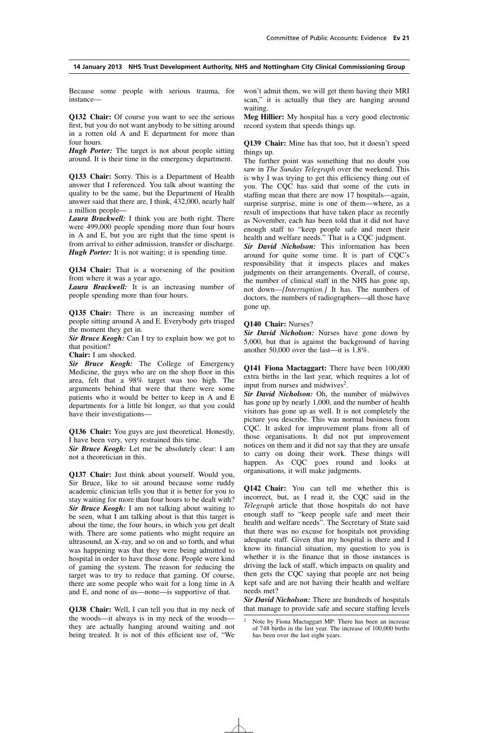Because some people with serious trauma, for instance—

**Q132 Chair:** Of course you want to see the serious first, but you do not want anybody to be sitting around in a rotten old A and E department for more than four hours.

*Hugh Porter:* The target is not about people sitting around. It is their time in the emergency department.

**Q133 Chair:** Sorry. This is a Department of Health answer that I referenced. You talk about wanting the quality to be the same, but the Department of Health answer said that there are, I think, 432,000, nearly half a million people—

*Laura Brackwell:* I think you are both right. There were 499,000 people spending more than four hours in A and E, but you are right that the time spent is from arrival to either admission, transfer or discharge. *Hugh Porter:* It is not waiting; it is spending time.

**Q134 Chair:** That is a worsening of the position from where it was a year ago.

*Laura Brackwell:* It is an increasing number of people spending more than four hours.

**Q135 Chair:** There is an increasing number of people sitting around A and E. Everybody gets triaged the moment they get in.

*Sir Bruce Keogh:* Can I try to explain how we got to that position?

**Chair:** I am shocked.

*Sir Bruce Keogh:* The College of Emergency Medicine, the guys who are on the shop floor in this area, felt that a 98% target was too high. The arguments behind that were that there were some patients who it would be better to keep in A and E departments for a little bit longer, so that you could have their investigations—

**Q136 Chair:** You guys are just theoretical. Honestly, I have been very, very restrained this time.

*Sir Bruce Keogh:* Let me be absolutely clear: I am not a theoretician in this.

**Q137 Chair:** Just think about yourself. Would you, Sir Bruce, like to sit around because some ruddy academic clinician tells you that it is better for you to stay waiting for more than four hours to be dealt with? *Sir Bruce Keogh:* I am not talking about waiting to be seen, what  $\overline{I}$  am talking about is that this target is about the time, the four hours, in which you get dealt with. There are some patients who might require an ultrasound, an X-ray, and so on and so forth, and what was happening was that they were being admitted to hospital in order to have those done. People were kind of gaming the system. The reason for reducing the target was to try to reduce that gaming. Of course, there are some people who wait for a long time in A and E, and none of us—none—is supportive of that.

**Q138 Chair:** Well, I can tell you that in my neck of the woods—it always is in my neck of the woods they are actually hanging around waiting and not being treated. It is not of this efficient use of, "We won't admit them, we will get them having their MRI scan," it is actually that they are hanging around waiting.

**Meg Hillier:** My hospital has a very good electronic record system that speeds things up.

**Q139 Chair:** Mine has that too, but it doesn't speed things up.

The further point was something that no doubt you saw in *The Sunday Telegraph* over the weekend. This is why I was trying to get this efficiency thing out of you. The CQC has said that some of the cuts in staffing mean that there are now 17 hospitals—again, surprise surprise, mine is one of them—where, as a result of inspections that have taken place as recently as November, each has been told that it did not have enough staff to "keep people safe and meet their health and welfare needs." That is a CQC judgment. *Sir David Nicholson:* This information has been around for quite some time. It is part of CQC's responsibility that it inspects places and makes judgments on their arrangements. Overall, of course, the number of clinical staff in the NHS has gone up, not down—*[Interruption.]* It has. The numbers of doctors, the numbers of radiographers—all those have gone up.

#### **Q140 Chair:** Nurses?

*Sir David Nicholson:* Nurses have gone down by 5,000, but that is against the background of having another 50,000 over the last—it is 1.8%.

**Q141 Fiona Mactaggart:** There have been 100,000 extra births in the last year, which requires a lot of input from nurses and midwives<sup>2</sup>.

*Sir David Nicholson:* Oh, the number of midwives has gone up by nearly 1,000, and the number of health visitors has gone up as well. It is not completely the picture you describe. This was normal business from CQC. It asked for improvement plans from all of those organisations. It did not put improvement notices on them and it did not say that they are unsafe to carry on doing their work. These things will happen. As CQC goes round and looks at organisations, it will make judgments.

**Q142 Chair:** You can tell me whether this is incorrect, but, as I read it, the CQC said in the *Telegraph* article that those hospitals do not have enough staff to "keep people safe and meet their health and welfare needs". The Secretary of State said that there was no excuse for hospitals not providing adequate staff. Given that my hospital is there and I know its financial situation, my question to you is whether it is the finance that in those instances is driving the lack of staff, which impacts on quality and then gets the CQC saying that people are not being kept safe and are not having their health and welfare needs met?

*Sir David Nicholson:* There are hundreds of hospitals that manage to provide safe and secure staffing levels

<sup>2</sup> Note by Fiona Mactaggart MP: There has been an increase of 748 births in the last year. The increase of 100,000 births has been over the last eight years.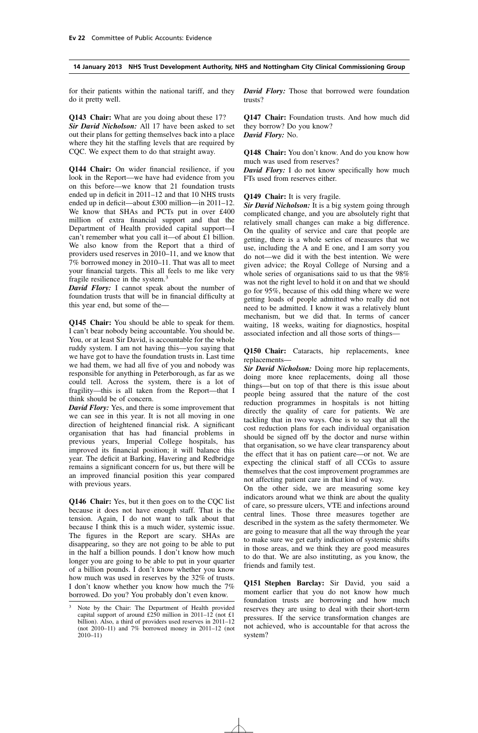for their patients within the national tariff, and they do it pretty well.

**Q143 Chair:** What are you doing about these 17? *Sir David Nicholson:* All 17 have been asked to set out their plans for getting themselves back into a place where they hit the staffing levels that are required by CQC. We expect them to do that straight away.

**Q144 Chair:** On wider financial resilience, if you look in the Report—we have had evidence from you on this before—we know that 21 foundation trusts ended up in deficit in 2011–12 and that 10 NHS trusts ended up in deficit—about £300 million—in 2011–12. We know that SHAs and PCTs put in over £400 million of extra financial support and that the Department of Health provided capital support—I can't remember what you call it—of about £1 billion. We also know from the Report that a third of providers used reserves in 2010–11, and we know that 7% borrowed money in 2010–11. That was all to meet your financial targets. This all feels to me like very fragile resilience in the system.3

*David Flory:* I cannot speak about the number of foundation trusts that will be in financial difficulty at this year end, but some of the—

**Q145 Chair:** You should be able to speak for them. I can't bear nobody being accountable. You should be. You, or at least Sir David, is accountable for the whole ruddy system. I am not having this—you saying that we have got to have the foundation trusts in. Last time we had them, we had all five of you and nobody was responsible for anything in Peterborough, as far as we could tell. Across the system, there is a lot of fragility—this is all taken from the Report—that I think should be of concern.

*David Flory:* Yes, and there is some improvement that we can see in this year. It is not all moving in one direction of heightened financial risk. A significant organisation that has had financial problems in previous years, Imperial College hospitals, has improved its financial position; it will balance this year. The deficit at Barking, Havering and Redbridge remains a significant concern for us, but there will be an improved financial position this year compared with previous years.

**Q146 Chair:** Yes, but it then goes on to the CQC list because it does not have enough staff. That is the tension. Again, I do not want to talk about that because I think this is a much wider, systemic issue. The figures in the Report are scary. SHAs are disappearing, so they are not going to be able to put in the half a billion pounds. I don't know how much longer you are going to be able to put in your quarter of a billion pounds. I don't know whether you know how much was used in reserves by the 32% of trusts. I don't know whether you know how much the 7% borrowed. Do you? You probably don't even know.

*David Flory:* Those that borrowed were foundation trusts?

**Q147 Chair:** Foundation trusts. And how much did they borrow? Do you know? *David Flory:* No.

**Q148 Chair:** You don't know. And do you know how much was used from reserves?

*David Flory:* I do not know specifically how much FTs used from reserves either.

#### **Q149 Chair:** It is very fragile.

*Sir David Nicholson:* It is a big system going through complicated change, and you are absolutely right that relatively small changes can make a big difference. On the quality of service and care that people are getting, there is a whole series of measures that we use, including the A and E one, and I am sorry you do not—we did it with the best intention. We were given advice; the Royal College of Nursing and a whole series of organisations said to us that the 98% was not the right level to hold it on and that we should go for 95%, because of this odd thing where we were getting loads of people admitted who really did not need to be admitted. I know it was a relatively blunt mechanism, but we did that. In terms of cancer waiting, 18 weeks, waiting for diagnostics, hospital associated infection and all those sorts of things—

**Q150 Chair:** Cataracts, hip replacements, knee replacements—

*Sir David Nicholson:* Doing more hip replacements, doing more knee replacements, doing all those things—but on top of that there is this issue about people being assured that the nature of the cost reduction programmes in hospitals is not hitting directly the quality of care for patients. We are tackling that in two ways. One is to say that all the cost reduction plans for each individual organisation should be signed off by the doctor and nurse within that organisation, so we have clear transparency about the effect that it has on patient care—or not. We are expecting the clinical staff of all CCGs to assure themselves that the cost improvement programmes are not affecting patient care in that kind of way.

On the other side, we are measuring some key indicators around what we think are about the quality of care, so pressure ulcers, VTE and infections around central lines. Those three measures together are described in the system as the safety thermometer. We are going to measure that all the way through the year to make sure we get early indication of systemic shifts in those areas, and we think they are good measures to do that. We are also instituting, as you know, the friends and family test.

**Q151 Stephen Barclay:** Sir David, you said a moment earlier that you do not know how much foundation trusts are borrowing and how much reserves they are using to deal with their short-term pressures. If the service transformation changes are not achieved, who is accountable for that across the system?

<sup>3</sup> Note by the Chair: The Department of Health provided capital support of around £250 million in 2011–12 (not £1) billion). Also, a third of providers used reserves in 2011–12 (not 2010–11) and 7% borrowed money in 2011–12 (not  $2010 - 11$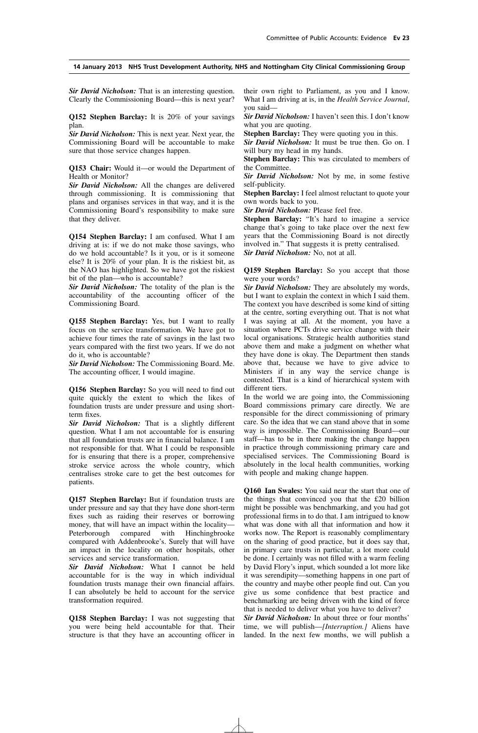*Sir David Nicholson:* That is an interesting question. Clearly the Commissioning Board—this is next year?

**Q152 Stephen Barclay:** It is 20% of your savings plan.

*Sir David Nicholson:* This is next year. Next year, the Commissioning Board will be accountable to make sure that those service changes happen.

**Q153 Chair:** Would it—or would the Department of Health or Monitor?

*Sir David Nicholson:* All the changes are delivered through commissioning. It is commissioning that plans and organises services in that way, and it is the Commissioning Board's responsibility to make sure that they deliver.

**Q154 Stephen Barclay:** I am confused. What I am driving at is: if we do not make those savings, who do we hold accountable? Is it you, or is it someone else? It is 20% of your plan. It is the riskiest bit, as the NAO has highlighted. So we have got the riskiest bit of the plan—who is accountable?

*Sir David Nicholson:* The totality of the plan is the accountability of the accounting officer of the Commissioning Board.

**Q155 Stephen Barclay:** Yes, but I want to really focus on the service transformation. We have got to achieve four times the rate of savings in the last two years compared with the first two years. If we do not do it, who is accountable?

*Sir David Nicholson:* The Commissioning Board. Me. The accounting officer, I would imagine.

**Q156 Stephen Barclay:** So you will need to find out quite quickly the extent to which the likes of foundation trusts are under pressure and using shortterm fixes.

*Sir David Nicholson:* That is a slightly different question. What I am not accountable for is ensuring that all foundation trusts are in financial balance. I am not responsible for that. What I could be responsible for is ensuring that there is a proper, comprehensive stroke service across the whole country, which centralises stroke care to get the best outcomes for patients.

**Q157 Stephen Barclay:** But if foundation trusts are under pressure and say that they have done short-term fixes such as raiding their reserves or borrowing money, that will have an impact within the locality— Peterborough compared with Hinchingbrooke compared with Addenbrooke's. Surely that will have an impact in the locality on other hospitals, other services and service transformation.

*Sir David Nicholson:* What I cannot be held accountable for is the way in which individual foundation trusts manage their own financial affairs. I can absolutely be held to account for the service transformation required.

**Q158 Stephen Barclay:** I was not suggesting that you were being held accountable for that. Their structure is that they have an accounting officer in their own right to Parliament, as you and I know. What I am driving at is, in the *Health Service Journal*, you said—

*Sir David Nicholson:* I haven't seen this. I don't know what you are quoting.

**Stephen Barclay:** They were quoting you in this.

*Sir David Nicholson:* It must be true then. Go on. I will bury my head in my hands.

**Stephen Barclay:** This was circulated to members of the Committee.

*Sir David Nicholson:* Not by me, in some festive self-publicity.

**Stephen Barclay:** I feel almost reluctant to quote your own words back to you.

*Sir David Nicholson:* Please feel free.

**Stephen Barclay:** "It's hard to imagine a service" change that's going to take place over the next few years that the Commissioning Board is not directly involved in." That suggests it is pretty centralised. *Sir David Nicholson:* No, not at all.

**Q159 Stephen Barclay:** So you accept that those were your words?

*Sir David Nicholson:* They are absolutely my words, but I want to explain the context in which I said them. The context you have described is some kind of sitting at the centre, sorting everything out. That is not what I was saying at all. At the moment, you have a situation where PCTs drive service change with their local organisations. Strategic health authorities stand above them and make a judgment on whether what they have done is okay. The Department then stands above that, because we have to give advice to Ministers if in any way the service change is contested. That is a kind of hierarchical system with different tiers.

In the world we are going into, the Commissioning Board commissions primary care directly. We are responsible for the direct commissioning of primary care. So the idea that we can stand above that in some way is impossible. The Commissioning Board—our staff—has to be in there making the change happen in practice through commissioning primary care and specialised services. The Commissioning Board is absolutely in the local health communities, working with people and making change happen.

**Q160 Ian Swales:** You said near the start that one of the things that convinced you that the £20 billion might be possible was benchmarking, and you had got professional firms in to do that. I am intrigued to know what was done with all that information and how it works now. The Report is reasonably complimentary on the sharing of good practice, but it does say that, in primary care trusts in particular, a lot more could be done. I certainly was not filled with a warm feeling by David Flory's input, which sounded a lot more like it was serendipity—something happens in one part of the country and maybe other people find out. Can you give us some confidence that best practice and benchmarking are being driven with the kind of force that is needed to deliver what you have to deliver?

*Sir David Nicholson:* In about three or four months' time, we will publish—*[Interruption.]* Aliens have landed. In the next few months, we will publish a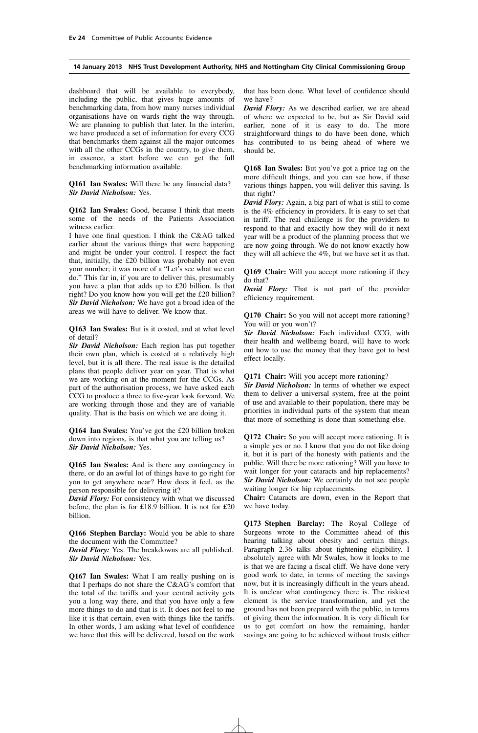dashboard that will be available to everybody, including the public, that gives huge amounts of benchmarking data, from how many nurses individual organisations have on wards right the way through. We are planning to publish that later. In the interim, we have produced a set of information for every CCG that benchmarks them against all the major outcomes with all the other CCGs in the country, to give them, in essence, a start before we can get the full benchmarking information available.

**Q161 Ian Swales:** Will there be any financial data? *Sir David Nicholson:* Yes.

**Q162 Ian Swales:** Good, because I think that meets some of the needs of the Patients Association witness earlier.

I have one final question. I think the C&AG talked earlier about the various things that were happening and might be under your control. I respect the fact that, initially, the £20 billion was probably not even your number; it was more of a "Let's see what we can do." This far in, if you are to deliver this, presumably you have a plan that adds up to £20 billion. Is that right? Do you know how you will get the £20 billion? *Sir David Nicholson:* We have got a broad idea of the areas we will have to deliver. We know that.

**Q163 Ian Swales:** But is it costed, and at what level of detail?

*Sir David Nicholson:* Each region has put together their own plan, which is costed at a relatively high level, but it is all there. The real issue is the detailed plans that people deliver year on year. That is what we are working on at the moment for the CCGs. As part of the authorisation process, we have asked each CCG to produce a three to five-year look forward. We are working through those and they are of variable quality. That is the basis on which we are doing it.

**Q164 Ian Swales:** You've got the £20 billion broken down into regions, is that what you are telling us? *Sir David Nicholson:* Yes.

**Q165 Ian Swales:** And is there any contingency in there, or do an awful lot of things have to go right for you to get anywhere near? How does it feel, as the person responsible for delivering it?

*David Flory:* For consistency with what we discussed before, the plan is for £18.9 billion. It is not for £20 billion.

**Q166 Stephen Barclay:** Would you be able to share the document with the Committee?

*David Flory:* Yes. The breakdowns are all published. *Sir David Nicholson:* Yes.

**Q167 Ian Swales:** What I am really pushing on is that I perhaps do not share the C&AG's comfort that the total of the tariffs and your central activity gets you a long way there, and that you have only a few more things to do and that is it. It does not feel to me like it is that certain, even with things like the tariffs. In other words, I am asking what level of confidence we have that this will be delivered, based on the work that has been done. What level of confidence should we have?

*David Flory:* As we described earlier, we are ahead of where we expected to be, but as Sir David said earlier, none of it is easy to do. The more straightforward things to do have been done, which has contributed to us being ahead of where we should be.

**Q168 Ian Swales:** But you've got a price tag on the more difficult things, and you can see how, if these various things happen, you will deliver this saving. Is that right?

*David Flory:* Again, a big part of what is still to come is the 4% efficiency in providers. It is easy to set that in tariff. The real challenge is for the providers to respond to that and exactly how they will do it next year will be a product of the planning process that we are now going through. We do not know exactly how they will all achieve the 4%, but we have set it as that.

**Q169 Chair:** Will you accept more rationing if they do that?

*David Flory:* That is not part of the provider efficiency requirement.

**Q170 Chair:** So you will not accept more rationing? You will or you won't?

*Sir David Nicholson:* Each individual CCG, with their health and wellbeing board, will have to work out how to use the money that they have got to best effect locally.

#### **Q171 Chair:** Will you accept more rationing?

*Sir David Nicholson:* In terms of whether we expect them to deliver a universal system, free at the point of use and available to their population, there may be priorities in individual parts of the system that mean that more of something is done than something else.

**Q172 Chair:** So you will accept more rationing. It is a simple yes or no. I know that you do not like doing it, but it is part of the honesty with patients and the public. Will there be more rationing? Will you have to wait longer for your cataracts and hip replacements? *Sir David Nicholson:* We certainly do not see people waiting longer for hip replacements.

**Chair:** Cataracts are down, even in the Report that we have today.

**Q173 Stephen Barclay:** The Royal College of Surgeons wrote to the Committee ahead of this hearing talking about obesity and certain things. Paragraph 2.36 talks about tightening eligibility. I absolutely agree with Mr Swales, how it looks to me is that we are facing a fiscal cliff. We have done very good work to date, in terms of meeting the savings now, but it is increasingly difficult in the years ahead. It is unclear what contingency there is. The riskiest element is the service transformation, and yet the ground has not been prepared with the public, in terms of giving them the information. It is very difficult for us to get comfort on how the remaining, harder savings are going to be achieved without trusts either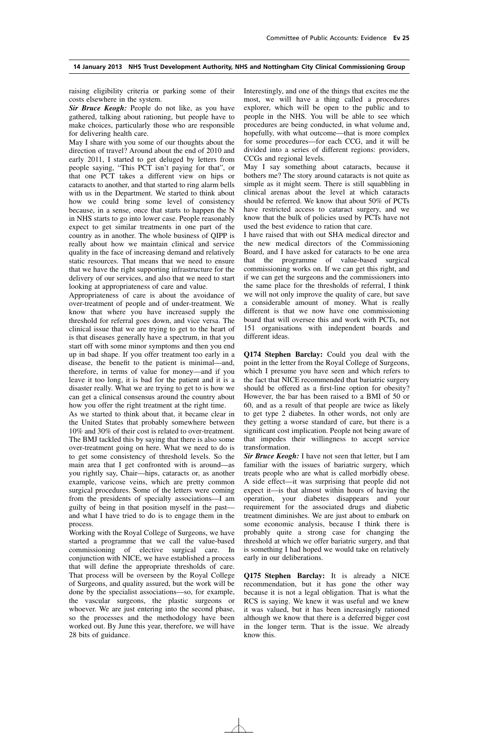raising eligibility criteria or parking some of their costs elsewhere in the system.

*Sir Bruce Keogh:* People do not like, as you have gathered, talking about rationing, but people have to make choices, particularly those who are responsible for delivering health care.

May I share with you some of our thoughts about the direction of travel? Around about the end of 2010 and early 2011, I started to get deluged by letters from people saying, "This PCT isn't paying for that", or that one PCT takes a different view on hips or cataracts to another, and that started to ring alarm bells with us in the Department. We started to think about how we could bring some level of consistency because, in a sense, once that starts to happen the N in NHS starts to go into lower case. People reasonably expect to get similar treatments in one part of the country as in another. The whole business of QIPP is really about how we maintain clinical and service quality in the face of increasing demand and relatively static resources. That means that we need to ensure that we have the right supporting infrastructure for the delivery of our services, and also that we need to start looking at appropriateness of care and value.

Appropriateness of care is about the avoidance of over-treatment of people and of under-treatment. We know that where you have increased supply the threshold for referral goes down, and vice versa. The clinical issue that we are trying to get to the heart of is that diseases generally have a spectrum, in that you start off with some minor symptoms and then you end up in bad shape. If you offer treatment too early in a disease, the benefit to the patient is minimal—and, therefore, in terms of value for money—and if you leave it too long, it is bad for the patient and it is a disaster really. What we are trying to get to is how we can get a clinical consensus around the country about how you offer the right treatment at the right time.

As we started to think about that, it became clear in the United States that probably somewhere between 10% and 30% of their cost is related to over-treatment. The BMJ tackled this by saying that there is also some over-treatment going on here. What we need to do is to get some consistency of threshold levels. So the main area that I get confronted with is around—as you rightly say, Chair—hips, cataracts or, as another example, varicose veins, which are pretty common surgical procedures. Some of the letters were coming from the presidents of specialty associations—I am guilty of being in that position myself in the past and what I have tried to do is to engage them in the process.

Working with the Royal College of Surgeons, we have started a programme that we call the value-based commissioning of elective surgical care. In conjunction with NICE, we have established a process that will define the appropriate thresholds of care. That process will be overseen by the Royal College of Surgeons, and quality assured, but the work will be done by the specialist associations—so, for example, the vascular surgeons, the plastic surgeons or whoever. We are just entering into the second phase, so the processes and the methodology have been worked out. By June this year, therefore, we will have 28 bits of guidance.

Interestingly, and one of the things that excites me the most, we will have a thing called a procedures explorer, which will be open to the public and to people in the NHS. You will be able to see which procedures are being conducted, in what volume and, hopefully, with what outcome—that is more complex for some procedures—for each CCG, and it will be divided into a series of different regions: providers, CCGs and regional levels.

May I say something about cataracts, because it bothers me? The story around cataracts is not quite as simple as it might seem. There is still squabbling in clinical arenas about the level at which cataracts should be referred. We know that about 50% of PCTs have restricted access to cataract surgery, and we know that the bulk of policies used by PCTs have not used the best evidence to ration that care.

I have raised that with out SHA medical director and the new medical directors of the Commissioning Board, and I have asked for cataracts to be one area that the programme of value-based surgical commissioning works on. If we can get this right, and if we can get the surgeons and the commissioners into the same place for the thresholds of referral, I think we will not only improve the quality of care, but save a considerable amount of money. What is really different is that we now have one commissioning board that will oversee this and work with PCTs, not 151 organisations with independent boards and different ideas.

**Q174 Stephen Barclay:** Could you deal with the point in the letter from the Royal College of Surgeons, which I presume you have seen and which refers to the fact that NICE recommended that bariatric surgery should be offered as a first-line option for obesity? However, the bar has been raised to a BMI of 50 or 60, and as a result of that people are twice as likely to get type 2 diabetes. In other words, not only are they getting a worse standard of care, but there is a significant cost implication. People not being aware of that impedes their willingness to accept service transformation.

*Sir Bruce Keogh:* I have not seen that letter, but I am familiar with the issues of bariatric surgery, which treats people who are what is called morbidly obese. A side effect—it was surprising that people did not expect it—is that almost within hours of having the operation, your diabetes disappears and your requirement for the associated drugs and diabetic treatment diminishes. We are just about to embark on some economic analysis, because I think there is probably quite a strong case for changing the threshold at which we offer bariatric surgery, and that is something I had hoped we would take on relatively early in our deliberations.

**Q175 Stephen Barclay:** It is already a NICE recommendation, but it has gone the other way because it is not a legal obligation. That is what the RCS is saying. We knew it was useful and we knew it was valued, but it has been increasingly rationed although we know that there is a deferred bigger cost in the longer term. That is the issue. We already know this.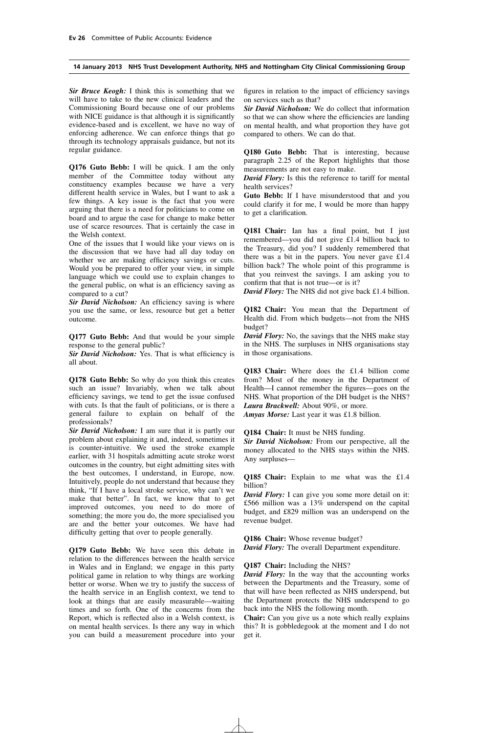*Sir Bruce Keogh:* I think this is something that we will have to take to the new clinical leaders and the Commissioning Board because one of our problems with NICE guidance is that although it is significantly evidence-based and is excellent, we have no way of enforcing adherence. We can enforce things that go through its technology appraisals guidance, but not its regular guidance.

**Q176 Guto Bebb:** I will be quick. I am the only member of the Committee today without any constituency examples because we have a very different health service in Wales, but I want to ask a few things. A key issue is the fact that you were arguing that there is a need for politicians to come on board and to argue the case for change to make better use of scarce resources. That is certainly the case in the Welsh context.

One of the issues that I would like your views on is the discussion that we have had all day today on whether we are making efficiency savings or cuts. Would you be prepared to offer your view, in simple language which we could use to explain changes to the general public, on what is an efficiency saving as compared to a cut?

*Sir David Nicholson:* An efficiency saving is where you use the same, or less, resource but get a better outcome.

**Q177 Guto Bebb:** And that would be your simple response to the general public?

*Sir David Nicholson:* Yes. That is what efficiency is all about.

**Q178 Guto Bebb:** So why do you think this creates such an issue? Invariably, when we talk about efficiency savings, we tend to get the issue confused with cuts. Is that the fault of politicians, or is there a general failure to explain on behalf of the professionals?

*Sir David Nicholson:* I am sure that it is partly our problem about explaining it and, indeed, sometimes it is counter-intuitive. We used the stroke example earlier, with 31 hospitals admitting acute stroke worst outcomes in the country, but eight admitting sites with the best outcomes, I understand, in Europe, now. Intuitively, people do not understand that because they think, "If I have a local stroke service, why can't we make that better". In fact, we know that to get improved outcomes, you need to do more of something; the more you do, the more specialised you are and the better your outcomes. We have had difficulty getting that over to people generally.

**Q179 Guto Bebb:** We have seen this debate in relation to the differences between the health service in Wales and in England; we engage in this party political game in relation to why things are working better or worse. When we try to justify the success of the health service in an English context, we tend to look at things that are easily measurable—waiting times and so forth. One of the concerns from the Report, which is reflected also in a Welsh context, is on mental health services. Is there any way in which you can build a measurement procedure into your figures in relation to the impact of efficiency savings on services such as that?

*Sir David Nicholson:* We do collect that information so that we can show where the efficiencies are landing on mental health, and what proportion they have got compared to others. We can do that.

**Q180 Guto Bebb:** That is interesting, because paragraph 2.25 of the Report highlights that those measurements are not easy to make.

*David Flory:* Is this the reference to tariff for mental health services?

**Guto Bebb:** If I have misunderstood that and you could clarify it for me, I would be more than happy to get a clarification.

**Q181 Chair:** Ian has a final point, but I just remembered—you did not give £1.4 billion back to the Treasury, did you? I suddenly remembered that there was a bit in the papers. You never gave £1.4 billion back? The whole point of this programme is that you reinvest the savings. I am asking you to confirm that that is not true—or is it?

*David Flory:* The NHS did not give back £1.4 billion.

**Q182 Chair:** You mean that the Department of Health did. From which budgets—not from the NHS budget?

*David Flory:* No, the savings that the NHS make stay in the NHS. The surpluses in NHS organisations stay in those organisations.

**Q183 Chair:** Where does the £1.4 billion come from? Most of the money in the Department of Health—I cannot remember the figures—goes on the NHS. What proportion of the DH budget is the NHS? *Laura Brackwell:* About 90%, or more.

*Amyas Morse:* Last year it was £1.8 billion.

**Q184 Chair:** It must be NHS funding.

*Sir David Nicholson:* From our perspective, all the money allocated to the NHS stays within the NHS. Any surpluses—

**Q185 Chair:** Explain to me what was the £1.4 billion?

*David Flory:* I can give you some more detail on it: £566 million was a 13% underspend on the capital budget, and £829 million was an underspend on the revenue budget.

**Q186 Chair:** Whose revenue budget? *David Flory:* The overall Department expenditure.

#### **Q187 Chair:** Including the NHS?

*David Flory:* In the way that the accounting works between the Departments and the Treasury, some of that will have been reflected as NHS underspend, but the Department protects the NHS underspend to go back into the NHS the following month.

**Chair:** Can you give us a note which really explains this? It is gobbledegook at the moment and I do not get it.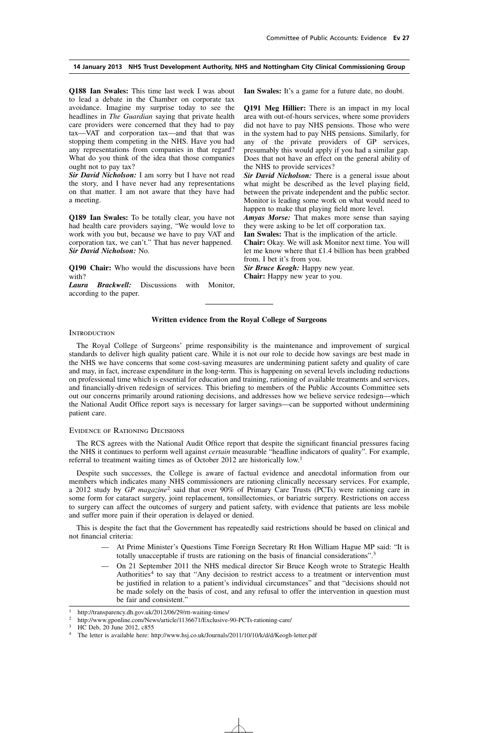**Q188 Ian Swales:** This time last week I was about to lead a debate in the Chamber on corporate tax avoidance. Imagine my surprise today to see the headlines in *The Guardian* saying that private health care providers were concerned that they had to pay tax—VAT and corporation tax—and that that was stopping them competing in the NHS. Have you had any representations from companies in that regard? What do you think of the idea that those companies ought not to pay tax?

*Sir David Nicholson:* I am sorry but I have not read the story, and I have never had any representations on that matter. I am not aware that they have had a meeting.

**Q189 Ian Swales:** To be totally clear, you have not had health care providers saying, "We would love to work with you but, because we have to pay VAT and corporation tax, we can't." That has never happened. *Sir David Nicholson:* No.

**Q190 Chair:** Who would the discussions have been with?

*Laura Brackwell:* Discussions with Monitor, according to the paper.

**Ian Swales:** It's a game for a future date, no doubt.

**Q191 Meg Hillier:** There is an impact in my local area with out-of-hours services, where some providers did not have to pay NHS pensions. Those who were in the system had to pay NHS pensions. Similarly, for any of the private providers of GP services, presumably this would apply if you had a similar gap. Does that not have an effect on the general ability of the NHS to provide services?

*Sir David Nicholson:* There is a general issue about what might be described as the level playing field, between the private independent and the public sector. Monitor is leading some work on what would need to happen to make that playing field more level.

*Amyas Morse:* That makes more sense than saying they were asking to be let off corporation tax.

**Ian Swales:** That is the implication of the article.

**Chair:** Okay. We will ask Monitor next time. You will let me know where that £1.4 billion has been grabbed from. I bet it's from you.

*Sir Bruce Keogh:* Happy new year. **Chair:** Happy new year to you.

#### **Written evidence from the Royal College of Surgeons**

#### **INTRODUCTION**

The Royal College of Surgeons' prime responsibility is the maintenance and improvement of surgical standards to deliver high quality patient care. While it is not our role to decide how savings are best made in the NHS we have concerns that some cost-saving measures are undermining patient safety and quality of care and may, in fact, increase expenditure in the long-term. This is happening on several levels including reductions on professional time which is essential for education and training, rationing of available treatments and services, and financially-driven redesign of services. This briefing to members of the Public Accounts Committee sets out our concerns primarily around rationing decisions, and addresses how we believe service redesign—which the National Audit Office report says is necessary for larger savings—can be supported without undermining patient care.

#### Evidence of Rationing Decisions

The RCS agrees with the National Audit Office report that despite the significant financial pressures facing the NHS it continues to perform well against *certain* measurable "headline indicators of quality". For example, referral to treatment waiting times as of October 2012 are historically low.<sup>1</sup>

Despite such successes, the College is aware of factual evidence and anecdotal information from our members which indicates many NHS commissioners are rationing clinically necessary services. For example, a 2012 study by *GP magazine*<sup>2</sup> said that over 90% of Primary Care Trusts (PCTs) were rationing care in some form for cataract surgery, joint replacement, tonsillectomies, or bariatric surgery. Restrictions on access to surgery can affect the outcomes of surgery and patient safety, with evidence that patients are less mobile and suffer more pain if their operation is delayed or denied.

This is despite the fact that the Government has repeatedly said restrictions should be based on clinical and not financial criteria:

- At Prime Minister's Questions Time Foreign Secretary Rt Hon William Hague MP said: "It is totally unacceptable if trusts are rationing on the basis of financial considerations".3
- On 21 September 2011 the NHS medical director Sir Bruce Keogh wrote to Strategic Health Authorities<sup>4</sup> to say that "Any decision to restrict access to a treatment or intervention must be justified in relation to a patient's individual circumstances" and that "decisions should not be made solely on the basis of cost, and any refusal to offer the intervention in question must be fair and consistent."

<sup>&</sup>lt;sup>1</sup> http://transparency.dh.gov.uk/2012/06/29/rtt-waiting-times/<br><sup>2</sup> http://www.goopline.com/Nowe/ertiale/1126671/Exclusive

http://www.gponline.com/News/article/1136671/Exclusive-90-PCTs-rationing-care/

HC Deb, 20 June 2012, c855

<sup>4</sup> The letter is available here: http://www.hsj.co.uk/Journals/2011/10/10/k/d/d/Keogh-letter.pdf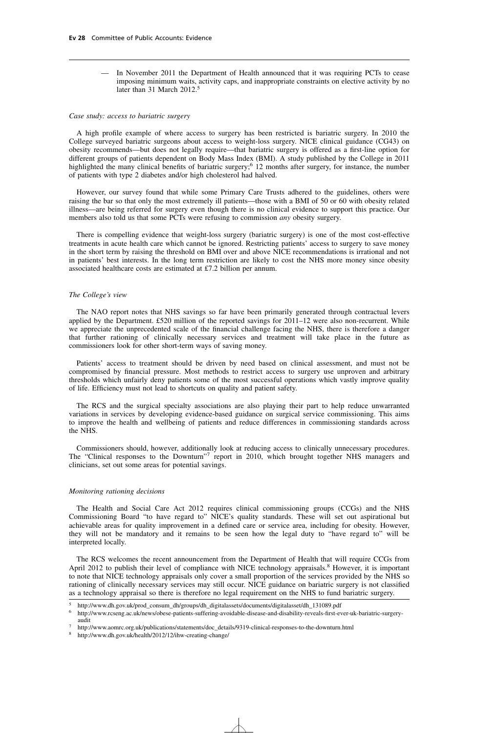— In November 2011 the Department of Health announced that it was requiring PCTs to cease imposing minimum waits, activity caps, and inappropriate constraints on elective activity by no later than 31 March 2012.<sup>5</sup>

#### *Case study: access to bariatric surgery*

A high profile example of where access to surgery has been restricted is bariatric surgery. In 2010 the College surveyed bariatric surgeons about access to weight-loss surgery. NICE clinical guidance (CG43) on obesity recommends—but does not legally require—that bariatric surgery is offered as a first-line option for different groups of patients dependent on Body Mass Index (BMI). A study published by the College in 2011 highlighted the many clinical benefits of bariatric surgery;<sup>6</sup> 12 months after surgery, for instance, the number of patients with type 2 diabetes and/or high cholesterol had halved.

However, our survey found that while some Primary Care Trusts adhered to the guidelines, others were raising the bar so that only the most extremely ill patients—those with a BMI of 50 or 60 with obesity related illness—are being referred for surgery even though there is no clinical evidence to support this practice. Our members also told us that some PCTs were refusing to commission *any* obesity surgery.

There is compelling evidence that weight-loss surgery (bariatric surgery) is one of the most cost-effective treatments in acute health care which cannot be ignored. Restricting patients' access to surgery to save money in the short term by raising the threshold on BMI over and above NICE recommendations is irrational and not in patients' best interests. In the long term restriction are likely to cost the NHS more money since obesity associated healthcare costs are estimated at £7.2 billion per annum.

#### *The College's view*

The NAO report notes that NHS savings so far have been primarily generated through contractual levers applied by the Department. £520 million of the reported savings for 2011–12 were also non-recurrent. While we appreciate the unprecedented scale of the financial challenge facing the NHS, there is therefore a danger that further rationing of clinically necessary services and treatment will take place in the future as commissioners look for other short-term ways of saving money.

Patients' access to treatment should be driven by need based on clinical assessment, and must not be compromised by financial pressure. Most methods to restrict access to surgery use unproven and arbitrary thresholds which unfairly deny patients some of the most successful operations which vastly improve quality of life. Efficiency must not lead to shortcuts on quality and patient safety.

The RCS and the surgical specialty associations are also playing their part to help reduce unwarranted variations in services by developing evidence-based guidance on surgical service commissioning. This aims to improve the health and wellbeing of patients and reduce differences in commissioning standards across the NHS.

Commissioners should, however, additionally look at reducing access to clinically unnecessary procedures. The "Clinical responses to the Downturn"<sup>7</sup> report in 2010, which brought together NHS managers and clinicians, set out some areas for potential savings.

#### *Monitoring rationing decisions*

The Health and Social Care Act 2012 requires clinical commissioning groups (CCGs) and the NHS Commissioning Board "to have regard to" NICE's quality standards. These will set out aspirational but achievable areas for quality improvement in a defined care or service area, including for obesity. However, they will not be mandatory and it remains to be seen how the legal duty to "have regard to" will be interpreted locally.

The RCS welcomes the recent announcement from the Department of Health that will require CCGs from April 2012 to publish their level of compliance with NICE technology appraisals.<sup>8</sup> However, it is important to note that NICE technology appraisals only cover a small proportion of the services provided by the NHS so rationing of clinically necessary services may still occur. NICE guidance on bariatric surgery is not classified as a technology appraisal so there is therefore no legal requirement on the NHS to fund bariatric surgery.

<sup>5</sup> http://www.dh.gov.uk/prod\_consum\_dh/groups/dh\_digitalassets/documents/digitalasset/dh\_131089.pdf

<sup>6</sup> http://www.rcseng.ac.uk/news/obese-patients-suffering-avoidable-disease-and-disability-reveals-first-ever-uk-bariatric-surgeryaudit

<sup>7</sup> http://www.aomrc.org.uk/publications/statements/doc\_details/9319-clinical-responses-to-the-downturn.html

<sup>8</sup> http://www.dh.gov.uk/health/2012/12/ihw-creating-change/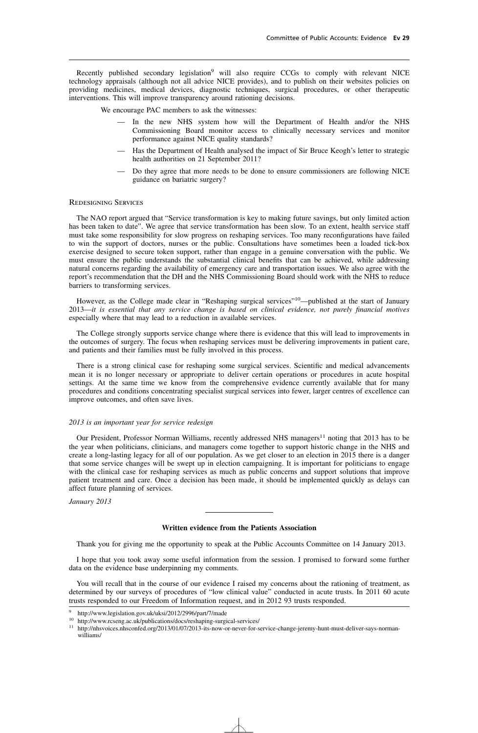Recently published secondary legislation<sup>9</sup> will also require CCGs to comply with relevant NICE technology appraisals (although not all advice NICE provides), and to publish on their websites policies on providing medicines, medical devices, diagnostic techniques, surgical procedures, or other therapeutic interventions. This will improve transparency around rationing decisions.

We encourage PAC members to ask the witnesses:

- In the new NHS system how will the Department of Health and/or the NHS Commissioning Board monitor access to clinically necessary services and monitor performance against NICE quality standards?
- Has the Department of Health analysed the impact of Sir Bruce Keogh's letter to strategic health authorities on 21 September 2011?
- Do they agree that more needs to be done to ensure commissioners are following NICE guidance on bariatric surgery?

#### Redesigning Services

The NAO report argued that "Service transformation is key to making future savings, but only limited action has been taken to date". We agree that service transformation has been slow. To an extent, health service staff must take some responsibility for slow progress on reshaping services. Too many reconfigurations have failed to win the support of doctors, nurses or the public. Consultations have sometimes been a loaded tick-box exercise designed to secure token support, rather than engage in a genuine conversation with the public. We must ensure the public understands the substantial clinical benefits that can be achieved, while addressing natural concerns regarding the availability of emergency care and transportation issues. We also agree with the report's recommendation that the DH and the NHS Commissioning Board should work with the NHS to reduce barriers to transforming services.

However, as the College made clear in "Reshaping surgical services"<sup>10</sup>—published at the start of January 2013—*it is essential that any service change is based on clinical evidence, not purely financial motives* especially where that may lead to a reduction in available services.

The College strongly supports service change where there is evidence that this will lead to improvements in the outcomes of surgery. The focus when reshaping services must be delivering improvements in patient care, and patients and their families must be fully involved in this process.

There is a strong clinical case for reshaping some surgical services. Scientific and medical advancements mean it is no longer necessary or appropriate to deliver certain operations or procedures in acute hospital settings. At the same time we know from the comprehensive evidence currently available that for many procedures and conditions concentrating specialist surgical services into fewer, larger centres of excellence can improve outcomes, and often save lives.

#### *2013 is an important year for service redesign*

Our President, Professor Norman Williams, recently addressed NHS managers<sup>11</sup> noting that 2013 has to be the year when politicians, clinicians, and managers come together to support historic change in the NHS and create a long-lasting legacy for all of our population. As we get closer to an election in 2015 there is a danger that some service changes will be swept up in election campaigning. It is important for politicians to engage with the clinical case for reshaping services as much as public concerns and support solutions that improve patient treatment and care. Once a decision has been made, it should be implemented quickly as delays can affect future planning of services.

*January 2013*

#### **Written evidence from the Patients Association**

Thank you for giving me the opportunity to speak at the Public Accounts Committee on 14 January 2013.

I hope that you took away some useful information from the session. I promised to forward some further data on the evidence base underpinning my comments.

You will recall that in the course of our evidence I raised my concerns about the rationing of treatment, as determined by our surveys of procedures of "low clinical value" conducted in acute trusts. In 2011 60 acute trusts responded to our Freedom of Information request, and in 2012 93 trusts responded.

<sup>9</sup> http://www.legislation.gov.uk/uksi/2012/2996/part/7/made

<sup>10</sup> http://www.rcseng.ac.uk/publications/docs/reshaping-surgical-services/

<sup>&</sup>lt;sup>11</sup> http://nhsvoices.nhsconfed.org/2013/01/07/2013-its-now-or-never-for-service-change-jeremy-hunt-must-deliver-says-normanwilliams/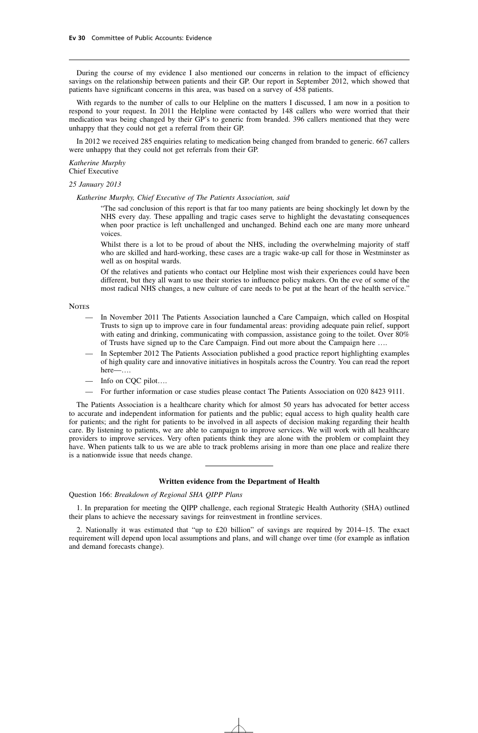During the course of my evidence I also mentioned our concerns in relation to the impact of efficiency savings on the relationship between patients and their GP. Our report in September 2012, which showed that patients have significant concerns in this area, was based on a survey of 458 patients.

With regards to the number of calls to our Helpline on the matters I discussed. I am now in a position to respond to your request. In 2011 the Helpline were contacted by 148 callers who were worried that their medication was being changed by their GP's to generic from branded. 396 callers mentioned that they were unhappy that they could not get a referral from their GP.

In 2012 we received 285 enquiries relating to medication being changed from branded to generic. 667 callers were unhappy that they could not get referrals from their GP.

*Katherine Murphy* Chief Executive

*25 January 2013*

*Katherine Murphy, Chief Executive of The Patients Association, said*

"The sad conclusion of this report is that far too many patients are being shockingly let down by the NHS every day. These appalling and tragic cases serve to highlight the devastating consequences when poor practice is left unchallenged and unchanged. Behind each one are many more unheard voices.

Whilst there is a lot to be proud of about the NHS, including the overwhelming majority of staff who are skilled and hard-working, these cases are a tragic wake-up call for those in Westminster as well as on hospital wards.

Of the relatives and patients who contact our Helpline most wish their experiences could have been different, but they all want to use their stories to influence policy makers. On the eve of some of the most radical NHS changes, a new culture of care needs to be put at the heart of the health service."

**NOTES** 

- In November 2011 The Patients Association launched a Care Campaign, which called on Hospital Trusts to sign up to improve care in four fundamental areas: providing adequate pain relief, support with eating and drinking, communicating with compassion, assistance going to the toilet. Over 80% of Trusts have signed up to the Care Campaign. Find out more about the Campaign here ….
- In September 2012 The Patients Association published a good practice report highlighting examples of high quality care and innovative initiatives in hospitals across the Country. You can read the report here—….
- Info on CQC pilot….
- For further information or case studies please contact The Patients Association on 020 8423 9111.

The Patients Association is a healthcare charity which for almost 50 years has advocated for better access to accurate and independent information for patients and the public; equal access to high quality health care for patients; and the right for patients to be involved in all aspects of decision making regarding their health care. By listening to patients, we are able to campaign to improve services. We will work with all healthcare providers to improve services. Very often patients think they are alone with the problem or complaint they have. When patients talk to us we are able to track problems arising in more than one place and realize there is a nationwide issue that needs change.

#### **Written evidence from the Department of Health**

Question 166: *Breakdown of Regional SHA QIPP Plans*

1. In preparation for meeting the QIPP challenge, each regional Strategic Health Authority (SHA) outlined their plans to achieve the necessary savings for reinvestment in frontline services.

2. Nationally it was estimated that "up to £20 billion" of savings are required by 2014–15. The exact requirement will depend upon local assumptions and plans, and will change over time (for example as inflation and demand forecasts change).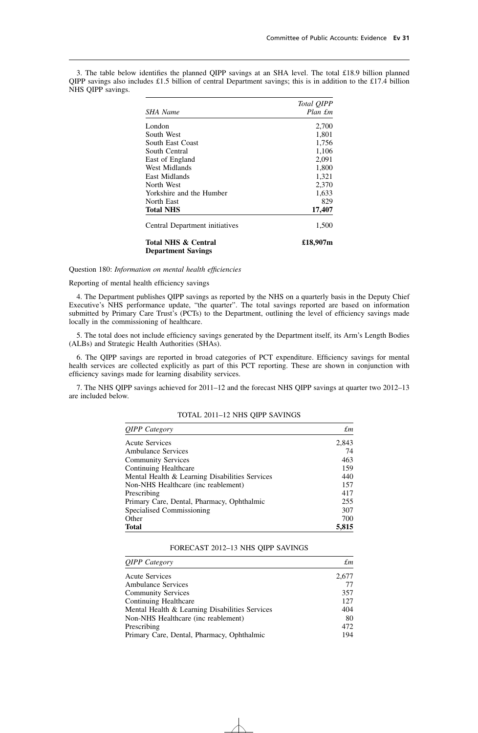3. The table below identifies the planned QIPP savings at an SHA level. The total £18.9 billion planned QIPP savings also includes £1.5 billion of central Department savings; this is in addition to the £17.4 billion NHS QIPP savings.

|                                                             | Total QIPP |
|-------------------------------------------------------------|------------|
| SHA Name                                                    | Plan £m    |
| London                                                      | 2,700      |
| South West                                                  | 1,801      |
| South East Coast                                            | 1,756      |
| South Central                                               | 1,106      |
| East of England                                             | 2,091      |
| West Midlands                                               | 1,800      |
| East Midlands                                               | 1,321      |
| North West                                                  | 2,370      |
| Yorkshire and the Humber                                    | 1,633      |
| North East                                                  | 829        |
| <b>Total NHS</b>                                            | 17,407     |
| Central Department initiatives                              | 1,500      |
| <b>Total NHS &amp; Central</b><br><b>Department Savings</b> | £18,907m   |

Question 180: *Information on mental health efficiencies*

Reporting of mental health efficiency savings

4. The Department publishes QIPP savings as reported by the NHS on a quarterly basis in the Deputy Chief Executive's NHS performance update, "the quarter". The total savings reported are based on information submitted by Primary Care Trust's (PCTs) to the Department, outlining the level of efficiency savings made locally in the commissioning of healthcare.

5. The total does not include efficiency savings generated by the Department itself, its Arm's Length Bodies (ALBs) and Strategic Health Authorities (SHAs).

6. The QIPP savings are reported in broad categories of PCT expenditure. Efficiency savings for mental health services are collected explicitly as part of this PCT reporting. These are shown in conjunction with efficiency savings made for learning disability services.

7. The NHS QIPP savings achieved for 2011–12 and the forecast NHS QIPP savings at quarter two 2012–13 are included below.

| <b>QIPP</b> Category                           | £т    |
|------------------------------------------------|-------|
| <b>Acute Services</b>                          | 2,843 |
| <b>Ambulance Services</b>                      | 74    |
| <b>Community Services</b>                      | 463   |
| Continuing Healthcare                          | 159   |
| Mental Health & Learning Disabilities Services | 440   |
| Non-NHS Healthcare (inc reablement)            | 157   |
| Prescribing                                    | 417   |
| Primary Care, Dental, Pharmacy, Ophthalmic     | 255   |
| Specialised Commissioning                      | 307   |
| Other                                          | 700   |
| <b>Total</b>                                   | 5,815 |

TOTAL 2011–12 NHS QIPP SAVINGS

#### FORECAST 2012–13 NHS QIPP SAVINGS

| <b>QIPP</b> Category                           | £т    |
|------------------------------------------------|-------|
| <b>Acute Services</b>                          | 2,677 |
| <b>Ambulance Services</b>                      | 77    |
| <b>Community Services</b>                      | 357   |
| Continuing Healthcare                          | 127   |
| Mental Health & Learning Disabilities Services | 404   |
| Non-NHS Healthcare (inc reablement)            | 80    |
| Prescribing                                    | 472   |
| Primary Care, Dental, Pharmacy, Ophthalmic     | 194   |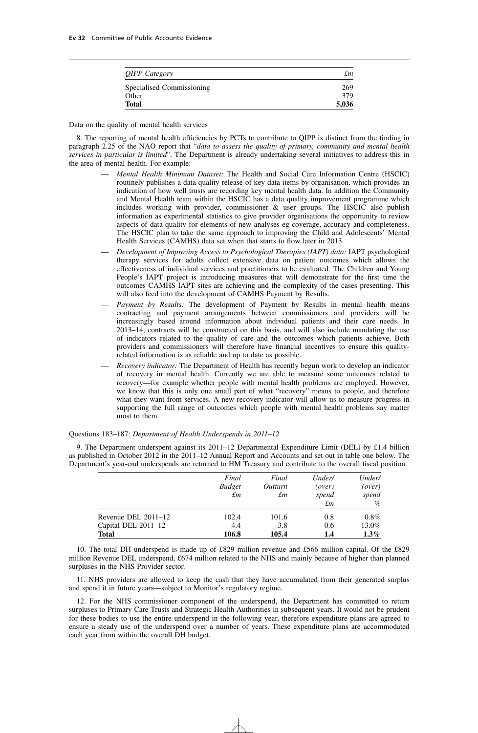| <i><b>OIPP</b></i> Category | £т    |
|-----------------------------|-------|
| Specialised Commissioning   | 269   |
| Other                       | 379   |
| <b>Total</b>                | 5,036 |

Data on the quality of mental health services

8. The reporting of mental health efficiencies by PCTs to contribute to QIPP is distinct from the finding in paragraph 2.25 of the NAO report that "*data to assess the quality of primary, community and mental health services in particular is limited*". The Department is already undertaking several initiatives to address this in the area of mental health. For example:

- *Mental Health Minimum Dataset:* The Health and Social Care Information Centre (HSCIC) routinely publishes a data quality release of key data items by organisation, which provides an indication of how well trusts are recording key mental health data. In addition the Community and Mental Health team within the HSCIC has a data quality improvement programme which includes working with provider, commissioner & user groups. The HSCIC also publish information as experimental statistics to give provider organisations the opportunity to review aspects of data quality for elements of new analyses eg coverage, accuracy and completeness. The HSCIC plan to take the same approach to improving the Child and Adolescents' Mental Health Services (CAMHS) data set when that starts to flow later in 2013.
- *Development of Improving Access to Psychological Therapies (IAPT) data:* IAPT psychological therapy services for adults collect extensive data on patient outcomes which allows the effectiveness of individual services and practitioners to be evaluated. The Children and Young People's IAPT project is introducing measures that will demonstrate for the first time the outcomes CAMHS IAPT sites are achieving and the complexity of the cases presenting. This will also feed into the development of CAMHS Payment by Results.
- *Payment by Results:* The development of Payment by Results in mental health means contracting and payment arrangements between commissioners and providers will be increasingly based around information about individual patients and their care needs. In 2013–14, contracts will be constructed on this basis, and will also include mandating the use of indicators related to the quality of care and the outcomes which patients achieve. Both providers and commissioners will therefore have financial incentives to ensure this qualityrelated information is as reliable and up to date as possible.
- *Recovery indicator:* The Department of Health has recently begun work to develop an indicator of recovery in mental health. Currently we are able to measure some outcomes related to recovery—for example whether people with mental health problems are employed. However, we know that this is only one small part of what "recovery" means to people, and therefore what they want from services. A new recovery indicator will allow us to measure progress in supporting the full range of outcomes which people with mental health problems say matter most to them.

Questions 183–187: *Department of Health Underspends in 2011–12*

9. The Department underspent against its  $2011-12$  Departmental Expenditure Limit (DEL) by £1.4 billion as published in October 2012 in the 2011–12 Annual Report and Accounts and set out in table one below. The Department's year-end underspends are returned to HM Treasury and contribute to the overall fiscal position.

|                       | Final<br><b>Budget</b><br>£т | Final<br><i>Outturn</i><br>£т | Under/<br>(over)<br>spend<br>$\pounds$ m | Under/<br>(over)<br>spend<br>$\%$ |
|-----------------------|------------------------------|-------------------------------|------------------------------------------|-----------------------------------|
| Revenue DEL $2011-12$ | 102.4                        | 101.6                         | 0.8                                      | $0.8\%$                           |
| Capital DEL 2011-12   | 4.4                          | 3.8                           | 0.6                                      | 13.0%                             |
| <b>Total</b>          | 106.8                        | 105.4                         | 1.4                                      | $1.3\%$                           |

10. The total DH underspend is made up of £829 million revenue and £566 million capital. Of the £829 million Revenue DEL underspend, £674 million related to the NHS and mainly because of higher than planned surpluses in the NHS Provider sector.

11. NHS providers are allowed to keep the cash that they have accumulated from their generated surplus and spend it in future years—subject to Monitor's regulatory regime.

12. For the NHS commissioner component of the underspend, the Department has committed to return surpluses to Primary Care Trusts and Strategic Health Authorities in subsequent years. It would not be prudent for these bodies to use the entire underspend in the following year, therefore expenditure plans are agreed to ensure a steady use of the underspend over a number of years. These expenditure plans are accommodated each year from within the overall DH budget.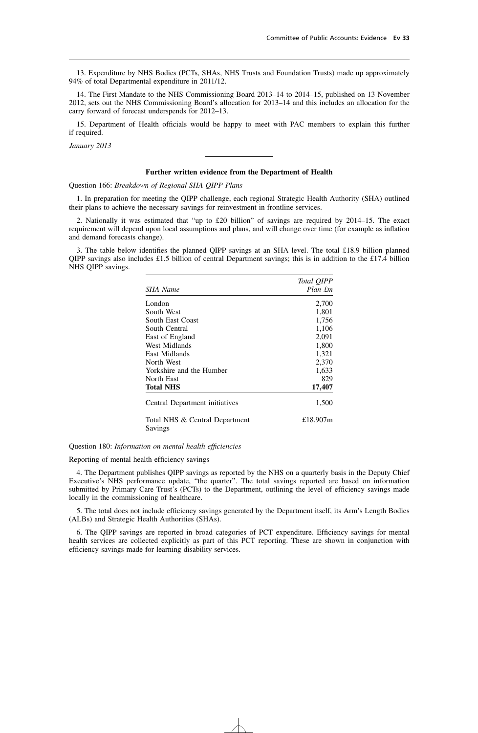13. Expenditure by NHS Bodies (PCTs, SHAs, NHS Trusts and Foundation Trusts) made up approximately 94% of total Departmental expenditure in 2011/12.

14. The First Mandate to the NHS Commissioning Board 2013–14 to 2014–15, published on 13 November 2012, sets out the NHS Commissioning Board's allocation for 2013–14 and this includes an allocation for the carry forward of forecast underspends for 2012–13.

15. Department of Health officials would be happy to meet with PAC members to explain this further if required.

*January 2013*

#### **Further written evidence from the Department of Health**

Question 166: *Breakdown of Regional SHA QIPP Plans*

1. In preparation for meeting the QIPP challenge, each regional Strategic Health Authority (SHA) outlined their plans to achieve the necessary savings for reinvestment in frontline services.

2. Nationally it was estimated that "up to £20 billion" of savings are required by 2014–15. The exact requirement will depend upon local assumptions and plans, and will change over time (for example as inflation and demand forecasts change).

3. The table below identifies the planned QIPP savings at an SHA level. The total £18.9 billion planned QIPP savings also includes £1.5 billion of central Department savings; this is in addition to the £17.4 billion NHS QIPP savings.

|                                           | Total QIPP |
|-------------------------------------------|------------|
| SHA Name                                  | Plan £m    |
| London                                    | 2,700      |
| South West                                | 1,801      |
| South East Coast                          | 1,756      |
| South Central                             | 1,106      |
| East of England                           | 2,091      |
| West Midlands                             | 1,800      |
| East Midlands                             | 1,321      |
| North West                                | 2,370      |
| Yorkshire and the Humber                  | 1,633      |
| North East                                | 829        |
| Total NHS                                 | 17,407     |
| Central Department initiatives            | 1,500      |
| Total NHS & Central Department<br>Savings | £18,907m   |

Question 180: *Information on mental health efficiencies*

Reporting of mental health efficiency savings

4. The Department publishes QIPP savings as reported by the NHS on a quarterly basis in the Deputy Chief Executive's NHS performance update, "the quarter". The total savings reported are based on information submitted by Primary Care Trust's (PCTs) to the Department, outlining the level of efficiency savings made locally in the commissioning of healthcare.

5. The total does not include efficiency savings generated by the Department itself, its Arm's Length Bodies (ALBs) and Strategic Health Authorities (SHAs).

6. The QIPP savings are reported in broad categories of PCT expenditure. Efficiency savings for mental health services are collected explicitly as part of this PCT reporting. These are shown in conjunction with efficiency savings made for learning disability services.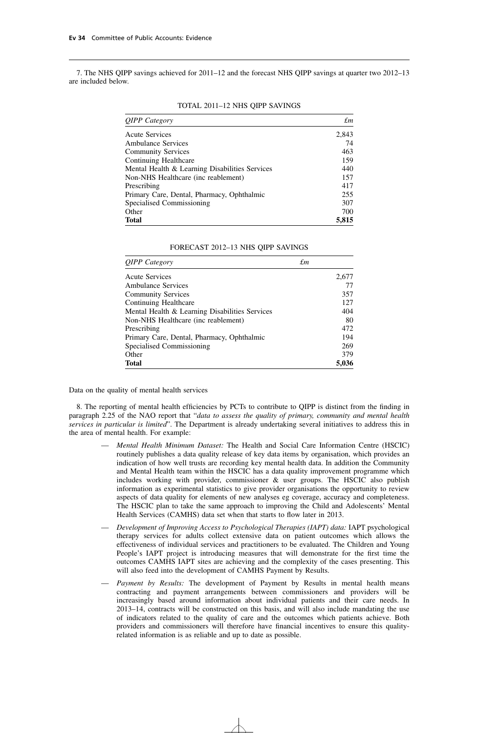7. The NHS QIPP savings achieved for 2011–12 and the forecast NHS QIPP savings at quarter two 2012–13 are included below.

| <b>QIPP</b> Category                           | £т    |
|------------------------------------------------|-------|
| <b>Acute Services</b>                          | 2,843 |
| <b>Ambulance Services</b>                      | 74    |
| <b>Community Services</b>                      | 463   |
| Continuing Healthcare                          | 159   |
| Mental Health & Learning Disabilities Services | 440   |
| Non-NHS Healthcare (inc reablement)            | 157   |
| Prescribing                                    | 417   |
| Primary Care, Dental, Pharmacy, Ophthalmic     | 255   |
| Specialised Commissioning                      | 307   |
| Other                                          | 700   |
| <b>Total</b>                                   | 5,815 |

#### TOTAL 2011–12 NHS QIPP SAVINGS

| FORECAST 2012-13 NHS QIPP SAVINGS |  |  |  |  |  |
|-----------------------------------|--|--|--|--|--|
|-----------------------------------|--|--|--|--|--|

| <b>QIPP</b> Category                           | £т    |  |
|------------------------------------------------|-------|--|
| <b>Acute Services</b>                          | 2,677 |  |
| <b>Ambulance Services</b>                      | 77    |  |
| <b>Community Services</b>                      | 357   |  |
| Continuing Healthcare                          | 127   |  |
| Mental Health & Learning Disabilities Services | 404   |  |
| Non-NHS Healthcare (inc reablement)            | 80    |  |
| Prescribing                                    | 472   |  |
| Primary Care, Dental, Pharmacy, Ophthalmic     | 194   |  |
| Specialised Commissioning                      | 269   |  |
| Other                                          | 379   |  |
| <b>Total</b>                                   | 5,036 |  |

Data on the quality of mental health services

8. The reporting of mental health efficiencies by PCTs to contribute to QIPP is distinct from the finding in paragraph 2.25 of the NAO report that "*data to assess the quality of primary, community and mental health services in particular is limited*". The Department is already undertaking several initiatives to address this in the area of mental health. For example:

- *Mental Health Minimum Dataset:* The Health and Social Care Information Centre (HSCIC) routinely publishes a data quality release of key data items by organisation, which provides an indication of how well trusts are recording key mental health data. In addition the Community and Mental Health team within the HSCIC has a data quality improvement programme which includes working with provider, commissioner  $\&$  user groups. The HSCIC also publish information as experimental statistics to give provider organisations the opportunity to review aspects of data quality for elements of new analyses eg coverage, accuracy and completeness. The HSCIC plan to take the same approach to improving the Child and Adolescents' Mental Health Services (CAMHS) data set when that starts to flow later in 2013.
- *Development of Improving Access to Psychological Therapies (IAPT) data:* IAPT psychological therapy services for adults collect extensive data on patient outcomes which allows the effectiveness of individual services and practitioners to be evaluated. The Children and Young People's IAPT project is introducing measures that will demonstrate for the first time the outcomes CAMHS IAPT sites are achieving and the complexity of the cases presenting. This will also feed into the development of CAMHS Payment by Results.
- *Payment by Results:* The development of Payment by Results in mental health means contracting and payment arrangements between commissioners and providers will be increasingly based around information about individual patients and their care needs. In 2013–14, contracts will be constructed on this basis, and will also include mandating the use of indicators related to the quality of care and the outcomes which patients achieve. Both providers and commissioners will therefore have financial incentives to ensure this qualityrelated information is as reliable and up to date as possible.